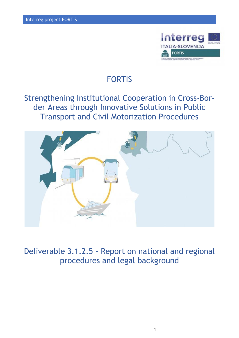

# FORTIS

# Strengthening Institutional Cooperation in Cross-Border Areas through Innovative Solutions in Public Transport and Civil Motorization Procedures



Deliverable 3.1.2.5 - Report on national and regional procedures and legal background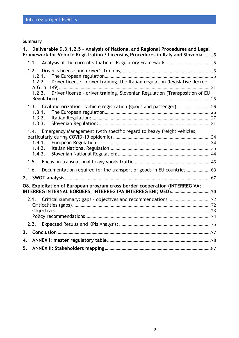# **Summary**

| 1. |                                    | Deliverable D.3.1.2.5 - Analysis of National and Regional Procedures and Legal<br>Framework for Vehicle Registration / Licensing Procedures in Italy and Slovenia  5 |  |
|----|------------------------------------|----------------------------------------------------------------------------------------------------------------------------------------------------------------------|--|
|    | 1.1.                               |                                                                                                                                                                      |  |
|    | 1.2.<br>1.2.1.<br>1.2.2.           | Driver license - driver training, the Italian regulation (legislative decree                                                                                         |  |
|    | 1.2.3.                             | Driver license - driver training, Slovenian Regulation (Transposition of EU                                                                                          |  |
|    | 1.3.1.<br>1.3.2.<br>1.3.3.         | 1.3. Civil motorization - vehicle registration (goods and passenger) 26                                                                                              |  |
|    | 1.4.<br>1.4.1.<br>1.4.2.<br>1.4.3. | Emergency Management (with specific regard to heavy freight vehicles,                                                                                                |  |
|    | 1.5.                               |                                                                                                                                                                      |  |
|    | 1.6.                               |                                                                                                                                                                      |  |
| 2. |                                    |                                                                                                                                                                      |  |
|    |                                    | O8. Exploitation of European program cross-border cooperation (INTERREG VA:                                                                                          |  |
|    | 2.2.                               |                                                                                                                                                                      |  |
| 3. |                                    |                                                                                                                                                                      |  |
| 4. |                                    |                                                                                                                                                                      |  |
| 5. |                                    |                                                                                                                                                                      |  |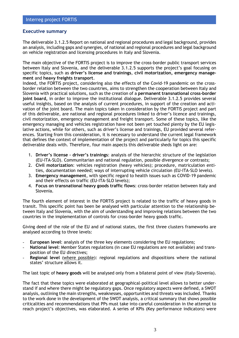## **Executive summary**

The deliverable 3.1.2.5 Report on national and regional procedures and legal background, provides an analysis, including gaps and synergies, of national and regional procedures and legal background on vehicle registration and licensing procedures in Italy and Slovenia.

The main objective of the FORTIS project is to improve the cross-border public transport services between Italy and Slovenia, and the deliverable 3.1.2.5 supports the project's goal focusing on specific topics, such as **driver's license and trainings**, **civil motorization, emergency management** and **heavy freights transport**.

Indeed, the FORTIS project, considering also the effects of the Covid-19 pandemic on the crossborder relation between the two countries, aims to strengthen the cooperation between Italy and Slovenia with practical solutions, such as the creation of a **permanent transnational cross-border joint board,** in order to improve the institutional dialogue. Deliverable 3.1.2.5 provides several useful insights, based on the analysis of current procedures, in support of the creation and activation of the joint board. The main topics taken in consideration by the FORTIS project and part of this deliverable, are national and regional procedures linked to driver's licence and trainings, civil motorization, emergency management and freight transport. Some of these topics, like the emergency managing and vehicles registration have not been yet touched plenty by the EU legislative actions, while for others, such as driver's license and trainings, EU provided several references. Starting from this consideration, it is necessary to understand the current legal framework that defines the context of implementation of the project and particularly for topics this specific deliverable deals with. Therefore, four main aspects this deliverable sheds light on are:

- 1. **Driver's license – driver's trainings**: analysis of the hierarchic structure of the legislation (EU-ITA-SLO). Communitarian and national regulation, possible divergence or contrasts;
- 2. **Civil motorization**: vehicles registration (heavy vehicles); procedure, matriculation entities, documentation needed; ways of interrupting vehicle circulation (EU-ITA-SLO levels).
- 3. **Emergency management**, with specific regard to health issues such as COVID-19 pandemic and their effects on traffic (EU-ITA-SLO levels);
- 4. **Focus on transnational heavy goods traffic flows**: cross-border relation between Italy and Slovenia.

The fourth element of interest in the FORTIS project is related to the traffic of heavy goods in transit. This specific point has been be analysed with particular attention to the relationship between Italy and Slovenia, with the aim of understanding and improving relations between the two countries in the implementation of controls for cross-border heavy goods traffic.

Giving deed of the role of the EU and of national states, the first three clusters frameworks are analysed according to three levels:

- **European level:** analysis of the three key elements considering the EU regulations;
- **National level**: Member States regulations (in case EU regulations are not available) and transposition of the EU directives;
- **Regional level** (where possible): regional regulations and dispositions where the national states' structure allows it.

The last topic of **heavy goods** will be analysed only from a bilateral point of view (Italy-Slovenia).

The fact that these topics were elaborated at geographical-political level allows to better understand if and where there might be regulatory gaps. Once regulatory aspects were defined, a SWOT analysis, outlining the main strengths, weaknesses, opportunities and threats was included. Thanks to the work done in the development of the SWOT analysis, a critical summary that shows possible criticalities and recommendations that PPs must take into careful consideration in the attempt to reach project's objectives, was elaborated. A series of KPIs (Key performance indicators) were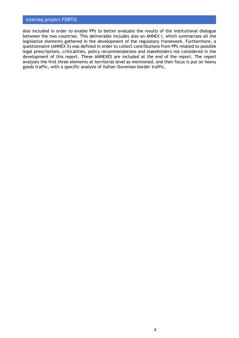also included in order to enable PPs to better evaluate the results of the institutional dialogue between the two countries. This deliverable includes also an ANNEX I, which summarizes all the legislative elements gathered in the development of the regulatory framework. Furthermore, a questionnaire (ANNEX II) was defined in order to collect contributions from PPs related to possible legal prescriptions, criticalities, policy recommendations and stakeholders not considered in the development of this report. These ANNEXES are included at the end of the report. The report analyses the first three elements at territorial level as mentioned, and then focus is put on heavy goods traffic, with a specific analysis of Italian-Slovenian border traffic.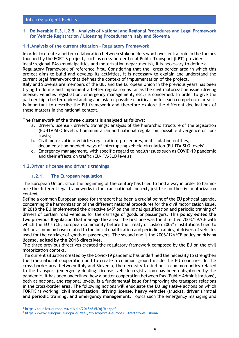<span id="page-4-0"></span>**1. Deliverable D.3.1.2.5 – Analysis of National and Regional Procedures and Legal Framework for Vehicle Registration / Licensing Procedures in Italy and Slovenia**

# <span id="page-4-1"></span>**1.1.Analysis of the current situation - Regulatory Framework**

In order to create a better collaboration between stakeholders who have central role in the themes touched by the FORTIS project, such as cross-border Local Public Transport (**LPT**) providers, local/regional PAs (municipalities and motorization departments), it is necessary to define a Regulatory Framework of reference first. Considering that the cross border area in which this project aims to build and develop its activities, it is necessary to explain and understand the current legal framework that defines the context of implementation of the project. Italy and Slovenia are members of the UE, and the European Union in the previous years has been trying to define and implement a better regulation as far as the civil motorization issue (driving license, vehicles registration, emergency management, etc.) is concerned. In order to give the partnership a better understanding and ask for possible clarification for each competence area, it is important to describe the EU framework and therefore explore the different declinations of

## **The framework of the three clusters is analysed as follows:**

- a. Driver's license driver's trainings: analysis of the hierarchic structure of the legislation (EU-ITA-SLO levels). Communitarian and national regulation, possible divergence or contrasts;
- b. Civil motorization: vehicles registration; procedures, matriculation entities, documentation needed; ways of interrupting vehicle circulation (EU-ITA-SLO levels)
- c. Emergency management, with specific regard to health issues such as COVID-19 pandemic and their effects on traffic (EU-ITA-SLO levels);

# <span id="page-4-3"></span><span id="page-4-2"></span>**1.2.Driver's license and driver's trainings**

these matters in the national context.

# **1.2.1. The European regulation**

The European Union, since the beginning of the century has tried to find a way in order to harmonize the different legal frameworks in the transnational context, just like for the civil motorization context.

Define a common European space for transport has been a crucial point of the EU political agenda, concerning the harmonization of the different national procedures for the civil motorization issue. In 2018 the EU implemented the directive  $645<sup>1</sup>$  on the initial qualification and periodic training of drivers of certain road vehicles for the carriage of goods or passengers. **This policy edited the two previous Regulation that manage the area**; the first one was the directive 2003/59/CE with which the EU's (CE, European Community before the Treaty of Lisbon 2007<sup>2</sup>) institutions tried to define a common base related to the initial qualification and periodic training of drivers of vehicles used for the carriage of goods or passengers. The second one is the 2006/126/CE policy on driving license, **edited by the 2018 directives**.

The three previous directives created the regulatory framework composed by the EU on the civil motorization context.

The current situation created by the Covid-19 pandemic has underlined the necessity to strengthen the transnational cooperation and to create a common ground inside the EU countries. In the cross-border area between Italy and Slovenia, the necessity to find out a common policy related to the transport (emergency dealing, license, vehicle registration) has been enlightened by the pandemic. It has been underlined how a better cooperation between PAs (Public Administrations), both at national and regional levels, is a fundamental issue for improving the transport relations in the cross-border area. The following notions will enucleate the EU legislative actions on which FORTIS is working: **civil motorization, driving license, heavy vehicles (trucks), driver's initial and periodic training, and emergency management**. Topics such the emergency managing and

<sup>1</sup> <https://eur-lex.europa.eu/eli/dir/2018/645/oj/ita/pdf>

<sup>2</sup> <https://www.europarl.europa.eu/italy/it/scoprire-l-europa/il-trattato-di-lisbona>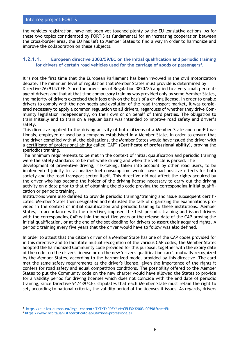the vehicles registration, have not been yet touched plenty by the EU legislative actions. As for these two topics considerated by FORTIS as fundamental for an increasing cooperation between the cross-border area, the EU has left to Member States to find a way in order to harmonize and improve the collaboration on these subjects.

# **1.2.1.1. European directive 2003/59/EC on the initial qualification and periodic training for drivers of certain road vehicles used for the carriage of goods or passengers<sup>3</sup>** *.*

It is not the first time that the European Parliament has been involved in the civil motorization debate. The minimum level of regulation that Member States must provide is determined by Directive 76/914/CEE. Since the provisions of Regulation 3820/85 applied to a very small percentage of drivers and that at that time compulsory training was provided only by some Member States, the majority of drivers exercised their jobs only on the basis of a driving license. In order to enable drivers to comply with the new needs and evolution of the road transport market, it was considered necessary to apply a common regulation to all drivers, regardless of whether they drive Community legislation independently, on their own or on behalf of third parties. The obligation to train initially and to train on a regular basis was intended to improve road safety and driver's safety.

This directive applied to the driving activity of both citizens of a Member State and non-EU nationals, employed or used by a company established in a Member State. In order to ensure that the driver complied with all the obligations, the Member States would have issued the driver with a certificate of professional ability called 'CAP'<sup>4</sup> (**Certificate of professional ability**), proving the (periodic) training.

The minimum requirements to be met in the context of initial qualification and periodic training were the safety standards to be met while driving and when the vehicle is parked. The

development of preventive driving, risk-taking, taken into account by other road users, to be implemented jointly to rationalize fuel consumption, would have had positive effects for both society and the road transport sector itself. This directive did not affect the rights acquired by the driver who has become the holder of the driving license necessary to carry out the driving activity on a date prior to that of obtaining the zip code proving the corresponding initial qualification or periodic training.

Institutions were also defined to provide periodic training/training and issue subsequent certificates. Member States then designated and entrusted the task of organizing the examinations provided in the context of initial qualification and periodic training to these institutions. Member States, in accordance with the directive, imposed the first periodic training and issued drivers with the corresponding CAP within the next five years or the release date of the CAP proving the initial qualification, or at the end of the set deadline for drivers to assert their acquired rights. A periodic training every five years that the driver would have to follow was also defined.

In order to attest that the citizen driver of a Member State has one of the CAP codes provided for in this directive and to facilitate mutual recognition of the various CAP codes, the Member States adopted the harmonized Community code provided for this purpose, together with the expiry date of the code, on the driver's license or on the new 'driver's qualification card', mutually recognized by the Member States, according to the harmonized model provided by this directive. The card met the same safety requirements as the driver's license, given the importance of the rights it confers for road safety and equal competition conditions. The possibility offered to the Member States to put the Community code on the new charter would have allowed the States to provide for a validity period for driving licenses which does not coincide with the end date of periodic training, since Directive 91/439/CEE stipulates that each Member State must retain the right to set, according to national criteria, the validity period of the licenses it issues. As regards, drivers

<sup>3</sup> <https://eur-lex.europa.eu/legal-content/IT/TXT/PDF/?uri=CELEX:32003L0059&from=EN>

<sup>4</sup> [https://www.nccItaliani.it/certificato-abilitazione-professionale/](https://www.nccitaliani.it/certificato-abilitazione-professionale/)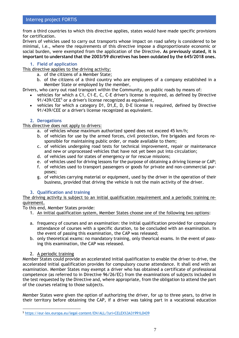from a third countries to which this directive applies, states would have made specific provisions for certification.

Drivers of vehicles used to carry out transports whose impact on road safety is considered to be minimal, i.e., where the requirements of this directive impose a disproportionate economic or social burden, were exempted from the application of the Directive**. As previously stated, it is important to understand that the 2003/59 dicretives has been outdated by the 645/2018 ones.**

## **1. Field of application**

This directive applies to the driving activity:

- a. of the citizens of a Member State;
- b. of the citizens of a third country who are employees of a company established in a Member State or employed by the member,

Drivers, who carry out road transport within the Community, on public roads by means of:

- vehicles for which a C1, C1-E, C, C-E driver's license is required, as defined by Directive  $91/439$ /CEE $<sup>5</sup>$  or a driver's license recognized as equivalent,</sup>
- vehicles for which a category D1, D1,E, D, D-E license is required, defined by Directive 91/439/CEE or a driver's license recognized as equivalent.

## **2. Derogations**

This directive does not apply to drivers:

- a. of vehicles whose maximum authorized speed does not exceed 45 km/h;
- b. of vehicles for use by the armed forces, civil protection, fire brigades and forces responsible for maintaining public order, or made available to them;
- c. of vehicles undergoing road tests for technical improvement, repair or maintenance and new or unprocessed vehicles that have not yet been put into circulation;
- d. of vehicles used for states of emergency or for rescue missions;
- e. of vehicles used for driving lessons for the purpose of obtaining a driving license or CAP;
- f. of vehicles used to transport passengers or goods for private and non-commercial purposes;
- g. of vehicles carrying material or equipment, used by the driver in the operation of their business, provided that driving the vehicle is not the main activity of the driver.

#### **3. Qualification and training**

The driving activity is subject to an initial qualification requirement and a periodic training requirement.

To this end, Member States provide:

- 1. An initial qualification system, Member States choose one of the following two options:
- a. frequency of courses and an examination: the initial qualification provided for compulsory attendance of courses with a specific duration, to be concluded with an examination. In the event of passing this examination, the CAP was released;
- b. only theoretical exams: no mandatory training, only theorical exams. In the event of passing this examination, the CAP was released.

## 2. A periodic training

Member States could provide an accelerated initial qualification to enable the driver to drive, the accelerated initial qualification provides for compulsory course attendance. It shall end with an examination. Member States may exempt a driver who has obtained a certificate of professional competence (as referred to in Directive 96/26/EC) from the examinations of subjects included in the test requested by the Directive and, where appropriate, from the obligation to attend the part of the courses relating to those subjects.

Member States were given the option of authorizing the driver, for up to three years, to drive in their territory before obtaining the CAP, if a driver was taking part in a vocational education

<sup>5</sup> <https://eur-lex.europa.eu/legal-content/EN/ALL/?uri=CELEX%3A31991L0439>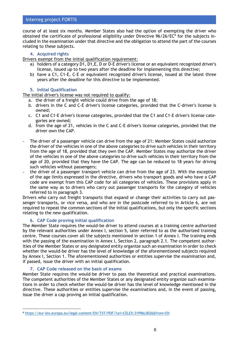course of at least six months. Member States also had the option of exempting the driver who obtained the certificate of professional eligibility under Directive 96/26/EC<sup>6</sup> for the subjects included in the examination under that directive and the obligation to attend the part of the courses relating to these subjects.

## **4. Acquired rights**

Drivers exempt from the initial qualification requirement:

- a) holders of a category D1, D1,E, D or D-E driver's license or an equivalent recognized driver's license, issued up to two years after the deadline for implementing this directive;
- b) have a C1, C1-E, C-E or equivalent recognized driver's license, issued at the latest three years after the deadline for this directive to be implemented.

## **5. Initial Qualification**

The initial driver's license was not required to qualify:

- a. the driver of a freight vehicle could drive from the age of 18;
- b. drivers in the C and C-E driver's license categories, provided that the C-driver's license is owned;
- c. C1 and C1-E driver's license categories, provided that the C1 and C1-E driver's license categories are owned;
- d. from the age of 21, vehicles in the C and C-E driver's license categories, provided that the driver own the CAP.
- The driver of a passenger vehicle can drive from the age of 21: Member States could authorize the driver of the vehicles in one of the above categories to drive such vehicles in their territory from the age of 18, provided that they own the CAP. Member States may authorize the driver of the vehicles in one of the above categories to drive such vehicles in their territory from the age of 20, provided that they have the CAP. The age can be reduced to 18 years for driving such vehicles without passengers;
- the driver of a passenger transport vehicle can drive from the age of 23. With the exception of the age limits expressed in the directive, drivers who transport goods and who have a CAP code are exempt from this CAP code for all categories of vehicles. These provisions apply in the same way as to drivers who carry out passenger transports for the category of vehicles referred to in paragraph 3.

Drivers who carry out freight transports that expand or change their activities to carry out passenger transports, or vice versa, and who are in the postcode referred to in Article 6, are not required to repeat the common sections of the initial qualifications, but only the specific sections relating to the new qualification.

## **6. CAP Code proving initial qualification**

The Member State requires the would-be driver to attend courses at a training centre authorized by the relevant authorities under Annex I, section 5, later referred to as the authorized training centre. These courses cover all the subjects mentioned in section 1 of Annex I. The training ends with the passing of the examination in Annex I, Section 2, paragraph 2.1. The competent authorities of the Member States or any designated entity organize such an examination in order to check whether the would-be driver has the level of knowledge of the aforementioned subjects required by Annex I, Section 1. The aforementioned authorities or entities supervise the examination and, if passed, issue the driver with an initial qualification.

## **7. CAP Code released on the basis of exams**

Member State requires the would-be driver to pass the theoretical and practical examinations. The competent authorities of the Member States or any designated entity organize such examinations in order to check whether the would-be driver has the level of knowledge mentioned in the directive. These authorities or entities supervise the examinations and, in the event of passing, issue the driver a cap proving an initial qualification.

<sup>6</sup> <https://eur-lex.europa.eu/legal-content/EN/TXT/PDF/?uri=CELEX:31996L0026&from=EN>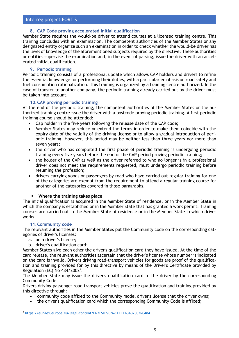## **8. CAP Code proving accelerated initial qualification**

Member State requires the would-be driver to attend courses at a licensed training centre. This training concludes with an examination. The competent authorities of the Member States or any designated entity organize such an examination in order to check whether the would-be driver has the level of knowledge of the aforementioned subjects required by the directive. These authorities or entities supervise the examination and, in the event of passing, issue the driver with an accelerated initial qualification.

## **9. Periodic training**

Periodic training consists of a professional update which allows CAP holders and drivers to refine the essential knowledge for performing their duties, with a particular emphasis on road safety and fuel consumption rationalization. This training is organized by a training centre authorized. In the case of transfer to another company, the periodic training already carried out by the driver must be taken into account.

## **10.CAP proving periodic training**

At the end of the periodic training, the competent authorities of the Member States or the authorized training centre issue the driver with a postcode proving periodic training. A first periodic training course should be attended:

- Cap holder in the five years following the release date of the CAP code;
- Member States may reduce or extend the terms in order to make them coincide with the expiry date of the validity of the driving license or to allow a gradual introduction of periodic training. However, this period may be neither less than three years nor more than seven years;
- the driver who has completed the first phase of periodic training is undergoing periodic training every five years before the end of the CAP period proving periodic training;
- the holder of the CAP as well as the driver referred to who no longer is in a professional driver does not meet the requirements requested, must undergo periodic training before resuming the profession;
- drivers carrying goods or passengers by road who have carried out regular training for one of the categories are exempt from the requirement to attend a regular training course for another of the categories covered in those paragraphs.

#### **Where the training takes place**

The initial qualification is acquired in the Member State of residence, or in the Member State in which the company is established or in the Member State that has granted a work permit. Training courses are carried out in the Member State of residence or in the Member State in which driver works.

## **11.Community code**

The relevant authorities in the Member States put the Community code on the corresponding categories of driver's licenses:

- a. on a driver's license;
- b. driver's qualification card;

Member States give each other the driver's qualification card they have issued. At the time of the card release, the relevant authorities ascertain that the driver's license whose number is indicated on the card is invalid. Drivers driving road-transport vehicles for goods are proof of the qualification and training provided for by this directive by means of the Driver's Certificate provided by Regulation (EC) No 484/2002<sup>7</sup>.

The Member State may issue the driver's qualification card to the driver by the corresponding Community Code.

Drivers driving passenger road transport vehicles prove the qualification and training provided by this directive through:

- community code affixed to the Community model driver's license that the driver owns;
- the driver's qualification card which the corresponding Community Code is affixed;

<sup>7</sup> <https://eur-lex.europa.eu/legal-content/EN/LSU/?uri=CELEX%3A32002R0484>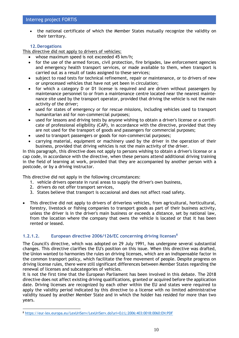the national certificate of which the Member States mutually recognize the validity on their territory.

# **12.Derogations**

This directive did not apply to drivers of vehicles:

- whose maximum speed is not exceeded 45 km/h;
- for the use of the armed forces, civil protection, fire brigades, law enforcement agencies and emergency health transport services, or made available to them, when transport is carried out as a result of tasks assigned to these services;
- subject to road tests for technical refinement, repair or maintenance, or to drivers of new or unprocessed vehicles that have not yet been in circulation;
- for which a category D or D1 license is required and are driven without passengers by maintenance personnel to or from a maintenance centre located near the nearest maintenance site used by the transport operator, provided that driving the vehicle is not the main activity of the driver;
- used for states of emergency or for rescue missions, including vehicles used to transport humanitarian aid for non-commercial purposes;
- used for lessons and driving tests by anyone wishing to obtain a driver's license or a certificate of professional eligibility (CAP), in accordance with the directive, provided that they are not used for the transport of goods and passengers for commercial purposes;
- used to transport passengers or goods for non-commercial purposes;
- carrying material, equipment or machinery used by the driver in the operation of their business, provided that driving vehicles is not the main activity of the driver.

In this paragraph, this directive does not apply to persons wishing to obtain a driver's license or a cap code, in accordance with the directive, when these persons attend additional driving training in the field of learning at work, provided that they are accompanied by another person with a postcode, or by a driving instructor.

This directive did not apply in the following circumstances:

- 1. vehicle drivers operate in rural areas to supply the driver's own business,
- 2. drivers do not offer transport services,
- 3. States believe that transport is occasional and does not affect road safety.
- This directive did not apply to drivers of driverless vehicles, from agricultural, horticultural, forestry, livestock or fishing companies to transport goods as part of their business activity, unless the driver is in the driver's main business or exceeds a distance, set by national law, from the location where the company that owns the vehicle is located or that it has been rented or leased.

## **1.2.1.2. European directive 2006/126/EC concerning driving licenses<sup>8</sup>**

The Council's directive, which was adopted on 29 July 1991, has undergone several substantial changes. This directive clarifies the EU's position on this issue. When this directive was drafted, the Union wanted to harmonies the rules on driving licenses, which are an indispensable factor in the common transport policy, which facilitate the free movement of people. Despite progress on driving license rules, there were still significant differences between Member States regarding the renewal of licenses and subcategories of vehicles.

It is not the first time that the European Parliament has been involved in this debate. The 2018 directive does not affect existing driving qualifications, granted or acquired before the application date. Driving licenses are recognized by each other within the EU and states were required to apply the validity period indicated by this directive to a license with no limited administrative validity issued by another Member State and in which the holder has resided for more than two years.

<sup>8</sup> [https://eur-lex.europa.eu/LexUriServ/LexUriServ.do?uri=OJ:L:2006:403:0018:0060:EN:PDF](file:///C:/Users/UTENTE/AppData/Local/Microsoft/Windows/INetCache/Content.Outlook/H4ZHZVT9/such%20data%20may%20no%20longer%20be%20true)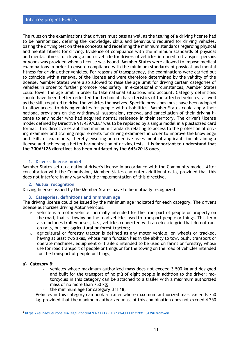The rules on the examinations that drivers must pass as well as the issuing of a driving license had to be harmonized, defining the knowledge, skills and behaviours required for driving vehicles, basing the driving test on these concepts and redefining the minimum standards regarding physical and mental fitness for driving. Evidence of compliance with the minimum standards of physical and mental fitness for driving a motor vehicle for drivers of vehicles intended to transport persons or goods was provided when a license was issued. Member States were allowed to impose medical examinations in order to ensure compliance with the minimum standards of physical and mental fitness for driving other vehicles. For reasons of transparency, the examinations were carried out to coincide with a renewal of the license and were therefore determined by the validity of the license. Member States were also allowed to raise the age limit for driving certain categories of vehicles in order to further promote road safety. In exceptional circumstances, Member States could lower the age limit in order to take national situations into account. Category definitions should have been better reflected the technical characteristics of the affected vehicles, as well as the skill required to drive the vehicles themselves. Specific provisions must have been adopted to allow access to driving vehicles for people with disabilities. Member States could apply their national provisions on the withdrawal, suspension, renewal and cancellation of their driving license to any holder who had acquired normal residence in their territory. The driver's license model defined by Directive 91/439/CEE<sup>9</sup> was to be replaced by a single model in a plasticized card format. This directive established minimum standards relating to access to the profession of driving examiner and training requirements for driving examiners in order to improve the knowledge and skills of examiners, thereby ensuring an objective assessment of applicants for obtaining a license and achieving a better harmonization of driving tests. It **is important to understand that the 2006/126 dicretives has been outdated by the 645/2018 ones**.

## **1. Driver's license model**

Member States set up a national driver's license in accordance with the Community model. After consultation with the Commission, Member States can enter additional data, provided that this does not interfere in any way with the implementation of this directive.

## **2. Mutual recognition**

Driving licenses issued by the Member States have to be mutually recognized.

## **3. Categories, definitions and minimum age**

The driving license could be issued by the minimum age indicated for each category. The driver's license authorizes driving Motor vehicles:

- o vehicle is a motor vehicle, normally intended for the transport of people or property on the road, that is, towing on the road vehicles used to transport people or things. This term also includes trolley buses, i.e., vehicles connected with an electric grid that do not runon rails, but not agricultural or forest tractors;
- $\circ$  agricultural or forestry tractor is defined as any motor vehicle, on wheels or tracked, having at least two axes, whose main function lies in the ability to tow, push, transport or operate machines, equipment or trailers intended to be used on farms or forestry, whose use for road transport of people or things or for the towing on the road of vehicles intended for the transport of people or things;

## **a) Category B:**

- vehicles whose maximum authorized mass does not exceed 3 500 kg and designed and built for the transport of no più̀ of eight people in addition to the driver; motorcycles in this category caǹ be attached to a trailer with a maximum authorized mass of no more than 750 kg;
- the minimum age for category B is 18;

Vehicles in this category can hook a trailer whose maximum authorized mass exceeds 750 kg, provided that the maximum authorized mass of this combination does not exceed 4 250

<sup>9</sup> <https://eur-lex.europa.eu/legal-content/EN/TXT/PDF/?uri=CELEX:31991L0439&from=en>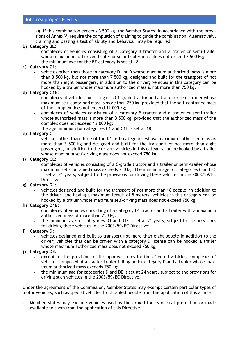kg. If this combination exceeds 3 500 kg, the Member States, in accordance with the provisions of Annex V, require the completion of training to guide the combination. Alternatively, training and passing a test of ability and behaviour may be required.

## **b) Category BE:**

- complexes of vehicles consisting of a category B tractor and a trailer or semi-trailer whose maximum authorized trailer or semi-trailer mass does not exceed 3 500 kg;
- the minimum age for the BE category is set at 18.
- **c) Category C1:**
	- vehicles other than those in category D1 or D whose maximum authorized mass is more than 3 500 kg, but not more than 7 500 kg, designed and built for the transport of not more than eight passengers, in addition to the driver; vehicles in this category caǹ be hooked by a trailer whose maximum authorized mass is not more than 750 kg.

## **d) Category C1E:**

- complexes of vehicles consisting of a C1-grade tractor and a trailer or semi-trailer whose maximum self-contained mass is more than 750 kg, provided that the self-contained mass of the complex does not exceed 12 000 kg;
- complexes of vehicles consisting of a category B tractor and a trailer or semi-trailer whose authorized mass is more than 3 500 kg, provided that the authorized mass of the complex does not exceed 12 000 kg;
	- the age minimum for categories C1 and C1E is set at 18;

# **e) Category C**

vehicles other than those of the D1 or D categories whose maximum authorized mass is more than 3 500 kg and designed and built for the transport of not more than eight passengers, in addition to the driver; vehicles in this category can be hooked by a trailer whose maximum self-driving mass does not exceed 750 kg;

#### **f) Category CE:**

- complexes of vehicles consisting of a C-grade tractor and a trailer or semi-trailer whose maximum self-contained mass exceeds 750 kg; The minimum age for categories C and EC is set at 21 years, subject to the provisions for driving these vehicles in the 2003/59/EC Directive;

## **g) Category D1:**

- vehicles designed and built for the transport of not more than 16 people, in addition to the driver, and having a maximum length of 8 meters; vehicles in this category caǹ be hooked by a trailer whose maximum self-driving mass does not exceed 750 kg;

#### **h) Category D1E:**

- complexes of vehicles consisting of a category D1 tractor and a trailer with a maximum authorized mass of more than 750 kg;
- the minimum age for categories D1 and D1E is set at 21 years, subject to the provisions for driving these vehicles in the 2003/59/EC Directive;
- **i) Category D:**
	- vehicles designed and built to transport not more than eight people in addition to the driver; vehicles that can be driven with a category D license caǹ be hooked a trailer whose maximum authorized mass does not exceed 750 kg;
- **j) Category DE:**
	- except for the provisions of the approval rules for the affected vehicles, complexes of vehicles composed of a tractor-trailer falling under category D and a trailer whose maximum authorized mass exceeds 750 kg;
	- the minimum age for categories D and DE is set at 24 years, subject to the provisions for driving such vehicles in the 2003/59/EC Directive.

Under the agreement of the Commission, Member States may exempt certain particular types of motor vehicles, such as special vehicles for disabled people from the application of this article.

Member States may exclude vehicles used by the armed forces or civil protection or made available to them from the application of this Directive.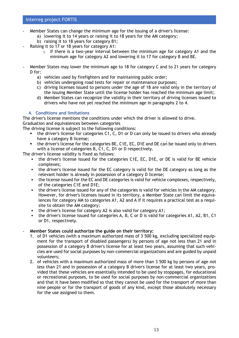- Member States can change the minimum age for the issuing of a driver's license:
	- a) lowering it to 14 years or raising it to 18 years for the AM category;
	- b) raising it to 18 years for category B1;
- Raising it to 17 or 18 years for category A1:
	- $\circ$  if there is a two-year interval between the minimum age for category A1 and the minimum age for category A2 and lowering it to 17 for category B and BE.
- Member States may lower the minimum age to 18 for category C and to 21 years for category D for:
	- a) vehicles used by firefighters and for maintaining public order;
	- b) vehicles undergoing road tests for repair or maintenance purposes;
	- c) driving licenses issued to persons under the age of 18 are valid only in the territory of the issuing Member State until the license holder has reached the minimum age limit;
	- d) Member States can recognize the validity in their territory of driving licenses issued to drivers who have not yet reached the minimum age in paragraphs 2 to 4.

# **4. Conditions and limitations**

The driver's license mentions the conditions under which the driver is allowed to drive. Graduation and equivalences between categories

The driving license is subject to the following conditions:

- the driver's license for categories C1, C, D1 or D can only be issued to drivers who already have a category B license;
- the driver's license for the categories BE, C1E, EC, D1E and DE can be issued only to drivers with a license of categories B, C1, C, D1 or D respectively.

The driver's license validity is fixed as follows:

- the driver's license issued for the categories C1E, EC, D1E, or DE is valid for BE vehicle complexes;
- the driver's license issued for the EC category is valid for the DE category as long as the relevant holder is already in possession of a category D license;
- the license issued for the EC and DE categories is valid for vehicle complexes, respectively, of the categories C1E and D1E;
- the driver's license issued for any of the categories is valid for vehicles in the AM category. However, for driver's licenses issued in its territory, a Member State can limit the equivalences for category AM to categories A1, A2 and A if it requires a practical test as a requisite to obtain the AM category;
- the driver's license for category A2 is also valid for category A1;
- the driver's license issued for categories A, B, C or D is valid for categories A1, A2, B1, C1 or D1, respectively.

## - **Member States could authorize the guide on their territory:**

- 1. of D1 vehicles (with a maximum authorized mass of 3 500 kg, excluding specialized equipment for the transport of disabled passengers) by persons of age not less than 21 and in possession of a category B driver's license for at least two years, assuming that such vehicles are used for social purposes by non-commercial organizations and are guided by unpaid volunteers;
- 2. of vehicles with a maximum authorized mass of more than 3 500 kg by persons of age not less than 21 and in possession of a category B driver's license for at least two years, provided that these vehicles are essentially intended to be used by stoppages, for educational or recreational purposes, to be used for social purposes by non-commercial organizations and that it have been modified so that they cannot be used for the transport of more than nine people or for the transport of goods of any kind, except those absolutely necessary for the use assigned to them.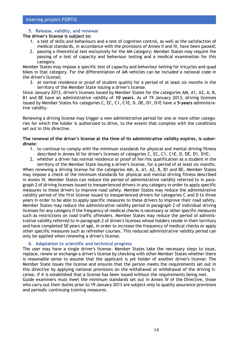# **5. Release, validity, and renewal**

**The driver's license is subject to:**

- 1. a test of skills and behaviours and a test of cognition control, as well as the satisfaction of medical standards, in accordance with the provisions of Annex II and III, have been passed;
- 2. passing a theoretical test exclusively for the AM category; Member States may require the passing of a test of capacity and behaviour testing and a medical examination for this category.

Member States may impose a specific test of capacity and behaviour testing for tricycles and quad bikes in that category. For the differentiation of AM vehicles can be included a national code in the driver's license;

3. at normal residence or proof of student qualitỳ for a period of at least six months in the territory of the Member State issuing a driver's license.

Since January 2013, driver's licenses issued by Member States for the categories AM, A1, A2, A, B, B1 and BE have an administrative validity of **10 years**. As of 19 January 2013, driving licenses issued by Member States for categories C, EC, C1, C1E, D, DE, D1, D1E have a **5-years** administrative validity.

Renewing a driving license may trigger a new administrative period for one or more other categories for which the holder is authorized to drive, to the extent that complies with the conditions set out in this directive.

## **The renewal of the driver's license at the time of its administrative validity expires, is subordinate**:

- 1. to continue to comply with the minimum standards for physical and mental driving fitness described in Annex III for driver's licenses of categories C, EC, C1, C1E, D, DE, D1, D1E;
- 2. whether a driver has normal residence or proof of her/his qualification as a student in the territory of the Member State issuing a driver's license, for a period of at least six months.

When renewing a driving license for the categories AM, A, A1, A2, B, B1 and BE, Member States may impose a check of the minimum standards for physical and mental driving fitness described in Annex III. Member States can reduce the period of administrative validitỳ referred to in paragraph 2 of driving licenses issued to inexperienced drivers in any category in order to apply specific measures to these drivers to improve road safety. Member States may reduce the administrative validitỳ period of the first license issued to inexperienced drivers for categories C and D to three years in order to be able to apply specific measures to these drivers to improve their road safety. Member States may reduce the administrative validity period in paragraph 2 of individual driving licenses for any category if the frequency of medical checks is necessary or other specific measures such as restrictions on road traffic offenders. Member States may reduce the period of administrative validity referred to in paragraph 2 of driver's licenses whose holders reside in their territory and have completed 50 years of agè, in order to increase the frequency of medical checks or apply other specific measures such as refresher courses. This reduced administrative validity period can only be applied when renewing a driver's license.

## **6. Adaptation to scientific and technical progress**

The user may have a single driver's license. Member States take the necessary steps to issue, replace, renew or exchange a driver's license by checking with other Member States whether there is reasonable sense to assume that the applicant is yet holder of another driver's license; The Member State issues the license and ensures that the person meets the requirements set out in this directive by applying national provisions on the withdrawal or withdrawal of the driving license, if it is established that a license has been issued without the requirements being met. Guide examiners must meet the minimum standards set out in Annex IV of the Directive, those

who carry out their duties prior to 19 January 2013 are subject only to quality assurance provisions and periodic continuing training measures.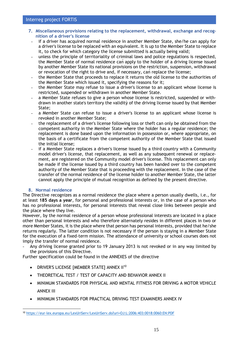- **7. Miscellaneous provisions relating to the replacement, withdrawal, exchange and recognition of a driver's license**
	- **-** if a driver has acquired normal residence in another Member State, she/he can apply for a driver's license to be replaced with an equivalent. It is up to the Member State to replace it, to check for which category the license submitted is actually being valid;
	- **-** unless the principle of territoriality of criminal laws and police regulations is respected, the Member State of normal residence caǹ apply to the holder of a driving license issued by another Member State its national provisions on the restriction, suspension, withdrawal or revocation of the right to drive and, if necessary, caǹreplace the license;
	- **-** the Member State that proceeds to replace it returns the old license to the authorities of the Member State which issued it, specifying the reasons for it;
	- **-** the Member State may refuse to issue a driver's license to an applicant whose license is restricted, suspended or withdrawn in another Member State.
	- **-** a Member State refuses to give a person whose license is restricted, suspended or withdrawn in another state's territory the validitỳ of the driving license issued by that Member State;
	- **-** a Member State can refuse to issue a driver's license to an applicant whose license is revoked in another Member State;
	- **-** the replacement of a driver's license following loss or theft can only be obtained from the competent authority in the Member State where the holder has a regular residence; the replacement is done based upon the information in possession or, where appropriate, on the basis of a certificate from the competent authority of the Member State that issued the initial license;
- **-** if a Member State replaces a driver's license issued by a third country with a Community model driver's license, that replacement, as well as any subsequent renewal or replacement, are registered on the Community model driver's license. This replacement can only be made if the license issued by a third country has been handed over to the competent authority of the Member State that is proceeding with the replacement. In the case of the transfer of the normal residence of the license holder to another Member State, the latter cannot apply the principle of mutual recognition as defined by the present directive.

## **8. Normal residence**

The Directive recognizes as a normal residence the place where a person usually dwells, i.e., for at least **185 days a year**, for personal and professional interests or, in the case of a person who has no professional interests, for personal interests that reveal close links between people and the place where they live.

However, by the normal residence of a person whose professional interests are located in a place other than personal interests and who therefore alternately resides in different places in two or more Member States, it is the place where that person has personal interests, provided that he/she returns regularly. The latter condition is not necessary if the person is staying in a Member State for the execution of a fixed-term mission. The attendance of university or school courses does not imply the transfer of normal residence.

- Any driving license granted prior to 19 January 2013 is not revoked or in any way limited by the provisions of this Directive.

Further specification could be found in the ANNEXES of the directive

- DRIVER'S LICENSE IMEMBER STATE1 ANNEX II<sup>10</sup>
- THEORETICAL TEST / TEST OF CAPACITY AND BEHAVIOR ANNEX II
- MINIMUM STANDARDS FOR PHYSICAL AND MENTAL FITNESS FOR DRIVING A MOTOR VEHICLE ANNEX III
- MINIMUM STANDARDS FOR PRACTICAL DRIVING TEST EXAMINERS ANNEX IV

<sup>10</sup> <https://eur-lex.europa.eu/LexUriServ/LexUriServ.do?uri=OJ:L:2006:403:0018:0060:EN:PDF>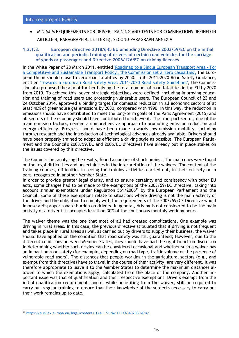• MINIMUM REQUIREMENTS FOR DRIVER TRAINING AND TESTS FOR COMBINATIONS DEFINED IN ARTICLE 4, PARAGRAPH 4, LETTER B), SECOND PARAGRAPH ANNEX V

## **1.2.1.3. European directive 2018/645 EU amending Directive 2003/59/EC on the initial qualification and periodic training of drivers of certain road vehicles for the carriage of goods or passengers and Directive 2006/126/EC on driving licenses**

In the White Paper of 28 March 2011, entitled ['Roadmap to a Single European Transport Area -](https://eur-lex.europa.eu/legal-content/EN/TXT/?uri=CELEX:52011DC0144) For [a Competitive and Sustainable Transport Policy', the Commission set a 'zero casualties',](https://eur-lex.europa.eu/legal-content/EN/TXT/?uri=CELEX:52011DC0144) the European Union should close to zero road fatalities by 2050. In its 2011-2020 Road Safety Guidance, entitled ['Towards a European Road Safety Area: 2011-2020 Road Safety Guidelines',](https://ec.europa.eu/transport/road_safety/sites/roadsafety/files/pdf/road_safety_citizen/road_safety_citizen_100924_en.pdf) the Commission also proposed the aim of further halving the total number of road fatalities in the EU by 2020 from 2010. To achieve this, seven strategic objectives were defined, including improving education and training of road users and protecting vulnerable users. The European Council of 23 and 24 October 2014, approved a binding target for domestic reduction in all economic sectors of at least 40% of greenhouse gas emissions by 2030, compared with 1990. In this way, the reduction in emissions should have contributed to meet the long-term goals of the Paris Agreement (2015) and all sectors of the economy should have contributed to achieve it. The transport sector, one of the main emission factors, needed a comprehensive approach to promoting emission reduction and energy efficiency. Progress should have been made towards low-emission mobility, including through research and the introduction of technological advances already available. Drivers should have been properly trained to adopt as efficient a driving style as possible. The European Parliament and the Council's 2003/59/EC and 2006/EC directives have already put in place stakes on the issues covered by this directive.

The Commission, analysing the results, found a number of shortcomings. The main ones were found on the legal difficulties and uncertainties in the interpretation of the waivers. The content of the training courses, difficulties in seeing the training activities carried out, in their entirety or in part, recognized in another Member State.

In order to provide greater legal clarity, and to ensure certainty and consistency with other EU acts, some changes had to be made to the exemptions of the 2003/59/EC Directive, taking into account similar exemptions under Regulation  $561/2006<sup>11</sup>$  by the European Parliament and the Council. Some of these exemptions relate to situations where driving is not the main activity of the driver and the obligation to comply with the requirements of the 2003/59/CE Directive would impose a disproportionate burden on drivers. In general, driving is not considered to be the main activity of a driver if it occupies less than 30% of the continuous monthly working hours.

The waiver theme was the one that most of all had created complications. One example was driving in rural areas. In this case, the previous directive stipulated that if driving is not frequent and takes place in rural areas as well as carried out by drivers to supply their business, the waiver should have applied on the condition that road safety was still guaranteed; However, due to the different conditions between Member States, they should have had the right to act on discretion in determining whether such driving can be considered occasional and whether such a waiver has an impact on road safety (for example, depending on road type, traffic volume or the presence of vulnerable road users). The distances that people working in the agricultural sectors (e.g., and exempt from this directive) have to travel in the course of their activity, are very different. It was therefore appropriate to leave it to the Member States to determine the maximum distances allowed to which the exemptions apply, calculated from the place of the company. Another important issue was that of qualification and their respective exemptions. Drivers exempt from the initial qualification requirement should, while benefiting from the waiver, still be required to carry out regular training to ensure that their knowledge of the subjects necessary to carry out their work remains up to date.

<sup>11</sup> <https://eur-lex.europa.eu/legal-content/IT/ALL/?uri=CELEX%3A32006R0561>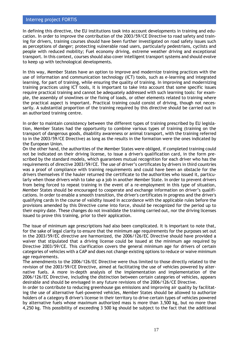In defining this directive, the EU institutions took into account developments in training and education. In order to improve the contribution of the 2003/59/CE Directive to road safety and training for drivers, training courses should have been further investigated on road safety issues such as perceptions of danger; protecting vulnerable road users, particularly pedestrians, cyclists and people with reduced mobility; Fuel economy driving, extreme weather driving and exceptional transport. In this context, courses should also cover intelligent transport systems and should evolve to keep up with technological developments.

In this way, Member States have an option to improve and modernize training practices with the use of information and communication technology (ICT) tools, such as e-learning and integrated learning, for part of training, while ensuring the quality of training. In improving and modernizing training practices using ICT tools, it is important to take into account that some specific issues require practical training and cannot be adequately addressed with such learning tools: for example, the assembly of snowlines or the fixing of loads, or other elements related to training where the practical aspect is important. Practical training could consist of driving, though not necessarily. A substantial proportion of the training required by this directive should be carried out in an authorized training centre.

In order to maintain consistency between the different types of training prescribed by EU legislation, Member States had the opportunity to combine various types of training (training on the transport of dangerous goods, disability awareness or animal transport, with the training referred to in the 2003/59/CE Directive) as long as the results in the formation were the ones indicated by the European Union.

On the other hand, the authorities of the Member States were obliged, if completed training could not be indicated on their driving license, to issue a driver's qualification card, in the form prescribed by the standard models, which guarantees mutual recognition for each driver who has the requirements of directive 2003/59/CE. The use of driver's certificates by drivers in third countries was a proof of compliance with training requirements and could have been an obstacle for the drivers themselves if the hauler returned the certificate to the authorities who issued it, particularly when those drivers wish to take up a job in another Member State. In order to prevent drivers from being forced to repeat training in the event of a re-employment in this type of situation, Member States should be encouraged to cooperate and exchange information on driver's qualifications. In order to enable a smooth transition, the driver's certificates in progress and the driver's qualifying cards in the course of validity issued in accordance with the applicable rules before the provisions amended by this Directive come into force, should be recognized for the period up to their expiry date. These changes do not invalidate the training carried out, nor the driving licenses issued to prove this training, prior to their application.

The issue of minimum age prescriptions had also been complicated. It is important to note that, for the sake of legal clarity to ensure that the minimum age requirements for the purposes set out in the 2003/59/EC directive are harmonized, the 2006/126/EC Directive should have provided a waiver that stipulated that a driving license could be issued at the minimum age required by Directive 2003/59/CE. This clarification covers the general minimum age for drivers of certain categories of vehicles with a CAP and does not change existing options to reduce or waive minimum age requirements.

The amendments to the 2006/126/EC Directive were thus limited to those directly related to the revision of the 2003/59/CE Directive, aimed at facilitating the use of vehicles powered by alternative fuels. A more in-depth analysis of the implementation and implementation of the 2006/126/EC Directive, including the distinction between certain categories of vehicles, appears desirable and should be envisaged in any future revisions of the 2006/126/CE Directive.

In order to contribute to reducing greenhouse gas emissions and improving air quality by facilitating the use of alternative fuel-powered vehicles, Member States should be allowed to authorize holders of a category B driver's license in their territory to drive certain types of vehicles powered by alternative fuels whose maximum authorized mass is more than 3,500 kg, but no more than 4,250 kg. This possibility of exceeding 3 500 kg should be subject to the fact that the additional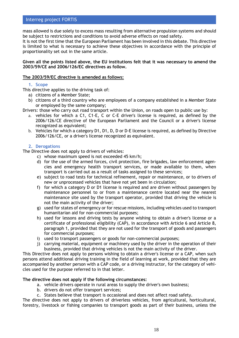mass allowed is due solely to excess mass resulting from alternative propulsion systems and should be subject to restrictions and conditions to avoid adverse effects on road safety.

It is not the first time that the European Parliament has been involved in this debate. This directive is limited to what is necessary to achieve these objectives in accordance with the principle of proportionality set out in the same article.

#### **Given all the points listed above, the EU institutions felt that it was necessary to amend the 2003/59/CE and 2006/126/EC directives as follow.**

## **The 2003/59/EC directive is amended as follows:**

## **1. Scope**

This directive applies to the driving task of:

- a) citizens of a Member State;
- b) citizens of a third country who are employees of a company established in a Member State or employed by the same company;

Drivers: those who carry out road transport within the Union, on roads open to public use by:

- a. vehicles for which a C1, C1-E, C or C-E driver's license is required, as defined by the 2006/126/CE directive of the European Parliament and the Council or a driver's license recognized as equivalent;
- b. Vehicles for which a category D1, D1, D, D or D-E license is required, as defined by Directive 2006/126/CE, or a driver's license recognized as equivalent.

## **2. Derogations**

The Directive does not apply to drivers of vehicles:

- c) whose maximum speed is not exceeded 45 km/h;
- d) for the use of the armed forces, civil protection, fire brigades, law enforcement agencies and emergency health transport services, or made available to them, when transport is carried out as a result of tasks assigned to these services;
- e) subject to road tests for technical refinement, repair or maintenance, or to drivers of new or unprocessed vehicles that have not yet been in circulation;
- f) for which a category D or D1 license is required and are driven without passengers by maintenance personnel to or from a maintenance centre located near the nearest maintenance site used by the transport operator, provided that driving the vehicle is not the main activity of the driver;
- g) used for states of emergency or for rescue missions, including vehicles used to transport humanitarian aid for non-commercial purposes;
- h) used for lessons and driving tests by anyone wishing to obtain a driver's license or a certificate of professional eligibility (CAP), in accordance with Article 6 and Article 8, paragraph 1, provided that they are not used for the transport of goods and passengers for commercial purposes;
- i) used to transport passengers or goods for non-commercial purposes;
- j) carrying material, equipment or machinery used by the driver in the operation of their business, provided that driving vehicles is not the main activity of the driver.

This Directive does not apply to persons wishing to obtain a driver's license or a CAP, when such persons attend additional driving training in the field of learning at work, provided that they are accompanied by another person with a CAP code, or a driving instructor, for the category of vehicles used for the purpose referred to in that letter.

#### **The directive does not apply if the following circumstances:**

- a. vehicle drivers operate in rural areas to supply the driver's own business;
- b. drivers do not offer transport services;
- c. States believe that transport is occasional and does not affect road safety.

The directive does not apply to drivers of driverless vehicles, from agricultural, horticultural, forestry, livestock or fishing companies to transport goods as part of their business, unless the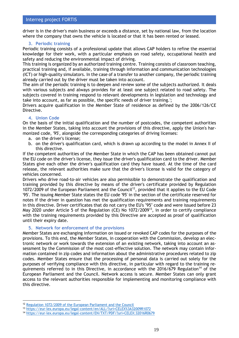driver is in the driver's main business or exceeds a distance, set by national law, from the location where the company that owns the vehicle is located or that it has been rented or leased.

# **3. Periodic training**

Periodic training consists of a professional update that allows CAP holders to refine the essential knowledge for their work, with a particular emphasis on road safety, occupational health and safety and reducing the environmental impact of driving.

This training is organized by an authorized training centre. Training consists of classroom teaching, practical training and, if available, training through information and communication technologies (ICT) or high-quality simulators. In the case of a transfer to another company, the periodic training already carried out by the driver must be taken into account.

The aim of the periodic training is to deepen and review some of the subjects authorized. It deals with various subjects and always provides for at least one subject related to road safety. The subjects covered in training respond to relevant developments in legislation and technology and take into account, as far as possible, the specific needs of driver training.';

Drivers acquire qualification in the Member State of residence as defined by the 2006/126/CE Directive.

# **4. Union Code**

On the basis of the initial qualification and the number of postcodes, the competent authorities in the Member States, taking into account the provisions of this directive, apply the Union's harmonized code, '95', alongside the corresponding categories of driving licenses:

- a. on the driver's license;
- b. on the driver's qualification card, which is drawn up according to the model in Annex II of this directive.

If the competent authorities of the Member State in which the CAP has been obtained cannot put the EU code on the driver's license, they issue the driver's qualification card to the driver. Member States give each other the driver's qualification card they have issued. At the time of the card release, the relevant authorities make sure that the driver's license is valid for the category of vehicles concerned.

Drivers who drive road-to-air vehicles are also permissible to demonstrate the qualification and training provided by this directive by means of the driver's certificate provided by Regulation 1072/2009 of the European Parliament and the Council<sup>12</sup>, provided that it applies to the EU Code '95'. The issuing Member State states the EU code '95' in the section of the certificate reserved for notes if the driver in question has met the qualification requirements and training requirements in this directive. Driver certificates that do not carry the EU's "95" code and were issued before 23 May 2020 under Article 5 of the Regulation (CE) No 1072/2009<sup>13</sup>, in order to certify compliance with the training requirements provided by this Directive are accepted as proof of qualification until their expiry date.

# **5. Network for enforcement of the provisions**

Member States are exchanging information on issued or revoked CAP codes for the purposes of the provisions. To this end, the Member States, in cooperation with the Commission, develop an electronic network or work towards the extension of an existing network, taking into account an assessment by the Commission of the most cost-effective solution. The network may contain information contained in zip codes and information about the administrative procedures related to zip codes. Member States ensure that the processing of personal data is carried out solely for the purposes of verifying compliance with this directive, in particular with regard to the training requirements referred to in this Directive, in accordance with the 2016/679 Regulation<sup>14</sup> of the European Parliament and the Council. Network access is secure. Member States can only grant access to the relevant authorities responsible for implementing and monitoring compliance with this directive.

<sup>12</sup> [Regulation 1072/2009 of the European Parliament and the Council](file:///C:/Users/UTENTE/AppData/Local/Microsoft/Windows/INetCache/Content.Outlook/H4ZHZVT9/Regulation%201072/2009%20of%20the%20European%20Parliament%20and%20the%20Council)

<sup>13</sup> <https://eur-lex.europa.eu/legal-content/en/ALL/?uri=CELEX%3A32009R1072>

<sup>14</sup> <https://eur-lex.europa.eu/legal-content/EN/TXT/PDF/?uri=CELEX:32016R0679>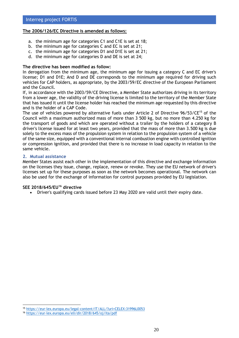## **The 2006/126/EC Directive is amended as follows:**

- a. the minimum age for categories C1 and C1E is set at 18;
- b. the minimum age for categories C and EC is set at 21;
- c. the minimum age for categories D1 and D1E is set at 21;
- d. the minimum age for categories D and DE is set at 24;

## **The directive has been modified as follow:**

In derogation from the minimum age, the minimum age for issuing a category C and EC driver's license; D1 and D1E; And D and DE corresponds to the minimum age required for driving such vehicles for CAP holders, as appropriate, by the 2003/59/EC directive of the European Parliament and the Council.

If, in accordance with the 2003/59/CE Directive, a Member State authorizes driving in its territory from a lower age, the validity of the driving license is limited to the territory of the Member State that has issued it until the license holder has reached the minimum age requested by this directive and is the holder of a CAP Code.

The use of vehicles powered by alternative fuels under Article 2 of Directive 96/53/CE<sup>15</sup> of the Council with a maximum authorized mass of more than 3 500 kg, but no more than 4.250 kg for the transport of goods and which are operated without a trailer by the holders of a category B driver's license issued for at least two years, provided that the mass of more than 3.500 kg is due solely to the excess mass of the propulsion system in relation to the propulsion system of a vehicle of the same size, equipped with a conventional internal combustion engine with controlled ignition or compression ignition, and provided that there is no increase in load capacity in relation to the same vehicle.

## **2. Mutual assistance**

Member States assist each other in the implementation of this directive and exchange information on the licenses they issue, change, replace, renew or revoke. They use the EU network of driver's licenses set up for these purposes as soon as the network becomes operational. The network can also be used for the exchange of information for control purposes provided by EU legislation.

# **SEE 2018/645/EU<sup>16</sup> directive**

• Driver's qualifying cards issued before 23 May 2020 are valid until their expiry date.

<sup>15</sup> <https://eur-lex.europa.eu/legal-content/IT/ALL/?uri=CELEX:31996L0053>

<sup>16</sup> <https://eur-lex.europa.eu/eli/dir/2018/645/oj/ita/pdf>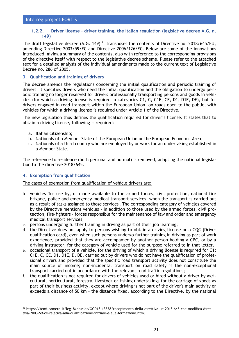## <span id="page-20-0"></span>**1.2.2. Driver license – driver training, the Italian regulation (legislative decree A.G. n. 149)**

The draft legislative decree  $(A.G. 149)^{17}$ , transposes the contents of Directive no. 2018/645/EU, amending Directive 2003/59/EC and Directive 2006/126/EC. Below are some of the innovations introduced, giving a summary of the contents, also with reference to the corresponding provisions of the directive itself with respect to the legislative decree scheme. Please refer to the attached text for a detailed analysis of the individual amendments made to the current text of Legislative Decree no. 286 of 2005.

## **3. Qualification and training of drivers**

The decree amends the regulations concerning the initial qualification and periodic training of drivers. It specifies drivers who need the initial qualification and the obligation to undergo periodic training no longer reserved for drivers professionally transporting persons and goods in vehicles (for which a driving license is required in categories C1, C, C1E, CE, D1, D1E, DE), but for drivers engaged in road transport within the European Union, on roads open to the public, with vehicles for which a driving license is required under Article 1 of the Directive.

The new legislation thus defines the qualification required for driver's license. It states that to obtain a driving license, following is required:

- a. Italian citizenship;
- b. Nationals of a Member State of the European Union or the European Economic Area;
- c. Nationals of a third country who are employed by or work for an undertaking established in a Member State.

The reference to residence (both personal and normal) is removed, adapting the national legislation to the directive 2018/645.

## **4. Exemption from qualification**

The cases of exemption from qualification of vehicle drivers are:

- b. vehicles 'for use by, or made available to the armed forces, civil protection, national fire brigade, police and emergency medical transport services, when the transport is carried out as a result of tasks assigned to those services'. The corresponding category of vehicles covered by the Directive mentions vehicles - in addition to those used by the armed forces, civil protection, fire-fighters - forces responsible for the maintenance of law and order and emergency medical transport services;
- c. persons undergoing further training in driving as part of their job learning;
- d. the Directive does not apply to persons wishing to obtain a driving license or a CQC (Driver qualification card), even when such persons undergo further training in driving as part of work experience, provided that they are accompanied by another person holding a CPC, or by a driving instructor, for the category of vehicle used for the purpose referred to in that letter.
- e. occasional transport of a vehicle, for the driving of which a driving license is required for C1; C1E, C, CE, D1, D1E, D, DE, carried out by drivers who do not have the qualification of professional drivers and provided that the specific road transport activity does not constitute the main source of income; non-incidental transport on road safety is the non-exceptional transport carried out in accordance with the relevant road traffic regulations;
- the qualification is not required for drivers of vehicles used or hired without a driver by agricultural, horticultural, forestry, livestock or fishing undertakings for the carriage of goods as part of their business activity, except where driving is not part of the driver's main activity or exceeds a distance of 50 km - the distance fixed, according to the Directive, by the national

<sup>17</sup> https://temi.camera.it/leg18/dossier/OCD18-13338/recepimento-della-direttiva-ue-2018-645-che-modifica-direttiva-2003-59-ce-relativa-alla-qualificazione-iniziale-e-alla-formazione.html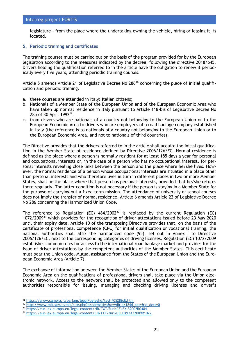legislature - from the place where the undertaking owning the vehicle, hiring or leasing it, is located.

## **5. Periodic training and certificates**

The training courses must be carried out on the basis of the program provided for by the European legislation according to the measures indicated by the decree, following the directive 2018/645. Drivers holding the qualification referred to in the article have the obligation to renew it periodically every five years, attending periodic training courses.

Article 5 amends Article 21 of Legislative Decree No 286<sup>18</sup> concerning the place of initial qualification and periodic training.

- a. these courses are attended in Italy: Italian citizens;
- b. Nationals of a Member State of the European Union and of the European Economic Area who have taken up normal residence in Italy pursuant to Article 118-bis of Legislative Decree No 285 of 30 April 1992<sup>19</sup>.
- c. from drivers who are nationals of a country not belonging to the European Union or to the European Economic Area to drivers who are employees of a road haulage company established in Italy (the reference is to nationals of a country not belonging to the European Union or to the European Economic Area, and not to nationals of third countries).

The Directive provides that the drivers referred to in the article shall acquire the initial qualification in the Member State of residence defined by Directive 2006/126/EC. Normal residence is defined as the place where a person is normally resident for at least 185 days a year for personal and occupational interests or, in the case of a person who has no occupational interest, for personal interests revealing close links between the person and the place where he/she lives. However, the normal residence of a person whose occupational interests are situated in a place other than personal interests and who therefore lives in turn in different places in two or more Member States, shall be the place where that person has personal interests, provided that he/she returns there regularly. The latter condition is not necessary if the person is staying in a Member State for the purpose of carrying out a fixed-term mission. The attendance of university or school courses does not imply the transfer of normal residence. Article 6 amends Article 22 of Legislative Decree No 286 concerning the Harmonized Union Code.

The reference to Regulation (EC)  $484/2002^{20}$  is replaced by the current Regulation (EC)  $1072/2009<sup>21</sup>$  which provides for the recognition of driver attestations issued before 23 May 2020 until their expiry date. Article 10 of the transposing Directive provides that, on the basis of the certificate of professional competence (CPC) for initial qualification or vocational training, the national authorities shall affix the harmonized code (95), set out in Annex I to Directive 2006/126/EC, next to the corresponding categories of driving licenses. Regulation (EC) 1072/2009 establishes common rules for access to the international road haulage market and provides for the issue of driver attestations by the competent authorities of the Member States. This certificate must bear the Union code. Mutual assistance from the States of the European Union and the European Economic Area (Article 7).

The exchange of information between the Member States of the European Union and the European Economic Area on the qualifications of professional drivers shall take place via the Union electronic network. Access to the network shall be protected and allowed only to the competent authorities responsible for issuing, managing and checking driving licenses and driver's

<sup>18</sup> <https://www.camera.it/parlam/leggi/deleghe/testi/05286dl.htm>

<sup>19</sup> [http://www.mit.gov.it/mit/site.php?p=normativa&o=vd&id=1&id\\_cat=&id\\_dett=0](https://www.mit.gov.it/mit/site.php?p=normativa&o=vd&id=1&id_cat=&id_dett=0)

<sup>20</sup> <https://eur-lex.europa.eu/legal-content/HR/TXT/?uri=CELEX:32002R0484>

<sup>21</sup> <https://eur-lex.europa.eu/legal-content/EN/TXT/?uri=CELEX%3A32009R1072>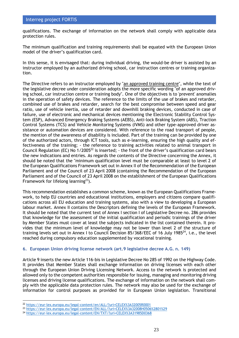qualifications. The exchange of information on the network shall comply with applicable data protection rules.

The minimum qualification and training requirements shall be equated with the European Union model of the driver's qualification card.

In this sense, it is envisaged that: during individual driving, the would-be driver is assisted by an instructor employed by an authorized driving school, car instruction centres or training organization.

The Directive refers to an instructor employed by "an approved training centre", while the text of the legislative decree under consideration adopts the more specific wording "of an approved driving school, car instruction centre or training body". One of the objectives is to 'prevent' anomalies in the operation of safety devices. The reference to the limits of the use of brakes and retarder, combined use of brakes and retarder, search for the best compromise between speed and gear ratio, use of vehicle inertia, use of retarder and downhill braking devices, conducted in case of failure, use of electronic and mechanical devices mentioning the Electronic Stability Control System (ESP), Advanced Emergency Braking Systems (AEBS), Anti-lock Braking System (ABS), Traction Control Systems (TCS) and Vehicle Monitoring Systems (IVMS) and other type-approved driver assistance or automation devices are considered. With reference to the road transport of people, the mention of the awareness of disability is included. Part of the training can be provided by one of the authorized actors, through ICT tools, such as e-learning, ensuring the high quality and effectiveness of the training; - the reference to training activities related to animal transport in Council Regulation (EC) No  $1/2005^{22}$  is inserted; - the front of the driver's qualification card bears the new indications and entries. As regards the contents of the Directive concerning the Annex, it should be noted that the "minimum qualification level must be comparable at least to level 2 of the European Qualifications Framework set out in Annex II of the Recommendation of the European Parliament and of the Council of 23 April 2008 (containing the Recommendation of the European Parliament and of the Council of 23 April 2008 on the establishment of the European Qualifications Framework for lifelong learning<sup>23</sup>).

This recommendation establishes a common scheme, known as the European Qualifications Framework, to help EU countries and educational institutions, employers and citizens compare qualifications across all EU education and training systems, also with a view to developing a European labour market. Annex II contains the Descriptors defining the levels of the European Framework. It should be noted that the current text of Annex I section I of Legislative Decree no. 286 provides that knowledge for the assessment of the initial qualification and periodic trainings of the driver by Member States must cover at least the subjects indicated in the list contained therein. It provides that the minimum level of knowledge may not be lower than level 2 of the structure of training levels set out in Annex I to Council Decision 85/368/EEC of 16 July 1985 $^{24}$ , i.e., the level reached during compulsory education supplemented by vocational training.

## **6. European Union driving license network (art.9 legislative decree A.G. n. 149)**

Article 9 inserts the new Article 116-bis in Legislative Decree No 285 of 1992 on the Highway Code. It provides that Member States shall exchange information on driving licenses with each other through the European Union Driving Licensing Network. Access to the network is protected and allowed only to the competent authorities responsible for issuing, managing and monitoring driving licenses and driving license qualifications. The exchange of information on the network shall comply with the applicable data protection rules. The network may also be used for the exchange of information for control purposes as provided for in European Union legislation. Transitional

<sup>22</sup> <https://eur-lex.europa.eu/legal-content/en/ALL/?uri=CELEX%3A32005R0001>

<sup>23</sup> <https://eur-lex.europa.eu/legal-content/EN/ALL/?uri=CELEX%3A32008H0506%2801%29>

<sup>24</sup> <https://eur-lex.europa.eu/legal-content/EN/TXT/?uri=CELEX%3A31985D0368>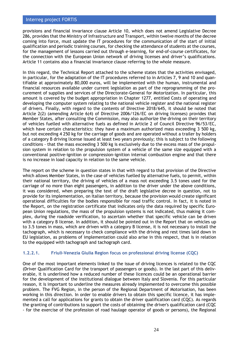provisions and financial invariance clause Article 10, which does not amend Legislative Decree 286, provides that the Ministry of Infrastructure and Transport, within twelve months of the decree coming into force, must update the IT procedures for the communication of the start of initial qualification and periodic training courses, for checking the attendance of students at the courses, for the management of lessons carried out through e-learning, for end-of-course certificates, for the connection with the European Union network of driving licenses and driver's qualifications. Article 11 contains also a financial invariance clause referring to the whole measure.

In this regard, the Technical Report attached to the scheme states that the activities envisaged, in particular, for the adaptation of the IT procedures referred to in Articles 7, 9 and 10 and quantifiable at approximately 80,000 euros, will be implemented with the human, instrumental and financial resources available under current legislation as part of the reprogramming of the procurement of supplies and services of the Directorate-General for Motorization. In particular, this amount is covered by the budget appropriation in Chapter 1277, entitled Costs of operating and developing the computer system relating to the national vehicle register and the national register of drivers. Finally, with regard to the contents of Directive 2018/645, it should be noted that Article 2(2) (amending Article 6(4) of Directive 2006/126/EC on driving licenses) provides that Member States, after consulting the Commission, may also authorize the driving on their territory of vehicles fuelled with alternative fuels as defined in Article 2 of Council Directive 96/53/EC, which have certain characteristics: they have a maximum authorized mass exceeding 3 500 kg, but not exceeding 4 250 kg for the carriage of goods and are operated without a trailer by holders of a category B driving license issued at least two years previously; this is subject to the following conditions - that the mass exceeding 3 500 kg is exclusively due to the excess mass of the propulsion system in relation to the propulsion system of a vehicle of the same size equipped with a conventional positive-ignition or compression-ignition internal combustion engine and that there is no increase in load capacity in relation to the same vehicle.

The report on the scheme in question states in that with regard to that provision of the Directive which allows Member States, in the case of vehicles fuelled by alternative fuels, to permit, within their national territory, the driving of vehicles of a mass not exceeding 3.5 tones used for the carriage of no more than eight passengers, in addition to the driver under the above conditions, it was considered, when preparing the text of the draft legislative decree in question, not to provide for its implementation, on Italian territory, because the provision would create significant operational difficulties for the bodies responsible for road traffic control. In fact, it is noted in the Report, on the registration certificate that indicates only the data required by specific European Union regulations, the mass of the propulsion systems is not indicated, thus making it complex, during the roadside verification, to ascertain whether that specific vehicle can be driven with a category B license. In addition, it should be pointed out in the Report that on vehicles up to 3.5 tones in mass, which are driven with a category B license, it is not necessary to install the tachograph, which is necessary to check compliance with the driving and rest times laid down in EU legislation, as problems of implementation could also arise in this respect, that is in relation to the equipped with tachograph and tachograph card.

## **1.2.2.1. Friuli-Venezia Giulia Region focus on professional driving license (CQC)**

One of the most important elements linked to the issue of driving licences is related to the CQC (Driver Qualification Card for the transport of passengers or goods). In the last part of this deliverable, it is underlined how a reduced number of these licences could be an operational barrier for the development of the institutional dialogue between Italy and Slovenia. For this particular reason, it is important to underline the measures already implemented to overcome this possible problem. The FVG Region, in the person of the Regional Department of Motorisation, has been working in this direction. In order to enable drivers to obtain this specific licence, it has implemented a call for applications for grants to obtain the driver qualification card (CQC). As regards the granting of contributions to support the costs of obtaining the driver's qualification card (CQC - for the exercise of the profession of road haulage operator of goods or persons), the Regional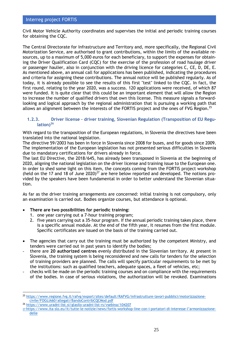Civil Motor Vehicle Authority coordinates and supervises the initial and periodic training courses for obtaining the CQC.

The Central Directorate for Infrastructure and Territory and, more specifically, the Regional Civil Motorization Service, are authorised to grant contributions, within the limits of the available resources, up to a maximum of 5,000 euros for each beneficiary, to support the expenses for obtaining the Driver Qualification Card (CQC) for the exercise of the profession of road haulage driver or passenger haulier, also in conjunction with the driving licence for categories C, CE, D, DE, E. As mentioned above, an annual call for applications has been published, indicating the procedures and criteria for assigning these contributions. The annual notice will be published regularly. As of today, it is already possible to see the results of this first "test" linked to the CQC. In fact, the first round, relating to the year 2020, was a success. 120 applications were received, of which 87 were funded. It is quite clear that this could be an important element that will allow the Region to increase the number of qualified drivers that own this license. This measure signals a forwardlooking and logical approach by the regional administration that is pursuing a working path that allows an alignment between the interests of the FORTIS project and the ones of FVG Region.<sup>25</sup>

# <span id="page-24-0"></span>**1.2.3. Driver license – driver training, Slovenian Regulation (Transposition of EU Regulation)<sup>26</sup>**

With regard to the transposition of the European regulations, in Slovenia the directives have been translated into the national legislation.

The directive 59/2003 has been in force in Slovenia since 2008 for buses, and for goods since 2009. The implementation of the European legislation has not presented serious difficulties in Slovenia due to mandatory certifications for drivers already in force.

The last EU Directive, the 2018/645, has already been transposed in Slovenia at the beginning of 2020, aligning the national legislation on the driver license and training issue to the European one. In order to shed some light on this item, the concepts coming from the FORTIS project workshop (held on the 17 and 18 of June 2020)<sup>27</sup> are here below reported and developed. The notions provided by the speakers have been fundamental in order to better understand the Slovenian situation.

As far as the driver training arrangements are concerned: initial training is not compulsory, only an examination is carried out. Bodies organize courses, but attendance is optional.

## • **There are two possibilities for periodic training:**

- 1. one year carrying out a 7-hour training program;
- 2. five years carrying out a 35-hour program. If the annual periodic training takes place, there is a specific annual module. At the end of the fifth year, it resumes from the first module. Specific certificates are issued on the basis of the training carried out.
- The agencies that carry out the training must be authorized by the competent Ministry, and tenders were carried out in past years to identify the bodies;
- there are **20 authorized centres** evenly distributed in the Slovenian territory. At present in Slovenia, the training system is being reconsidered and new calls for tenders for the selection of training providers are planned. The calls will specify particular requirements to be met by the institutions: such as qualified teachers, adequate spaces, a fleet of vehicles, etc;
- checks will be made on the periodic training courses and on compliance with the requirements of the bodies. In case of serious violations, the authorization will be revoked. Examinations

<sup>25</sup> [https://www.regione.fvg.it/rafvg/export/sites/default/RAFVG/infrastrutture-lavori-pubblici/motorizzazione](https://www.regione.fvg.it/rafvg/export/sites/default/RAFVG/infrastrutture-lavori-pubblici/motorizzazione-civile/FOGLIA60/allegati/BandoContribCQCMod.pdf)[civile/FOGLIA60/allegati/BandoContribCQCMod.pdf](https://www.regione.fvg.it/rafvg/export/sites/default/RAFVG/infrastrutture-lavori-pubblici/motorizzazione-civile/FOGLIA60/allegati/BandoContribCQCMod.pdf)

<sup>26</sup> [https://www.uradni-list.si/glasilo-uradni-list-rs/vsebina/104207](file:///C:/Users/UTENTE/AppData/Local/Microsoft/Windows/INetCache/Content.Outlook/H4ZHZVT9/%09https:/www.uradni-list.si/glasilo-uradni-list-rs/vsebina/104207)

<sup>27</sup> [https://www.ita-slo.eu/it/tutte-le-notizie/news/fortis-workshop-line-con-i-portatori-di-interesse-](https://www.ita-slo.eu/it/tutte-le-notizie/news/fortis-workshop-line-con-i-portatori-di-interesse-l’armonizzazione-delle)l'armonizzazione[delle](https://www.ita-slo.eu/it/tutte-le-notizie/news/fortis-workshop-line-con-i-portatori-di-interesse-l’armonizzazione-delle)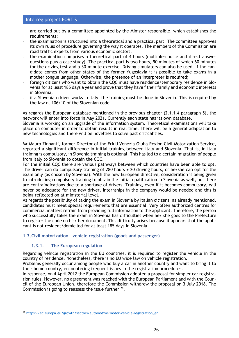are carried out by a committee appointed by the Minister responsible, which establishes the requirements;

- the examination is structured into a theoretical and a practical part. The committee approves its own rules of procedure governing the way it operates. The members of the Commission are road traffic experts from various economic sectors;
- the examination comprises a theoretical part of 4 hours (multiple-choice and direct answer questions plus a case study). The practical part is two hours, 90 minutes of which 60 minutes for the driving test and a 30-minute exercise. Driving simulators can also be used. If the candidate comes from other states of the former Yugoslavia it is possible to take exams in a mother tongue language. Otherwise, the presence of an interpreter is required;
- foreign citizens who want to obtain the CQC must have residence/temporary residence in Slovenia for at least 185 days a year and prove that they have f their family and economic interests in Slovenia;
- if a Slovenian driver works in Italy, the training must be done in Slovenia. This is required by the law n. 106/10 of the Slovenian code.

As regards the European database mentioned in the previous chapter (2.1.1.4 paragraph 5), the network will enter into force in May 2021. Currently each state has its own database.

Slovenia is working on an upgrade of the information system. Theoretical examinations will take place on computer in order to obtain results in real time. There will be a general adaptation to new technologies and there will be novelties to solve past criticalities.

Mr Mauro Zinnanti, former Director of the Friuli Venezia Giulia Region Civil Motorization Service, reported a significant difference in initial training between Italy and Slovenia. That is, in Italy training is compulsory, in Slovenia training is optional. This has led to a certain migration of people from Italy to Slovenia to obtain the CQC.

For the initial CQC there are various pathways between which countries have been able to opt. The driver can do compulsory training of 280 hours + 20 driving hours, or he/she can opt for the exam only (as chosen by Slovenia). With the new European directive, consideration is being given to introducing compulsory training to obtain the initial qualification in Slovenia as well, but there are contraindications due to a shortage of drivers. Training, even if it becomes compulsory, will never be adequate for the new driver, internships in the company would be needed and this is being reflected on at ministerial level.

As regards the possibility of taking the exam in Slovenia by Italian citizens, as already mentioned, candidates must meet special requirements that are essential. Very often authorized centres for commercial matters refrain from providing full information to the applicant. Therefore, the person who successfully takes the exam in Slovenia has difficulties when he/ she goes to the Prefecture to register the code on his/ her document. This difficulty arises because it appears that the applicant is not resident/domiciled for at least 185 days in Slovenia.

## <span id="page-25-1"></span><span id="page-25-0"></span>**1.3.Civil motorization – vehicle registration (goods and passenger)**

# **1.3.1. The European regulation**

Regarding vehicle registration in the EU countries, it is required to register the vehicle in the country of residence. Nonetheless, there is no EU wide law on vehicle registration.

Problems generally occur among people who buy a car in another country and want to bring it to their home country, encountering frequent issues in the registration procedures.

In response, on 4 April 2012 the European Commission adopted a proposal for simpler car registration rules. However, no agreement was reached with the European Parliament and with the Council of the European Union, therefore the Commission withdrew the proposal on 3 July 2018. The Commission is going to reassess the issue further  $^{28}$ .

<sup>28</sup> [https://ec.europa.eu/growth/sectors/automotive/motor-vehicle-registration\\_en](https://ec.europa.eu/growth/sectors/automotive/motor-vehicle-registration_en)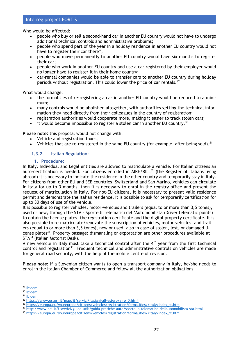## Who would be affected:

- people who buy or sell a second-hand car in another EU country would not have to undergo additional technical controls and administrative problems;
- people who spend part of the year in a holiday residence in another EU country would not have to register their car there";
- people who move permanently to another EU country would have six months to register their car;
- people who work in another EU country and use a car registered by their employer would no longer have to register it in their home country;
- car-rental companies would be able to transfer cars to another EU country during holiday periods without registration. This could lower the price of car rentals.<sup>29</sup>

## What would change:

- the formalities of re-registering a car in another EU country would be reduced to a minimum;
- many controls would be abolished altogether, with authorities getting the technical information they need directly from their colleagues in the country of registration;
- registration authorities would cooperate more, making it easier to track stolen cars;
- it would become impossible to register a stolen car in another EU country.<sup>30</sup>

## **Please note:** this proposal would not change with:

- Vehicle and registration taxes;
- <span id="page-26-0"></span>• Vehicles that are re-registered in the same EU country (for example, after being sold).<sup>31</sup>

## **1.3.2. Italian Regulation:**

## **1. Procedure:**

In Italy, Individual and Legal entities are allowed to matriculate a vehicle. For Italian citizens an auto-certification is needed. For citizens enrolled in  $AIRE/RILL^{32}$  (the Register of Italians living abroad) it is necessary to indicate the residence in the other country and temporarily stay in Italy. For citizens from other EU and SEE countries, Switzerland and San Marino, vehicles can circulate in Italy for up to 3 months, then it is necessary to enrol in the registry office and present the request of matriculation in Italy. For not-EU citizens, it is necessary to present valid residence permit and demonstrate the Italian residence. It is possible to ask for temporarily certification for up to 30 days of use of the vehicle.

It is possible to register vehicles, motor-vehicles and trailers (equal to or more than 3,5 tones), used or new, through the STA - Sportelli Telematici dell'Automobilista (Driver telematic points) to obtain the license plates, the registration certificate and the digital property certificate. It is also possible to re-matriculate/renovate the subscription of vehicles, motor-vehicles, and trailers (equal to or more than 3,5 tones), new or used, also in case of stolen, lost, or damaged license plates<sup>33</sup>. Property passage: dismantling or exportation are other procedures available at STA<sup>34</sup> (Italian Motorist Desk).

A new vehicle in Italy must take a technical control after the  $4<sup>th</sup>$  year from the first technical control and registration<sup>35</sup>. Frequent technical and administrative controls on vehicles are made for general road security, with the help of the mobile centre of revision.

**Please note:** If a Slovenian citizen wants to open a transport company in Italy, he/she needs to enrol in the Italian Chamber of Commerce and follow all the authorization obligations.

<sup>29</sup> [Ibidem;](https://ec.europa.eu/growth/sectors/automotive/motor-vehicle-registration_en)

<sup>&</sup>lt;sup>30</sup> [Ibidem;](https://ec.europa.eu/growth/sectors/automotive/motor-vehicle-registration_en)

<sup>&</sup>lt;sup>31</sup> [Ibidem;](https://ec.europa.eu/growth/sectors/automotive/motor-vehicle-registration_en)

<sup>32</sup> https://www.esteri.it/mae/it/servizi/Italiani-all-estero/aire\_0.html

<sup>33</sup> [https://europa.eu/youreurope/citizens/vehicles/registration/formalities//italy/index\\_it.htm](https://europa.eu/youreurope/citizens/vehicles/registration/formalities/italy/index_it.htm)

<sup>34</sup> <http://www.aci.it/i-servizi/guide-utili/guida-pratiche-auto/sportello-telematico-dellautomobilista-sta.html>

<sup>35</sup> [https://europa.eu/youreurope/citizens/vehicles/registration/formalities//italy/index\\_it.htm](https://europa.eu/youreurope/citizens/vehicles/registration/formalities/italy/index_it.htm)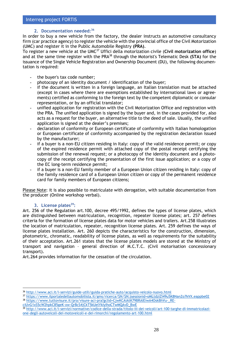# **2. Documentation needed:<sup>36</sup>**

In order to buy a new vehicle from the factory, the dealer instructs an automotive consultancy firm (car practice agency) to register the vehicle with the provincial office of the Civil Motorization (UMC) and register it in the Public Automobile Registry **(PRA)**.

To register a new vehicle at the UMC<sup>37</sup> Uffici della motorization civile (**Civil motorization office**) and at the same time register with the PRA<sup>38</sup> through the Motorist's Telematic Desk **(STA)** for the issuance of the Single Vehicle Registration and Ownership Document (DU), the following documentation is required:

- **-** the buyer's tax code number;
- **-** photocopy of an identity document / identification of the buyer;
- **-** if the document is written in a foreign language, an Italian translation must be attached (except in cases where there are exemptions established by international laws or agreements) certified as conforming to the foreign text by the competent diplomatic or consular representation, or by an official translator;
- **-** unified application for registration with the Civil Motorization Office and registration with the PRA. The unified application is signed by the buyer and, in the cases provided for, also acts as a request for the buyer, an alternative title to the deed of sale. Usually, the unified application is signed at the dealer's premises;
- **-** declaration of conformity or European certificate of conformity with Italian homologation or European certificate of conformity accompanied by the registration declaration issued by the manufacturer;
- **-** if a buyer is a non-EU citizen residing in Italy: copy of the valid residence permit; or copy of the expired residence permit with attached copy of the postal receipt certifying the submission of the renewal request; or a photocopy of the identity document and a photocopy of the receipt certifying the presentation of the first issue application; or a copy of the EC long-term residence permit;
- **-** if a buyer is a non-EU family member of a European Union citizen residing in Italy: copy of the family residence card of a European Union citizen or copy of the permanent residence card for family members of European citizens;

Please Note: it is also possible to matriculate with derogation, with suitable documentation from the producer (Online workshop verbal).

# **3. License plates<sup>39</sup>:**

Art. 256 of the Regulation art.100, decree 495/1992, defines the types of license plates, which are distinguished between matriculation, recognition, repeater license plates; art. 257 defines criteria for the formation of license plates data for motor vehicles and trailers. Art.258 illustrates the location of matriculation, repeater, recognition license plates. Art. 259 defines the ways of license plates installation. Art. 260 depicts the characteristics for the construction, dimension, photometric, chromatic, readability of license plates, as well as requirements for the suitability of their acceptation. Art.261 states that the license plates models are stored at the Ministry of transport and navigation – general direction of M.C.T.C. (Civil motorisation concessionary transport).

Art.264 provides information for the cessation of the circulation.

37 [https://www.ilportaledellautomobilista.it/gms/ricerca/\\$N/\\$N;jsessionid=oMLtdziZI49u5K8NanZo7kVX.eappbe02](https://www.ilportaledellautomobilista.it/gms/ricerca/$N/$N;jsessionid=oMLtdziZI49u5K8NanZo7kVX.eappbe02) <sup>38</sup> https://www.tuttovisure.it/pra/visure-aci-pra?gclid=CjwKCAiAtK79BRAIEiwA4OskBhVu-\_REciUvG1xS5cW2hpkC85geK-xw-QrBcS4jCkT5kUelYkIyIhoCTwMQAvD\_BwE

39 [http://www.aci.it/i-servizi/normative/codice-della-strada/titolo-iii-dei-veicoli/art-100-targhe-di-immatricolazi](http://www.aci.it/i-servizi/normative/codice-della-strada/titolo-iii-dei-veicoli/art-100-targhe-di-immatricolazione-degli-autoveicoli-dei-motoveicoli-e-dei-rimorchi/regolamento-art-100.html)[one-degli-autoveicoli-dei-motoveicoli-e-dei-rimorchi/regolamento-art-100.html](http://www.aci.it/i-servizi/normative/codice-della-strada/titolo-iii-dei-veicoli/art-100-targhe-di-immatricolazione-degli-autoveicoli-dei-motoveicoli-e-dei-rimorchi/regolamento-art-100.html)

<sup>36</sup> <http://www.aci.it/i-servizi/guide-utili/guida-pratiche-auto/acquisto-veicolo-nuovo.html>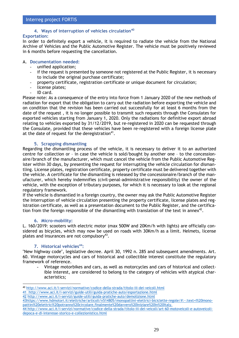# **4. Ways of interruption of vehicles circulation<sup>40</sup>**

## **Exportation:**

In order to definitely export a vehicle, it is required to radiate the vehicle from the National Archive of Vehicles and the Public Automotive Register. The vehicle must be positively reviewed in 6 months before requesting the cancellation.

## A. **Documentation needed:**

- unified application;
- if the request is presented by someone not registered at the Public Register, it is necessary to include the original purchase certificate;
- property certificate, registration certificate or unique document for circulation;
- license plates;
- ID card.

Please note: As a consequence of the entry into force from 1 January 2020 of the new methods of radiation for export that the obligation to carry out the radiation before exporting the vehicle and on condition that the revision has been carried out successfully for at least 6 months from the date of the request , it is no longer possible to transmit such requests through the Consulates for exported vehicles starting from January 1, 2020. Only the radiations for definitive export abroad relating to vehicles exported by 31/12/2019, but re-registered in 2020 can be requested through the Consulate, provided that these vehicles have been re-registered with a foreign license plate at the date of request for the deregistration $41$ .

# **5. Scrapping dismantling**

Regarding the dismantling process of the vehicle, it is necessary to deliver it to an authorized centre for collection or – in case the vehicle is sold/bought by another one – to the concessionaire/branch of the manufacturer, which must cancel the vehicle from the Public Automotive Register within 30 days, by presenting the request for interrupting the vehicle circulation for dismantling. License plates, registration certificate, property certificate must be delivered together with the vehicle. A certificate for the dismantling is released by the concessionaire/branch of the manufacturer, which hereby indemnifies (civil-penal-administrative responsibility) the owner of the vehicle, with the exception of tributary purposes, for which it is necessary to look at the regional regulatory framework.

If the vehicle is dismantled in a foreign country, the owner may ask the Public Automotive Register the Interruption of vehicle circulation presenting the property certificate, license plates and registration certificate, as well as a presentation document to the Public Register, and the certification from the foreign responsible of the dismantling with translation of the text in annex<sup>42</sup>.

## **6. Micro-mobility:**

L. 160/2019: scooters with electric motor (max 500W and 20Km/h with lights) are officially considered as bicycles, which may now be used on roads with 30Km/h as a limit. Helmets, license plates and insurances are not compulsory<sup>43</sup>.

## **7. Historical vehicles<sup>44</sup>:**

"New highway code", legislative decree. April 30, 1992 n. 285 and subsequent amendments. Art. 60. Vintage motorcycles and cars of historical and collectible interest constitute the regulatory framework of reference.

**-** Vintage motorbikes and cars, as well as motorcycles and cars of historical and collectible interest, are considered to belong to the category of vehicles with atypical characteristics;

42 <http://www.aci.it/i-servizi/guide-utili/guida-pratiche-auto/demolizione.html>

<sup>40</sup> <http://www.aci.it/i-servizi/normative/codice-della-strada/titolo-iii-dei-veicoli.html> 41 <http://www.aci.it/i-servizi/guide-utili/guida-pratiche-auto/esportazione.html>

<sup>4</sup>[3https://www.hdmotori.it/elettriche/articoli/n514805/monopattini-elettrici-biciclette-regole/#:~:text=I%20mono](https://www.hdmotori.it/elettriche/articoli/n514805/monopattini-elettrici-biciclette-regole/#:~:text=I%20monopattini%20elettrici%20potranno%20circolare,finalmente%20davvero%20iniziare%20in%20Italia.)[pattini%20elettrici%20potranno%20circolare,finalmente%20davvero%20iniziare%20in%20Italy.](https://www.hdmotori.it/elettriche/articoli/n514805/monopattini-elettrici-biciclette-regole/#:~:text=I%20monopattini%20elettrici%20potranno%20circolare,finalmente%20davvero%20iniziare%20in%20Italia.)

<sup>44</sup> [http://www.aci.it/i-servizi/normative/codice-della-strada/titolo-iii-dei-veicoli/art-60-motoveicoli-e-autoveicoli](http://www.aci.it/i-servizi/normative/codice-della-strada/titolo-iii-dei-veicoli/art-60-motoveicoli-e-autoveicoli-depoca-e-di-interesse-storico-e-collezionistico.html)[depoca-e-di-interesse-storico-e-collezionistico.html](http://www.aci.it/i-servizi/normative/codice-della-strada/titolo-iii-dei-veicoli/art-60-motoveicoli-e-autoveicoli-depoca-e-di-interesse-storico-e-collezionistico.html)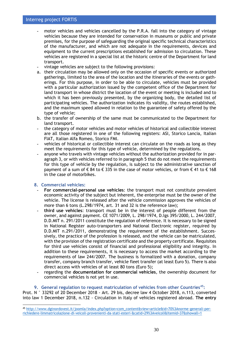- **-** motor vehicles and vehicles cancelled by the P.R.A. fall into the category of vintage vehicles because they are intended for conservation in museums or public and private premises, for the purpose of safeguarding the original specific technical characteristics of the manufacturer, and which are not adequate in the requirements, devices and equipment to the current prescriptions established for admission to circulation. These vehicles are registered in a special list at the historic centre of the Department for land transport.
- **-** vintage vehicles are subject to the following provisions:
- a. their circulation may be allowed only on the occasion of specific events or authorized gatherings, limited to the area of the location and the itineraries of the events or gatherings. For this purpose, in order to be able to circulate, vehicles must be provided with a particular authorization issued by the competent office of the Department for land transport in whose district the location of the event or meeting is included and to which it has been previously presented, by the organizing body, the detailed list of participating vehicles. The authorization indicates its validity, the routes established, and the maximum speed allowed in relation to the guarantee of safety offered by the type of vehicle;
- b. the transfer of ownership of the same must be communicated to the Department for land transport.
- **-** the category of motor vehicles and motor vehicles of historical and collectible interest are all those registered in one of the following registers: ASI, Storico Lancia, Italian FIAT, Italian Alfa Romeo, Storico FMI.
- **-** vehicles of historical or collectible interest can circulate on the roads as long as they meet the requirements for this type of vehicle, determined by the regulations.
- **-** anyone who travels with vintage vehicles without the authorization provided for in paragraph 3, or with vehicles referred to in paragraph 5 that do not meet the requirements for this type of vehicle by the regulation, is subject to the administrative sanction of payment of a sum of € 84 to € 335 in the case of motor vehicles, or from € 41 to € 168 in the case of motorbikes.

#### **8. Commercial vehicles:**

- **- For commercial-personal use vehicles**: the transport must not constitute prevalent economic activity of the subject but inherent, the enterprise must be the owner of the vehicle. The license is released after the vehicle commission approves the vehicles of more than 6 tons (L.298/1974, art. 31 and 32 is the reference law);
- **- third use vehicles**: transport must be in the interest of people different from the owner, and against payment. CE 1071/2009, L. 298/1974, D.lgs 395/2000, L. 244/2007, D.D.MIT n. 291/2011 constitute the regulation of reference. It is necessary to be signed in National Register auto-transporters and National Electronic register, required by D.D.MIT n.291/2011, demonstrating the requirement of the establishment. Successively, the practice of the profession is released, and the vehicle can be matriculated, with the provision of the registration certificate and the property certificate. Requisites for third use vehicles consist of financial and professional eligibility and integrity. In addition to these requirements, it is necessary to access the market according to the requirements of law 244/2007. The business is formalized with a donation, company transfer, company branch transfer, vehicle fleet transfer (at least Euro 5). There is also direct access with vehicles of at least 80 tons (Euro 5);
- **-** regarding the **documentation for commercial vehicles**, the ownership document for commercial vehicles is not yet in use.

#### **9. General regulation to request matriculation of vehicles from other Countries<sup>45</sup>:**

Prot. N ° 33292 of 20 December 2018 - Art. 29 bis, decree law 4 October 2018, n.113, converted into law 1 December 2018, n.132 - Circulation in Italy of vehicles registered abroad. **The entry** 

<sup>45</sup> [http://www.dgtnordovest.it/joomla/index.php?option=com\\_content&view=article&id=70%3Anorme-generali-per](http://www.dgtnordovest.it/joomla/index.php?option=com_content&view=article&id=70%3Anorme-generali-per-richiedere-limmatricolazione-di-veicoli-provenienti-da-stati-esteri-&catid=29%3Aveicoli&Itemid=37&showall=1)[richiedere-limmatricolazione-di-veicoli-provenienti-da-stati-esteri-&catid=29%3Aveicoli&Itemid=37&showall=1](http://www.dgtnordovest.it/joomla/index.php?option=com_content&view=article&id=70%3Anorme-generali-per-richiedere-limmatricolazione-di-veicoli-provenienti-da-stati-esteri-&catid=29%3Aveicoli&Itemid=37&showall=1)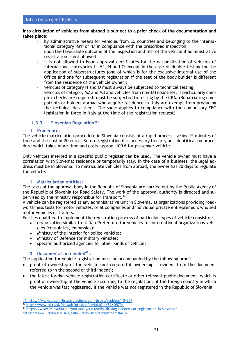## **into circulation of vehicles from abroad is subject to a prior check of the documentation and takes place:**

- **-** by administrative means for vehicles from EU countries and belonging to the international category "M1" or "L" in compliance with the prescribed inspection;
- **-** upon the favourable outcome of the inspection and test of the vehicle if administrative registration is not allowed;
- **-** it is not allowed to issue approval certificates for the nationalization of vehicles of international categories L, M1, N and O except in the case of double testing for the application of superstructures (one of which is for the exclusive internal use of the Office and one for subsequent registration if the seat of the body builder is different from the residence of the vehicle owner);
- **-** vehicles of category N and O must always be subjected to technical testing;
- **-** vehicles of category M2 and M3 and vehicles from non-EU countries, if particularly complex checks are required, must be subjected to testing by the CPA. (Repatriating compatriots or holders abroad who acquire residence in Italy are exempt from producing the technical data sheet. The same applies to compliance with the compulsory EEC legislation in force in Italy at the time of the registration request).

# <span id="page-30-0"></span>**1.3.3. Slovenian Regulation<sup>46</sup>:**

# **1. Procedure:**

The vehicle matriculation procedure in Slovenia consists of a rapid process, taking 15 minutes of time and the cost of 20 euros. Before registration it is necessary to carry out identification procedure which takes more time and costs approx. 100  $\epsilon$  for passenger vehicle.

Only vehicles inserted in a specific public register can be used. The vehicle owner must have a correlation with Slovenia: residence or temporarily stay. In the case of a business, the legal address must be in Slovenia. To matriculate vehicles from abroad, the owner has 30 days to regulate the vehicle.

# **2. Matriculation entities:**

The tasks of the approval body in the Republic of Slovenia are carried out by the Public Agency of the Republic of Slovenia for Road Safety. The work of the approval authority is directed and supervised by the ministry responsible for transport.<sup>47</sup>

A vehicle can be registered at any administrative unit in Slovenia, at organizations providing roadworthiness tests for motor vehicles, or at companies and individual private entrepreneurs who sell motor vehicles or trailers.

Entities qualified to implement the registration process of particular types of vehicle consist of:

- organization similar to Italian Prefecture for vehicles for international organizations vehicles (consulates, embassies);
- Ministry of the Interior for police vehicles;
- Ministry of Defence for military vehicles;
- specific authorized agencies for other kinds of vehicles.

# **3. Documentation needed<sup>48</sup> :**

The application for vehicle registration must be accompanied by the following proof:

- proof of ownership of the vehicle (not required if ownership is evident from the document referred to in the second or third indent);
- the latest foreign vehicle registration certificate or other relevant public document, which is proof of ownership of the vehicle according to the regulations of the foreign country in which the vehicle was last registered, if the vehicle was not registered in the Republic of Slovenia;

<sup>46</sup> <https://www.uradni-list.si/glasilo-uradni-list-rs/vsebina/104207>

<sup>47</sup> <http://www.pisrs.si/Pis.web/pregledPredpisa?id=ZAKO5791>

<sup>48</sup> <https://www.2slovenia.eu/you-and-your-family/driving-licence-car-registration-in-slovenia/>

<https://www.uradni-list.si/glasilo-uradni-list-rs/vsebina/104207>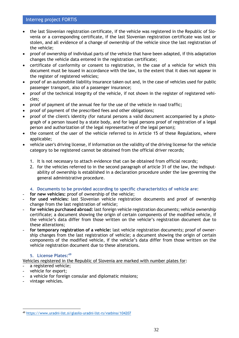- the last Slovenian registration certificate, if the vehicle was registered in the Republic of Slovenia or a corresponding certificate, if the last Slovenian registration certificate was lost or stolen, and all evidence of a change of ownership of the vehicle since the last registration of the vehicle;
- proof of ownership of individual parts of the vehicle that have been adapted, if this adaptation changes the vehicle data entered in the registration certificate;
- certificate of conformity or consent to registration, in the case of a vehicle for which this document must be issued in accordance with the law, to the extent that it does not appear in the register of registered vehicles;
- proof of an automobile liability insurance taken out and, in the case of vehicles used for public passenger transport, also of a passenger insurance;
- proof of the technical integrity of the vehicle, if not shown in the register of registered vehicles;
- proof of payment of the annual fee for the use of the vehicle in road traffic;
- proof of payment of the prescribed fees and other obligations;
- proof of the client's identity (for natural persons a valid document accompanied by a photograph of a person issued by a state body, and for legal persons proof of registration of a legal person and authorization of the legal representative of the legal person);
- the consent of the user of the vehicle referred to in Article 15 of these Regulations, where applicable;
- vehicle user's driving license, if information on the validity of the driving license for the vehicle category to be registered cannot be obtained from the official driver records;
	- 1. It is not necessary to attach evidence that can be obtained from official records;
	- 2. for the vehicles referred to in the second paragraph of article 31 of the law, the indisputability of ownership is established in a declaration procedure under the law governing the general administrative procedure.

## **4. Documents to be provided according to specific characteristics of vehicle are:**

- **- for new vehicles:** proof of ownership of the vehicle;
- **- for used vehicles:** last Slovenian vehicle registration documents and proof of ownership change from the last registration of vehicle;
- **- for vehicles purchased abroad:** last foreign vehicle registration documents; vehicle ownership certificate; a document showing the origin of certain components of the modified vehicle, if the vehicle's data differ from those written on the vehicle's registration document due to these alterations;
- **- for temporary registration of a vehicle:** last vehicle registration documents; proof of ownership changes from the last registration of vehicle; a document showing the origin of certain components of the modified vehicle, if the vehicle's data differ from those written on the vehicle registration document due to these alterations.

## **5. License Plates:<sup>49</sup>**

Vehicles registered in the Republic of Slovenia are marked with number plates for:

- **-** a registered vehicle;
- **-** vehicle for export;
- **-** a vehicle for foreign consular and diplomatic missions;
- **-** vintage vehicles.

<sup>49</sup> https://www.uradni-list.si/glasilo-uradni-list-rs/vsebina/104207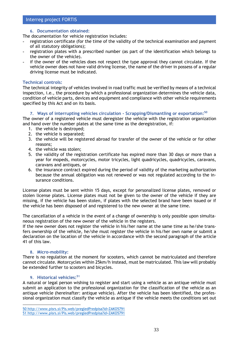## **6. Documentation obtained:**

The documentation for vehicle registration includes:

- **-** registration certificate (for the time of the validity of the technical examination and payment of all statutory obligations);
- **-** registration plates with a prescribed number (as part of the identification which belongs to the owner of the vehicle).
- **-** if the owner of the vehicles does not respect the type approval they cannot circulate. If the vehicle owner does not have valid driving license, the name of the driver in possess of a regular driving license must be indicated.

## **Technical controls:**

The technical integrity of vehicles involved in road traffic must be verified by means of a technical inspection, i.e., the procedure by which a professional organization determines the vehicle data, condition of vehicle parts, devices and equipment and compliance with other vehicle requirements specified by this Act and on its basis.

## **7. Ways of interrupting vehicles circulation - Scrapping/Dismantling or exportation:<sup>50</sup>**

The owner of a registered vehicle must deregister the vehicle with the registration organization and hand over the number plates at the same time as the deregistration, if:

- 1. the vehicle is destroyed;
- 2. the vehicle is separated;
- 3. the vehicle will be registered abroad for transfer of the owner of the vehicle or for other reasons;
- 4. the vehicle was stolen;
- 5. the validity of the registration certificate has expired more than 30 days or more than a year for mopeds, motorcycles, motor tricycles, light quadricycles, quadricycles, caravans, caravans and antiques, or
- 6. the insurance contract expired during the period of validity of the marketing authorization because the annual obligation was not renewed or was not regulated according to the insurance conditions.

License plates must be sent within 15 days, except for personalized license plates, removed or stolen license plates. License plates must not be given to the owner of the vehicle if they are missing, if the vehicle has been stolen, if plates with the selected brand have been issued or if the vehicle has been disposed of and registered to the new owner at the same time.

The cancellation of a vehicle in the event of a change of ownership is only possible upon simultaneous registration of the new owner of the vehicle in the registers.

If the new owner does not register the vehicle in his/her name at the same time as he/she transfers ownership of the vehicle, he/she must register the vehicle in his/her own name or submit a declaration on the location of the vehicle in accordance with the second paragraph of the article 41 of this law.

## **8. Micro-mobility:**

There is no regulation at the moment for scooters, which cannot be matriculated and therefore cannot circulate. Motorcycles within 25km/h instead, must be matriculated. This law will probably be extended further to scooters and bicycles.

## **9. Historical vehicles:<sup>51</sup>**

A natural or legal person wishing to register and start using a vehicle as an antique vehicle must submit an application to the professional organization for the classification of the vehicle as an antique vehicle (hereinafter: antique vehicle). After the vehicle has been identified, the professional organization must classify the vehicle as antique if the vehicle meets the conditions set out

<sup>50</sup> http://www.pisrs.si/Pis.web/pregledPredpisa?id=ZAKO5791 51 <http://www.pisrs.si/Pis.web/pregledPredpisa?id=ZAKO5791>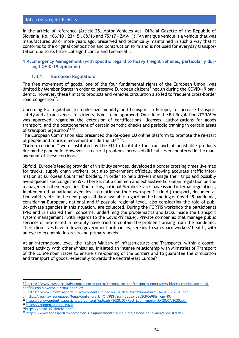in the article of reference (Article 25, Motor Vehicles Act, Official Gazette of the Republic of Slovenia, No. [106/10](http://www.uradni-list.si/1/objava.jsp?sop=2010-01-5475) , [23/15](http://www.uradni-list.si/1/objava.jsp?sop=2015-01-0897) , [68/16](http://www.uradni-list.si/1/objava.jsp?sop=2016-01-2927) and [75/17](http://www.uradni-list.si/1/objava.jsp?sop=2017-01-3592) - ZMV-1): "An antique vehicle is a vehicle that was manufactured 30 or more years ago, preserved and technically maintained in such a way that it conforms to the original composition and construction form and is not used for everyday transportation due to its historical significance and technical".

## <span id="page-33-0"></span>**1.4.Emergency Management (with specific regard to heavy freight vehicles, particularly during COVID-19 epidemic)**

## <span id="page-33-1"></span>**1.4.1. European Regulation:**

The free movement of goods, one of the four fundamental rights of the European Union, was limited by Member States in order to preserve European citizens' health during the COVID-19 pandemic. However, these limits to products and vehicles circulation also led to frequent cross-border road congestion<sup>52</sup>.

Upcoming EU regulation to modernize mobility and transport in Europe, to increase transport safety and attractiveness for drivers, is yet to be approved. On 4 June the EU Regulation 2020/696 was approved, regarding the extension of certifications, licenses, authorizations for goods transport, and the postponement of certain periodic checks and periodic training in certain areas of transport legislation<sup>53</sup> 54.

The European Commission also presented the **Re-open EU** online platform to promote the re-start of people and tourism movement inside the  $EU^{55,56}$ .

"Green corridors" were instituted by the EU to facilitate the transport of perishable products during the pandemic. However, structural problems increased difficulties encountered in the management of these corridors.

Sixfold, Europe's leading provider of visibility services, developed a border crossing times live map for trucks, supply chain workers, but also government officials, showing accurate traffic information at European Countries' borders, in order to help drivers manage their trips and possibly avoid queues and congestion57. There is not a common and exhaustive European regulation on the management of emergencies. Due to this, national Member States have issued internal regulations, implemented by national agencies, in relation so their own specific field (transport, documentation validity etc. In the next pages all data available regarding the handling of Covid-19 pandemic, considering European, national and if possible regional level, also considering the role of public/private agencies in this situation, are collected. During the FORTIS workshop the participants (PPs and SHs shared their concerns, underlining the problematics and lacks inside the transport system management, with regards to the Covid-19 issue). Private companies that manage public services or interested in mobility have tried to contain the problems arising from the pandemic. Their directives have followed government ordinances, seeking to safeguard workers' health, with an eye to economic interests and primary needs.

At an international level, the Italian Ministry of Infrastructures and Transports, within a coordinated activity with other Ministries, initiated an intense relationship with Ministries of Transport of the EU Member States to ensure a re-opening of the borders and to guarantee the circulation and transport of goods, especially towards the central-east Europe<sup>58</sup>.

<sup>52</sup> [https://www.trasporti-Italy.com/autotrasporto/coronavirus-conftrasporto-emergenza-blocco-camion-anche-ai](https://www.trasporti-italia.com/autotrasporto/coronavirus-conftrasporto-emergenza-blocco-camion-anche-ai-confini-con-slovenia-e-croazia/42129)[confini-con-slovenia-e-croazia/42129](https://www.trasporti-italia.com/autotrasporto/coronavirus-conftrasporto-emergenza-blocco-camion-anche-ai-confini-con-slovenia-e-croazia/42129)

<sup>53</sup> <https://www.uniontrasporti.it/wp-content/uploads/2020/07/Restrizioni-merci-Ue-20.07.2020.pdf>

<sup>5</sup>[4https://eur-lex.europa.eu/legal-content/EN/TXT/PDF/?uri=CELEX:32020R0698&from=RO](https://eur-lex.europa.eu/legal-content/EN/TXT/PDF/?uri=CELEX:32020R0698&from=RO)

<sup>55</sup> <https://www.uniontrasporti.it/wp-content/uploads/2020/07/Restrizioni-merci-Ue-20.07.2020.pdf>

<sup>56</sup> <https://reopen.europa.eu/it>

<sup>57</sup><https://covid-19.sixfold.com/>

<sup>58</sup> <https://www.fedespedi.it/coronavirus-aggiornamento-sulla-circolazione-delle-merci-via-strada/>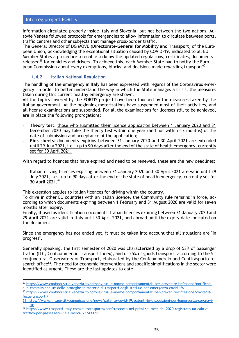Information circulated properly inside Italy and Slovenia, but not between the two nations. Autovie Venete followed protocols for emergencies to allow information to circulate between ports, traffic centres and other subjects that manage cross-border traffic.

The General Director of DG MOVE (**Directorate-General for Mobility and Transport**) of the European Union, acknowledging the exceptional situation caused by COVID-19, indicated to all EU Member States a procedure to enable to know the updated regulations, certificates, documents released<sup>59</sup> for vehicles and drivers. To achieve this, each Member State had to notify the European Commission about every exemptions, blocks, and decisions made regarding transport $^{60}$ .

# <span id="page-34-0"></span>**1.4.2. Italian National Regulation**

The handling of the emergency in Italy has been expressed with regards of the Coronavirus emergency. In order to better understand the way in which the State manages a crisis, the measures taken during this current healthy emergency are shown.

All the topics covered by the FORTIS project have been touched by the measures taken by the Italian government. At the beginning motorizations have suspended most of their activities, and all license examinations are suspended. For all the examinations for licenses still to be achieved, are in place the following prorogations:

- **- Theory test**: those who submitted their licence application between 1 January 2020 and 31 December 2020 may take the theory test within one year (and not within six months) of the date of submission and acceptance of the application;
- **- Pink sheets**: documents expiring between 31 January 2020 and 30 April 2021 are extended until 29 July 2021, i.e., up to 90 days after the end of the state of health emergency, currently set for 30 April 2021.

With regard to licences that have expired and need to be renewed, these are the new deadlines:

**-** Italian driving licences expiring between 31 January 2020 and 30 April 2021 are valid until 29 July 2021, i.e., up to 90 days after the end of the state of health emergency, currently set for 30 April 2021.<sup>61</sup>

This extension applies to Italian licences for driving within the country.

To drive in other EU countries with an Italian licence, the Community rule remains in force, according to which documents expiring between 1 February and 31 August 2020 are valid for seven months after expiry.

Finally, if used as identification documents, Italian licences expiring between 31 January 2020 and 29 April 2021 are valid in Italy until 30 April 2021, and abroad until the expiry date indicated on the document.

Since the emergency has not ended yet, it must be taken into account that all situations are "in progress".

Generally speaking, the first semester of 2020 was characterized by a drop of 53% of passenger traffic (ITC, Confcommercio Transport Index), and of 25% of goods transport, according to the 5<sup>th</sup> conjunctural Observatory of Transport, elaborated by the Confcommercio and Conftrasporto research office<sup>62</sup>. The need for economic interventions and specific simplifications in the sector were identified as urgent. These are the last updates to date.

<sup>59</sup> [https://www.confindustria.venezia.it/coronavirus-le-norme-comportamentali-per-prevenire-linfezione/notifiche](https://www.confindustria.venezia.it/coronavirus-le-norme-comportamentali-per-prevenire-linfezione/notifiche-alla-commissione-ue-delle-proroghe-in-materia-di-trasporti-degli-stati-ue-per-emergenza-covid-19/)[alla-commissione-ue-delle-proroghe-in-materia-di-trasporti-degli-stati-ue-per-emergenza-covid-19/](https://www.confindustria.venezia.it/coronavirus-le-norme-comportamentali-per-prevenire-linfezione/notifiche-alla-commissione-ue-delle-proroghe-in-materia-di-trasporti-degli-stati-ue-per-emergenza-covid-19/)

<sup>60</sup> [https://www.confindustria.venezia.it/coronavirus-le-norme-comportamentali-per-prevenire-linfezione/covid-19](https://www.confindustria.venezia.it/coronavirus-le-norme-comportamentali-per-prevenire-linfezione/covid-19-focus-trasporti/) [focus-trasporti/](https://www.confindustria.venezia.it/coronavirus-le-norme-comportamentali-per-prevenire-linfezione/covid-19-focus-trasporti/)

<sup>61</sup> [https://www.mit.gov.it/comunicazione/news/patente-covid-19/patenti-le-disposizioni-per-lemergenza-coronavi](https://www.mit.gov.it/comunicazione/news/patente-covid-19/patenti-le-disposizioni-per-lemergenza-coronavirus)[rus](https://www.mit.gov.it/comunicazione/news/patente-covid-19/patenti-le-disposizioni-per-lemergenza-coronavirus)

<sup>62</sup> [https://www.trasporti-Italy.com/autotrasporto/conftrasporto-nei-primi-sei-mesi-del-2020-registrato-un-calo-di](https://www.trasporti-italia.com/autotrasporto/conftrasporto-nei-primi-sei-mesi-del-2020-registrato-un-calo-di-traffico-per-passeggeri--53-e-merci--25/43327)[traffico-per-passeggeri--53-e-merci--25/43327](https://www.trasporti-italia.com/autotrasporto/conftrasporto-nei-primi-sei-mesi-del-2020-registrato-un-calo-di-traffico-per-passeggeri--53-e-merci--25/43327)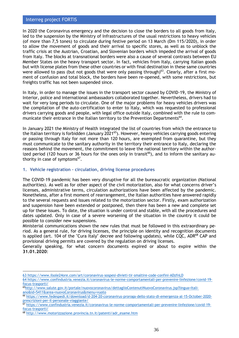In 2020 the Coronavirus emergency and the decision to close the borders to all goods from Italy, led to the suspension by the Ministry of Infrastructures of the usual restrictions to heavy vehicles (of more than 7,5 tones) to circulate during festive period on 13 March (Dm 115/2020), in order to allow the movement of goods and their arrival to specific stores, as well as to unblock the traffic crisis at the Austrian, Croatian, and Slovenian borders which impeded the arrival of goods from Italy. The blocks at transnational borders were also a cause of several contrasts between EU Member States on the heavy transport sector. In fact, vehicles from Italy, carrying Italian goods but with license plates from these other countries or with final destination in these same countries were allowed to pass (but not goods that were only passing through) $^{63}$ . Clearly, after a first moment of confusion and total block, the borders have been re-opened, with some restrictions, but freights traffic has not been suspended since.

In Italy, in order to manage the issues in the transport sector caused by COVID-19, the Ministry of Interior, police and international ambassadors collaborated together. Nevertheless, drivers had to wait for very long periods to circulate. One of the major problems for heavy vehicles drivers was the compilation of the auto-certification to enter to Italy, which was requested to professional drivers carrying goods and people, with legal office outside Italy, combined with the rule to communicate their entrance in the Italian territory to the Prevention Departments<sup>64</sup>.

In January 2021 the Ministry of Health integrated the list of countries from which the entrance to the Italian territory is forbidden (January 2021<sup>65</sup>). However, heavy vehicles carrying goods entering or passing through Italy for not more than 120 hours, are exempted from quarantine, but they must communicate to the sanitary authority in the territory their entrance to Italy, declaring the reasons behind the movement, the commitment to leave the national territory within the authorized period (120 hours or 36 hours for the ones only in transit<sup>66</sup>), and to inform the sanitary authority in case of symptoms $^{67}$ .

## **1. Vehicle registration – circulation, driving license procedures**

The COVID-19 pandemic has been very disruptive for all the bureaucratic organization (National authorities). As well as for other aspect of the civil motorization, also for what concerns driver's licenses, administrative terms, circulation authorizations have been affected by the pandemic. Nonetheless, after a first moment of rearrangement, the Italian authorities have answered rapidly to the several requests and issues related to the motorization sector. Firstly, exam authorization and suspension have been extended or postponed, then there has been a new and complete set up for these issues. To date, the situation is under control and stable, with all the procedures and dates updated. Only in case of a severe worsening of the situation in the country it could be possible to consider new suspensions.

Ministerial communications shown the new rules that must be followed in this extraordinary period. As a general rule, for driving licenses, the principle on identity and recognition documents is applied (art. 104 of the "Cura Italy" decree and following updates), while CQC, ADR<sup>68</sup> CAP and provisional driving permits are covered by the regulation on driving licenses.

Generally speaking, for what concern documents expired or about to expire within the **31.01.2020**:

<sup>63</sup> <https://www.ilsole24ore.com/art/coronavirus-sospesi-divieti-tir-smaltire-code-confini-ADzfnLD>

<sup>64</sup> [https://www.confindustria.venezia.it/coronavirus-le-norme-comportamentali-per-prevenire-linfezione/covid-19](https://www.confindustria.venezia.it/coronavirus-le-norme-comportamentali-per-prevenire-linfezione/covid-19-focus-trasporti/) [focus-trasporti/](https://www.confindustria.venezia.it/coronavirus-le-norme-comportamentali-per-prevenire-linfezione/covid-19-focus-trasporti/)

<sup>65</sup>http://www.salute.gov.it/portale/nuovocoronavirus/dettaglioContenutiNuovoCoronavirus.jsp?lingua=Italiano&id=5411&area=nuovoCoronavirus&menu=vuoto

<sup>66</sup> [https://www.fedespedi.it/download/d-204-20-coronavirus-proroga-dello-stato-di-emergenza-al-15-October-2020](https://www.fedespedi.it/download/d-204-20-coronavirus-proroga-dello-stato-di-emergenza-al-15-ottobre-2020-prescrizioni-per-il-personale-viaggiante/) [prescrizioni-per-il-personale-viaggiante/](https://www.fedespedi.it/download/d-204-20-coronavirus-proroga-dello-stato-di-emergenza-al-15-ottobre-2020-prescrizioni-per-il-personale-viaggiante/)

<sup>67</sup> [https://www.confindustria.venezia.it/coronavirus-le-norme-comportamentali-per-prevenire-linfezione/covid-19](https://www.confindustria.venezia.it/coronavirus-le-norme-comportamentali-per-prevenire-linfezione/covid-19-focus-trasporti/) [focus-trasporti/](https://www.confindustria.venezia.it/coronavirus-le-norme-comportamentali-per-prevenire-linfezione/covid-19-focus-trasporti/)

<sup>68</sup> http://www.motorizzazione.provincia.tn.it/patenti/adr\_esame.htm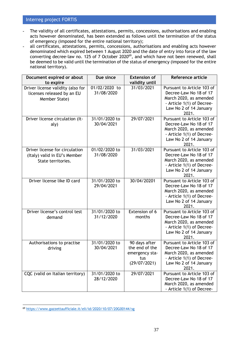- **-** The validity of all certificates, attestations, permits, concessions, authorisations and enabling acts however denominated, has been extended as follows until the termination of the status of emergency (imposed for the entire national territory);
- **-** all certificates, attestations, permits, concessions, authorisations and enabling acts however denominated which expired between 1 August 2020 and the date of entry into force of the law defibrimated written expired between a rugged Lole and the base of sharp mass of the converting decree-law no. 125 of 7 October 2020<sup>69</sup>, and which have not been renewed, shall be deemed to be valid until the termination of the status of emergency (imposed for the entire national territory).

| Document expired or about<br>to expire                                               | Due since                   | <b>Extension of</b><br>validity until                                    | <b>Reference article</b>                                                                                                                       |
|--------------------------------------------------------------------------------------|-----------------------------|--------------------------------------------------------------------------|------------------------------------------------------------------------------------------------------------------------------------------------|
| Driver license validity (also for<br>licenses released by an EU<br>Member State)     | 01/02/2020 to<br>31/08/2020 | 31/03/2021                                                               | Pursuant to Article 103 of<br>Decree-Law No 18 of 17<br>March 2020, as amended<br>- Article 1(1) of Decree-<br>Law No 2 of 14 January<br>2021. |
| Driver license circulation (It-<br>aly)                                              | 31/01/2020 to<br>30/04/2021 | 29/07/2021                                                               | Pursuant to Article 103 of<br>Decree-Law No 18 of 17<br>March 2020, as amended<br>- Article 1(1) of Decree-<br>Law No 2 of 14 January<br>2021. |
| Driver license for circulation<br>(Italy) valid in EU's Member<br>State territories. | 01/02/2020 to<br>31/08/2020 | 31/03/2021                                                               | Pursuant to Article 103 of<br>Decree-Law No 18 of 17<br>March 2020, as amended<br>- Article 1(1) of Decree-<br>Law No 2 of 14 January<br>2021. |
| Driver license like ID card                                                          | 31/01/2020 to<br>29/04/2021 | 30/04/20201                                                              | Pursuant to Article 103 of<br>Decree-Law No 18 of 17<br>March 2020, as amended<br>- Article 1(1) of Decree-<br>Law No 2 of 14 January<br>2021. |
| Driver license's control test<br>demand                                              | 31/01/2020 to<br>31/12/2020 | Extension of 6<br>months                                                 | Pursuant to Article 103 of<br>Decree-Law No 18 of 17<br>March 2020, as amended<br>- Article 1(1) of Decree-<br>Law No 2 of 14 January<br>2021. |
| Authorisations to practise<br>driving                                                | 31/01/2020 to<br>30/04/2021 | 90 days after<br>the end of the<br>emergency sta-<br>tus<br>(29/07/2021) | Pursuant to Article 103 of<br>Decree-Law No 18 of 17<br>March 2020, as amended<br>- Article 1(1) of Decree-<br>Law No 2 of 14 January<br>2021. |
| CQC (valid on Italian territory)                                                     | 31/01/2020 to<br>28/12/2020 | 29/07/2021                                                               | Pursuant to Article 103 of<br>Decree-Law No 18 of 17<br>March 2020, as amended<br>- Article 1(1) of Decree-                                    |

<sup>69</sup> <https://www.gazzettaufficiale.it/eli/id/2020/10/07/20G00144/sg>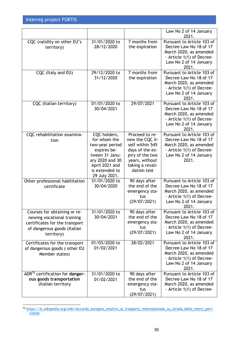|                                                                                                                                           |                                                                                                                                                          |                                                                                                                                                 | Law No 2 of 14 January<br>2021.                                                                                                                |
|-------------------------------------------------------------------------------------------------------------------------------------------|----------------------------------------------------------------------------------------------------------------------------------------------------------|-------------------------------------------------------------------------------------------------------------------------------------------------|------------------------------------------------------------------------------------------------------------------------------------------------|
| CQC (validity on other EU's<br>territory)                                                                                                 | 31/01/2020 to<br>28/12/2020                                                                                                                              | 7 months from<br>the expiration                                                                                                                 | Pursuant to Article 103 of<br>Decree-Law No 18 of 17<br>March 2020, as amended<br>- Article 1(1) of Decree-<br>Law No 2 of 14 January<br>2021. |
| CQC (Italy and EU)                                                                                                                        | 29/12/2020 to<br>31/12/2020                                                                                                                              | 7 months from<br>the expiration                                                                                                                 | Pursuant to Article 103 of<br>Decree-Law No 18 of 17<br>March 2020, as amended<br>- Article 1(1) of Decree-<br>Law No 2 of 14 January<br>2021. |
| CQC (Italian territory)                                                                                                                   | 01/01/2020 to<br>30/04/2021                                                                                                                              | 29/07/2021                                                                                                                                      | Pursuant to Article 103 of<br>Decree-Law No 18 of 17<br>March 2020, as amended<br>- Article 1(1) of Decree-<br>Law No 2 of 14 January<br>2021. |
| CQC rehabilitation examina-<br>tion                                                                                                       | CQC holders,<br>for whom the<br>two-year period<br>expires be-<br>tween 31 Janu-<br>ary 2020 and 30<br>April 2021 and<br>is extended to<br>29 July 2021. | Proceed to re-<br>new the CQC it-<br>self within 545<br>days of the ex-<br>piry of the two<br>years, without<br>taking a revali-<br>dation test | Pursuant to Article 103 of<br>Decree-Law No 18 of 17<br>March 2020, as amended<br>- Article 1(1) of Decree-<br>Law No 2 of 14 January<br>2021. |
| Other professional habilitation<br>certificate                                                                                            | 31/01/2020 to<br>30/04/2020                                                                                                                              | 90 days after<br>the end of the<br>emergency sta-<br>tus<br>(29/07/2021)                                                                        | Pursuant to Article 103 of<br>Decree-Law No 18 of 17<br>March 2020, as amended<br>- Article 1(1) of Decree-<br>Law No 2 of 14 January<br>2021. |
| Courses for obtaining or re-<br>newing vocational training<br>certificates for the transport<br>of dangerous goods (Italian<br>territory) | 31/01/2020 to<br>30/04/2021                                                                                                                              | 90 days after<br>the end of the<br>emergency sta-<br>tus<br>(29/07/2021)                                                                        | Pursuant to Article 103 of<br>Decree-Law No 18 of 17<br>March 2020, as amended<br>- Article 1(1) of Decree-<br>Law No 2 of 14 January<br>2021. |
| Certificates for the transport<br>of dangerous goods ( other EU<br>Member states)                                                         | 01/03/2020 to<br>01/02/2021                                                                                                                              | 28/02/2021                                                                                                                                      | Pursuant to Article 103 of<br>Decree-Law No 18 of 17<br>March 2020, as amended<br>- Article 1(1) of Decree-<br>Law No 2 of 14 January<br>2021. |
| ADR <sup>70</sup> certification for danger-<br>ous goods transportation<br>(Italian territory                                             | 31/01/2020 to<br>01/02/2021                                                                                                                              | 90 days after<br>the end of the<br>emergency sta-<br>tus<br>(29/07/2021)                                                                        | Pursuant to Article 103 of<br>Decree-Law No 18 of 17<br>March 2020, as amended<br>- Article 1(1) of Decree-                                    |

<sup>70</sup> https://it.wikipedia.org/wiki/Accordo\_europeo\_relativo\_al\_trasporto\_internazionale\_su\_strada\_delle\_merci\_pericolose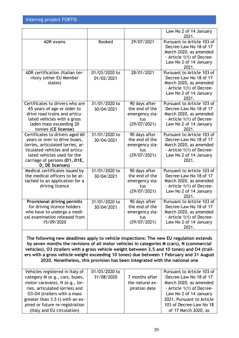|                                                                                                                                                                                                                            |                             |                                                                          | Law No 2 of 14 January<br>2021.                                                                                                                |
|----------------------------------------------------------------------------------------------------------------------------------------------------------------------------------------------------------------------------|-----------------------------|--------------------------------------------------------------------------|------------------------------------------------------------------------------------------------------------------------------------------------|
| <b>ADR</b> exams                                                                                                                                                                                                           | <b>Booked</b>               | 29/07/2021                                                               | Pursuant to Article 103 of<br>Decree-Law No 18 of 17<br>March 2020, as amended<br>- Article 1(1) of Decree-<br>Law No 2 of 14 January<br>2021. |
| ADR certification (Italian ter-<br>ritory (other EU Member<br>states)                                                                                                                                                      | 01/03/2020 to<br>01/02/2021 | 28/01/2021                                                               | Pursuant to Article 103 of<br>Decree-Law No 18 of 17<br>March 2020, as amended<br>- Article 1(1) of Decree-<br>Law No 2 of 14 January<br>2021. |
| Certificates to drivers who are<br>65 years of age or older to<br>drive road trains and articu-<br>lated vehicles with a gross<br>laden mass exceeding 20<br>tonnes (CE license)                                           | 31/01/2020 to<br>30/04/2021 | 90 days after<br>the end of the<br>emergency sta-<br>tus<br>(29/07/2021) | Pursuant to Article 103 of<br>Decree-Law No 18 of 17<br>March 2020, as amended<br>- Article 1(1) of Decree-<br>Law No 2 of 14 January<br>2021. |
| Certificates to drivers aged 60<br>years or over to drive buses,<br>lorries, articulated lorries, ar-<br>ticulated vehicles and articu-<br>lated vehicles used for the<br>carriage of persons (D1, D1E,<br>D, DE licenses) | 31/01/2020 to<br>30/04/2021 | 90 days after<br>the end of the<br>emergency sta-<br>tus<br>(29/07/2021) | Pursuant to Article 103 of<br>Decree-Law No 18 of 17<br>March 2020, as amended<br>- Article 1(1) of Decree-<br>Law No 2 of 14 January<br>2021. |
| Medical certificates issued by<br>the medical officers to be at-<br>tached to an application for a<br>driving licence                                                                                                      | 31/01/2020 to<br>30/04/2021 | 90 days after<br>the end of the<br>emergency sta-<br>tus<br>(29/07/2021) | Pursuant to Article 103 of<br>Decree-Law No 18 of 17<br>March 2020, as amended<br>- Article 1(1) of Decree-<br>Law No 2 of 14 January<br>2021. |
| <b>Provisional driving permits</b><br>for driving licence holders<br>who have to undergo a medi-<br>cal examination released from<br>15/09/2020                                                                            | 31/01/2020 to<br>30/04/2021 | 90 days after<br>the end of the<br>emergency sta-<br>tus<br>(29/07/2021) | Pursuant to Article 103 of<br>Decree-Law No 18 of 17<br>March 2020, as amended<br>- Article 1(1) of Decree-<br>Law No 2 of 14 January<br>2021. |

**The following new deadlines apply to vehicle inspections: The new EU regulation extends by seven months the revisions of all motor vehicles in categories M (cars), N (commercial vehicles), O3 (trailers with a gross vehicle weight between 3.5 and 10 tones) and O4 (trailers with a gross vehicle weight exceeding 10 tones) due between 1 February and 31 August 2020. Nonetheless, this provision has been integrated with the national one**

| Vehicles registered in Italy of | 01/03/2020 to |                 | Pursuant to Article 103 of |
|---------------------------------|---------------|-----------------|----------------------------|
| category M (e.g., cars, buses,  | 31/08/2020    | 7 months after  | Decree-Law No 18 of 17     |
| motor caravans), N (e.g., lor-  |               | the natural ex- | March 2020, as amended     |
| ries, articulated lorries) and  |               | piration date   | - Article 1(1) of Decree-  |
| 03-04 (trailers with a mass     |               |                 | Law No 2 of 14 January     |
| greater than 3.5 t) with an ex- |               |                 | 2021. Pursuant to Article  |
| pired or future re-registration |               |                 | 103 of Decree-Law No 18    |
| (Italy and EU circulation)      |               |                 | of 17 March 2020, as       |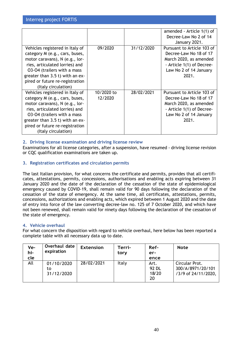|                                 |            |            | amended - Article 1(1) of  |
|---------------------------------|------------|------------|----------------------------|
|                                 |            |            | Decree-Law No 2 of 14      |
|                                 |            |            | January 2021.              |
| Vehicles registered in Italy of | 09/2020    | 31/12/2020 | Pursuant to Article 103 of |
| category M (e.g., cars, buses,  |            |            | Decree-Law No 18 of 17     |
| motor caravans), N (e.g., lor-  |            |            | March 2020, as amended     |
| ries, articulated lorries) and  |            |            | - Article 1(1) of Decree-  |
| 03-04 (trailers with a mass     |            |            | Law No 2 of 14 January     |
| greater than 3.5 t) with an ex- |            |            | 2021.                      |
| pired or future re-registration |            |            |                            |
| (Italy circulation)             |            |            |                            |
| Vehicles registered in Italy of | 10/2020 to | 28/02/2021 | Pursuant to Article 103 of |
| category M (e.g., cars, buses,  | 12/2020    |            | Decree-Law No 18 of 17     |
| motor caravans), N (e.g., lor-  |            |            | March 2020, as amended     |
| ries, articulated lorries) and  |            |            | - Article 1(1) of Decree-  |
| 03-04 (trailers with a mass     |            |            | Law No 2 of 14 January     |
| greater than 3.5 t) with an ex- |            |            | 2021.                      |
| pired or future re-registration |            |            |                            |
| (Italy circulation)             |            |            |                            |

# **2. Driving license examination and driving license review**

Examinations for all license categories, after a suspension, have resumed - driving license revision or CQC qualification examinations are taken up.

# **3. Registration certificates and circulation permits**

The last Italian provision, for what concerns the certificate and permits, provides that all certificates, attestations, permits, concessions, authorisations and enabling acts expiring between 31 January 2020 and the date of the declaration of the cessation of the state of epidemiological emergency caused by COVID-19, shall remain valid for 90 days following the declaration of the cessation of the state of emergency. At the same time, all certificates, attestations, permits, concessions, authorizations and enabling acts, which expired between 1 August 2020 and the date of entry into force of the law converting decree-law no. 125 of 7 October 2020, and which have not been renewed, shall remain valid for ninety days following the declaration of the cessation of the state of emergency.

## **4. Vehicle overhaul**

For what concern the disposition with regard to vehicle overhaul, here below has been reported a complete table with all necessary data up to date.

| Ve-<br>hi-<br>cle | Overhaul date<br>expiration    | <b>Extension</b> | Terri-<br>tory | Ref-<br>er-<br>ence          | <b>Note</b>                                                |
|-------------------|--------------------------------|------------------|----------------|------------------------------|------------------------------------------------------------|
| All               | 01/10/2020<br>to<br>31/12/2020 | 28/02/2021       | Italy          | Art.<br>92 DL<br>18/20<br>20 | Circular Prot.<br>300/A/8971/20/101<br>/3/9 of 24/11/2020, |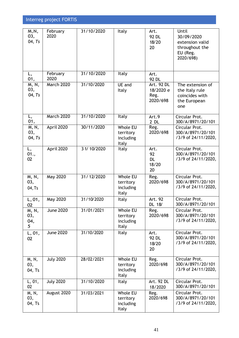| $\overline{M}$ , N,<br>03,<br>04, Ts | February<br>2020 | 31/10/2020   | Italy                                              | Art.<br>92 DL<br>18/20<br>20                | Until<br>30/09/2020<br>extension valid<br>throughout the<br>EU (Reg.<br>2020/698) |
|--------------------------------------|------------------|--------------|----------------------------------------------------|---------------------------------------------|-----------------------------------------------------------------------------------|
| L,<br>01,                            | February<br>2020 | 31/10/2020   | Italy                                              | Art.<br>92 DL                               |                                                                                   |
| M, N,<br>03,<br>04, Ts               | March 2020       | 31/10/2020   | UE and<br>Italy                                    | Art. 92 DL<br>18/2020 e<br>Reg.<br>2020/698 | The extension of<br>the Italy rule<br>coincides with<br>the European<br>one       |
| L,<br>01,                            | March 2020       | 31/10/2020   | Italy                                              | Art.9<br>$2$ DL                             | Circular Prot.<br>300/A/8971/20/101                                               |
| M, N,<br>03,<br>04, Ts               | April 2020       | 30/11/2020   | Whole EU<br>territory<br>including<br><b>Italy</b> | Reg.<br>2020/698                            | Circular Prot.<br>300/A/8971/20/101<br>/3/9 of 24/11/2020,                        |
| L,<br>01.,<br>02                     | April 2020       | 3 1/ 10/2020 | Italy                                              | Art.<br>92<br><b>DL</b><br>18/20<br>20      | Circular Prot.<br>300/A/8971/20/101<br>/3/9 of 24/11/2020,                        |
| M, N,<br>03,<br>04, Ts               | May 2020         | 31/12/2020   | Whole EU<br>territory<br>including<br>Italy        | Reg.<br>2020/698                            | Circular Prot.<br>300/A/8971/20/101<br>/3/9 of 24/11/2020,                        |
| L, 01,<br>02                         | May 2020         | 31/10/2020   | Italy                                              | Art. 92<br>DL 18/                           | Circular Prot.<br>300/A/8971/20/101                                               |
| M, N,<br>03,<br>04,<br>5             | <b>June 2020</b> | 31/01/2021   | Whole EU<br>territory<br>including<br>Italy        | Reg.<br>2020/698                            | Circular Prot.<br>300/A/8971/20/101<br>/3/9 of 24/11/2020,                        |
| L, 01,<br>02                         | <b>June 2020</b> | 31/10/2020   | Italy                                              | Art.<br>92 DL<br>18/20<br>20                | Circular Prot.<br>300/A/8971/20/101<br>/3/9 of 24/11/2020,                        |
| M, N,<br>03,<br>04, Ts               | <b>July 2020</b> | 28/02/2021   | Whole EU<br>territory<br>including<br>Italy        | Reg.<br>2020/698                            | Circular Prot.<br>300/A/8971/20/101<br>/3/9 of 24/11/2020,                        |
| L, 01,<br>02                         | <b>July 2020</b> | 31/10/2020   | Italy                                              | Art. 92 DL<br>18/2020                       | Circular Prot.<br>300/A/8971/20/101                                               |
| M, N,<br>03,<br>04, Ts               | August 2020      | 31/03/2021   | Whole EU<br>territory<br>including<br>Italy        | Reg.<br>2020/698                            | Circular Prot.<br>300/A/8971/20/101<br>/3/9 of 24/11/2020,                        |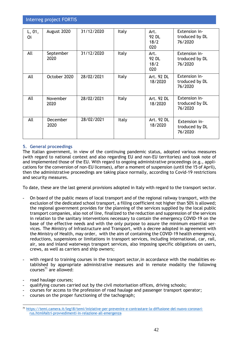| L, 01,<br>Oi | August 2020             | 31/12/2020 | Italy        | Art.<br>92 DL<br>18/2<br>020 | Extension in-<br>troduced by DL<br>76/2020 |
|--------------|-------------------------|------------|--------------|------------------------------|--------------------------------------------|
| All          | September<br>2020       | 31/12/2020 | <b>Italy</b> | Art.<br>92 DL<br>18/2<br>020 | Extension in-<br>troduced by DL<br>76/2020 |
| All          | October 2020            | 28/02/2021 | <b>Italy</b> | Art. 92 DL<br>18/2020        | Extension in-<br>troduced by DL<br>76/2020 |
| All          | <b>November</b><br>2020 | 28/02/2021 | Italy        | Art. 92 DL<br>18/2020        | Extension in-<br>troduced by DL<br>76/2020 |
| All          | December<br>2020        | 28/02/2021 | Italy        | Art. 92 DL<br>18/2020        | Extension in-<br>troduced by DL<br>76/2020 |

# **5. General proceedings**

The Italian government, in view of the continuing pandemic status, adopted various measures (with regard to national context and also regarding EU and non-EU territories) and took note of and implemented those of the EU. With regard to ongoing administrative proceedings (e.g., applications for the conversion of non-EU licenses), after a moment of suspension (until the 15 of April), then the administrative proceedings are taking place normally, according to Covid-19 restrictions and security measures.

To date, these are the last general provisions adopted in Italy with regard to the transport sector.

- **-** On board of the public means of local transport and of the regional railway transport, with the exclusion of the dedicated school transport, a filling coefficient not higher than 50% is allowed; the regional government provides for the planning of the services supplied by the local public transport companies, also not of line, finalized to the reduction and suppression of the services in relation to the sanitary interventions necessary to contain the emergency COVID-19 on the base of the effective needs and with the only purpose to assure the minimum essential services. The Ministry of Infrastructure and Transport, with a decree adopted in agreement with the Ministry of Health, may order, with the aim of containing the COVID-19 health emergency, reductions, suspensions or limitations in transport services, including international, car, rail, air, sea and inland waterways transport services, also imposing specific obligations on users, crews, as well as carriers and ship owners;
- **-** with regard to training courses in the transport sector,in accordance with the modalities established by appropriate administrative measures and in remote modality the following  $conves^{71}$  are allowed:
- **-** road haulage courses;
- **-** qualifying courses carried out by the civil motorisation offices, driving schools;
- **-** courses for access to the profession of road haulage and passenger transport operator;
- **-** courses on the proper functioning of the tachograph;

<sup>71</sup> https://temi.camera.it/leg18/temi/iniziative-per-prevenire-e-contrastare-la-diffusione-del-nuovo-coronavirus.html#altri-provvedimenti-in-relazione-all-emergenza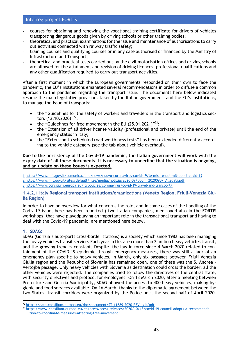- **-** courses for obtaining and renewing the vocational training certificate for drivers of vehicles transporting dangerous goods given by driving schools or other training bodies;
- **-** theoretical and practical examinations for the issue and maintenance of authorisations to carry out activities connected with railway traffic safety;
- **-** training courses and qualifying courses or in any case authorised or financed by the Ministry of Infrastructure and Transport;
- **-** theoretical and practical tests carried out by the civil motorisation offices and driving schools are allowed for the attainment and revision of driving licences, professional qualifications and any other qualification required to carry out transport activities.

After a first moment in which the European governments responded on their own to face the pandemic, the EU's institutions emanated several recommendations in order to diffuse a common approach to the pandemic regarding the transport issue. The documents here below indicated resume the main legislative provisions taken by the Italian government, and the EU's institutions, to manage the issue of transports:

- the "Guidelines for the safety of workers and travellers in the transport and logistics sectors (12.10.2020)"<sup>72</sup>;
- the "Guidelines for free movement in the EU  $(25.01.2021)^{1/73}$ ;
- the "Extension of all driver license validity (professional and private) until the end of the emergency status in Italy;
- the "Extension to scheduled road-worthiness tests" has been extended differently according to the vehicle category (see the tab about vehicle overhaul).

### **Due to the persistency of the Covid-19 pandemic, the Italian government will work with the expiry date of all these documents. It is necessary to underline that the situation is ongoing, and an update on these issues is expected.**

[1](https://word-edit.officeapps.live.com/we/wordeditorframe.aspx?WOPISrc=https://wopi.dropbox.com/wopi/files/tbQYPL82N_AAAAAAAAAAAw&cloud_editor=word&dl=0&force_role=personal&rlkey=g0cup63fnh0b6rx3wpact2tm8&ui=it#sdfootnote1anc) <https://www.mit.gov.it/comunicazione/news/nuovo-coronavirus-covid-19/le-misure-del-mit-per-il-covid-19> [2](https://word-edit.officeapps.live.com/we/wordeditorframe.aspx?WOPISrc=https://wopi.dropbox.com/wopi/files/tbQYPL82N_AAAAAAAAAAAw&cloud_editor=word&dl=0&force_role=personal&rlkey=g0cup63fnh0b6rx3wpact2tm8&ui=it#sdfootnote2anc) [https://www.mit.gov.it/sites/default/files/media/notizia/2020-09/Dpcm\\_20200907\\_Allegati.pdf](http://www.mit.gov.it/comunicazione/news/coronavirus/coronavirus-online-le-linee-guida-per-il-trasporto-pubblico)  [3](https://word-edit.officeapps.live.com/we/wordeditorframe.aspx?WOPISrc=https://wopi.dropbox.com/wopi/files/tbQYPL82N_AAAAAAAAAAAw&cloud_editor=word&dl=0&force_role=personal&rlkey=g0cup63fnh0b6rx3wpact2tm8&ui=it#sdfootnote3anc) <https://www.consilium.europa.eu/it/policies/coronavirus/covid-19-travel-and-transport/>

### **1.4.2.1 Italy Regional transport institutions/organizations (Veneto Region, Friuli-Venezia Giulia Region)**

In order to have an overview for what concerns the role, and in some cases of the handling of the Codiv-19 issue, here has been reported ) two Italian companies, mentioned also in the FORTIS workshops, that have playedplaying an important role in the transnational transport and having to deal with the Covid-19 pandemic, are mentioned here below.

# **1. SDAG:**

SDAG (Gorizia's auto-ports cross-border stations) is a society which since 1982 has been managing the heavy vehicles transit service. Each year in this area more than 2 million heavy vehicles transit, and the growing trend is constant. Despite the law in force since 4 March 2020 related to containment of the COVID-19 epidemic through emergency measures, there was still a lack of an emergency plan specific to heavy vehicles. In March, only six passages between Friuli Venezia Giulia region and the Republic of Slovenia has remained open, one of these was the S. Andrea – Vertojba passage. Only heavy vehicles with Slovenia as destination could cross the border, all the other vehicles were rejected. The companies tried to follow the directives of the central state, with security directives and protocol for employees. On 13 March 2020, after a meeting between Prefecture and Gorizia Municipality, SDAG allowed the access to 400 heavy vehicles, making hygienic and food services available. On 16 March, thanks to the diplomatic agreement between the two States, transit corridors were organized by the Police until the second half of April 2020.

<sup>72</sup> https://data.consilium.europa.eu/doc/document/ST-11689-2020-REV-1/it/pdf

<sup>73</sup> https://www.consilium.europa.eu/en/press/press-releases/2020/10/13/covid-19-council-adopts-a-recommendation-to-coordinate-measures-affecting-free-movement/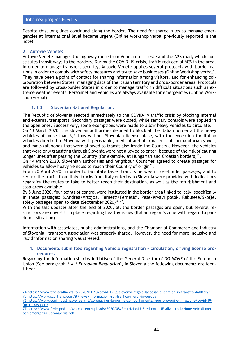Despite this, long lines continued along the border. The need for shared rules to manage emergencies at international level became urgent (Online workshop verbal previously reported in the note).

## **2. Autovie Venete:**

Autovie Venete manages the highway route from Venezia to Trieste and the A28 road, which constitutes transit ways to the borders. During the COVID-19 crisis, traffic reduced of 60% in the area. In order to manage transport security, Autovie Venete applies several protocols with border nations in order to comply with safety measures and try to save businesses (Online Workshop verbal). They have been a point of contact for sharing information among visitors, and for enhancing collaboration between States, managing data of the Italian territory and cross-border areas. Protocols are followed by cross-border States in order to manage traffic in difficult situations such as extreme weather events. Personnel and vehicles are always available for emergencies (Online Workshop verbal).

## **1.4.3. Slovenian National Regulation:**

The Republic of Slovenia reacted immediately to the COVID-19 traffic crisis by blocking internal and external transports. Secondary passages were closed, while sanitary controls were applied in the open ones. Successively, some exemptions were made to allow heavy vehicles to circulate.

On 13 March 2020, the Slovenian authorities decided to block at the Italian border all the heavy vehicles of more than 3,5 tons without Slovenian license plate, with the exception for Italian vehicles directed to Slovenia with perishable, medical and pharmaceutical, humanitarian goods, and mails (all goods that were allowed to transit also inside the Country). However, the vehicles that were only transiting through Slovenia were not allowed to enter, because of the risk of causing longer lines after passing the Country (for example, at Hungarian and Croatian borders)<sup>74</sup>.

On 14 March 2020, Slovenian authorities and neighbour Countries agreed to create passages for vehicles to allow heavy vehicles to reach their Country of origin $7<sup>5</sup>$ .

From 20 April 2020, in order to facilitate faster transits between cross-border passages, and to reduce the traffic from Italy, trucks from Italy entering to Slovenia were provided with indications regarding the routes to take to better reach their destination, as well as the refurbishment and stop areas available.

By 5 June 2020, four points of control were instituted in the border area linked to Italy, specifically in these passages: S.Andrea/Vrtojba, Fernetti/Fernetiči, Pese/Krvavi potok, Rabuiese/Škofje, solely passages open to date (September 2020)<sup>76 77</sup>.

With the last updates after the end of 2020, all the border passages are open, but several restrictions are now still in place regarding healthy issues (Italian region's zone with regard to pandemic situation).

Information with associates, public administrations, and the Chamber of Commerce and Industry of Slovenia – transport association was properly shared. However, the need for more inclusive and rapid information sharing was stressed.

### **1. Documents submitted regarding Vehicle registration – circulation, driving license procedures:**

Regarding the information sharing initiative of the General Director of DG MOVE of the European Union (See paragraph *1.4.1 European Regulation*), in Slovenia the following documents are identified:

<sup>74</sup> [https://www.triesteallnews.it/2020/03/13/covid-19-la-slovenia-regola-laccesso-ai-camion-in-transito-dallItaly/](https://www.triesteallnews.it/2020/03/13/covid-19-la-slovenia-regola-laccesso-ai-camion-in-transito-dallitalia/) 75 <https://www.scortrans.com/it/news/informazioni-sul-traffico-merci-in-europa>

<sup>76</sup> [https://www.confindustria.venezia.it/coronavirus-le-norme-comportamentali-per-prevenire-linfezione/covid-19](https://www.confindustria.venezia.it/coronavirus-le-norme-comportamentali-per-prevenire-linfezione/covid-19-focus-trasporti/) [focus-trasporti/](https://www.confindustria.venezia.it/coronavirus-le-norme-comportamentali-per-prevenire-linfezione/covid-19-focus-trasporti/)

<sup>77</sup> [https://www.fedespedi.it/wp-content/uploads/2020/08/Restrizioni-UE-ed-extraUE-alla-circolazione-veicoli-merci](https://www.fedespedi.it/wp-content/uploads/2020/08/Restrizioni-UE-ed-extraUE-alla-circolazione-veicoli-merci-per-emergenza-Coronavirus.pdf)[per-emergenza-Coronavirus.pdf](https://www.fedespedi.it/wp-content/uploads/2020/08/Restrizioni-UE-ed-extraUE-alla-circolazione-veicoli-merci-per-emergenza-Coronavirus.pdf)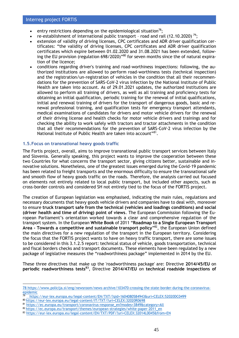- entry restrictions depending on the epidemiological situation<sup>78</sup>;
- re-establishment of international public transport road and rail (12.10.2020)<sup>79</sup>;
- extension of validity of driving licenses, CPC certificates and ADR driver qualification certificates: "the validity of driving licenses, CPC certificates and ADR driver qualification certificates which expire between 01.02.2020 and 31.08.2021 has been extended, following the EU provision (regulation 698/2020)"<sup>80</sup> for seven months since the of natural expiration of the licence;
- conditions regarding driver's training and road-worthiness inspections: following, the authorized institutions are allowed to perform road-worthiness tests (technical inspection) and the registration/un-registration of vehicles in the condition that all their recommendations for the prevention of SARS-CoV-2 virus infection by the National Institute of Public Health are taken into account. As of 29.01.2021 updates, the authorized institutions are allowed to perform all training of drivers, as well as all training and proficiency tests for obtaining an initial qualification, periodic training for the renewal of initial qualifications, initial and renewal training of drivers for the transport of dangerous goods, basic and renewal professional training, and qualification tests for emergency transport attendants, medical examinations of candidates for drivers and motor vehicle drivers for the renewal of their driving license and health checks for motor vehicle drivers and trainings and for checking the ability to work safely with tractors and tractor attachments in the condition that all their recommendations for the prevention of SARS-CoV-2 virus infection by the National Institute of Public Health are taken into account"<sup>81</sup>.

### **1.5.Focus on transnational heavy goods traffic**

The Fortis project, overall, aims to improve transnational public transport services between Italy and Slovenia. Generally speaking, this project wants to improve the cooperation between these two Countries for what concerns the transport sector, giving citizens better, sustainable and innovative solutions. Nonetheless, one of the greatest issues emerged during the Covid-19 pandemic has been related to freight transports and the enormous difficulty to ensure the transnational safe and smooth flow of heavy goods traffic on the roads. Therefore, the analysis carried out focused on elements not entirely related to local public transport, but included other aspects, such as cross-border controls and considered SH not entirely tied to the focus of the FORTIS project.

The creation of European legislation was emphasised, indicating the main rules, regulations and necessary documents that heavy goods vehicle drivers and companies have to deal with, moreover to ensure **truck transport safe from the technical (vehicles and loadings conditions) and social (driver health and time of driving) point of views**. The European Commission following the European Parliament's orientation worked towards a clear and comprehensive regulation of the transport system. In the European **White Book** of 2011 "**Roadmap to a Single European Transport Area - Towards a competitive and sustainable transport policy**" <sup>82</sup>, the European Union defined the main directives for a new regulation of the transport in the European territory. Considering the focus that the FORTIS project wants to have on heavy traffic transport, there are some issues to be considered in this 3.1.2.5 report: technical status of vehicle, goods transportation, technical and fiscal borders checks and transport documents. These elements have been regulated by a new package of legislative measures the "roadworthiness package" implemented in 2014 by the EU.

These three directives that make up the 'roadworthiness package' are: Directive **2014/45/EU** on **periodic roadworthiness tests<sup>83</sup>**, Directive **2014/47/EU** on **technical roadside inspections of** 

<sup>78</sup> [https://www.policija.si/eng/newsroom/news-archive/103470-crossing-the-state-border-during-the-coronavirus](https://www.policija.si/eng/newsroom/news-archive/103470-crossing-the-state-border-during-the-coronavirus-epidemic)[epidemic](https://www.policija.si/eng/newsroom/news-archive/103470-crossing-the-state-border-during-the-coronavirus-epidemic)

<sup>79</sup> <https://eur-lex.europa.eu/legal-content/EN/TXT/?qid=1604080584943&uri=CELEX:52020DC0499>

<sup>80</sup> <https://eur-lex.europa.eu/legal-content/IT/TXT/?uri=CELEX:32020R0698>

<sup>81</sup> [https://ec.europa.eu/transport/coronavirus-response\\_en?modes=3849&category=All](https://ec.europa.eu/transport/coronavirus-response_en?modes=3849&category=All)

<sup>82</sup> [https://ec.europa.eu/transport/themes/european-strategies/white-paper-2011\\_en](https://ec.europa.eu/transport/themes/european-strategies/white-paper-2011_en)

<sup>83</sup> <https://eur-lex.europa.eu/legal-content/EN/TXT/PDF/?uri=CELEX:32014L0045&from=EN>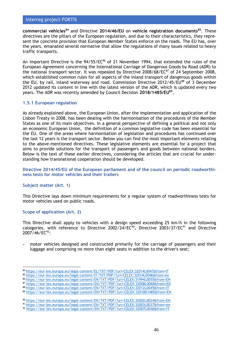**commercial vehicles<sup>84</sup>** and Directive **2014/46/EU** on **vehicle registration documents<sup>85</sup>**. These directives are the pillars of the European regulation, and due to their characteristics, they represent the concrete provision that European Member States enforce on the roads. The EU has, over the years, emanated several normative that allow the regulations of many issues related to heavy traffic transports.

An important Directive is the  $94/55/EC^{86}$  of 21 November 1994, that extended the rules of the European Agreement concerning the International Carriage of Dangerous Goods by Road (ADR) to the national transport sector. It was repealed by Directive  $2008/68$ /EC $87$  of 24 September 2008, which established common rules for all aspects of the inland transport of dangerous goods within the EU, by rail, inland waterway and road. Commission Directive 2012/45/EU<sup>88</sup> of 3 December 2012 updated its content in line with the latest version of the ADR, which is updated every two years. The ADR was recently amended by Council Decision **2018/1485/EU<sup>89</sup>** .

### **1.5.1 European regulation**

As already explained above, the European Union, after the implementation and application of the Lisbon Treaty in 2008, has been dealing with the harmonisation of the procedures of the Member States as one of its main objectives. In a general perspective of defining a political and not only an economic European Union, the definition of a common legislative code has been essential for the EU. One of the areas where harmonisation of legislation and procedures has continued over the last 12 years is the transport sector. Below you can find the most important elements relating to the above-mentioned directives. These legislative elements are essential for a project that aims to provide solutions for the transport of passengers and goods between national borders. Below is the text of these earlier directives, considering the articles that are crucial for understanding how transnational cooperation should be developed.

**Directive 2014/45/EU of the European parliament and of the council on periodic roadworthiness tests for motor vehicles and their trailers**

#### **Subject matter (Art. 1)**

This Directive lays down minimum requirements for a regular system of roadworthiness tests for motor vehicles used on public roads.

#### **Scope of application (Art. 2)**

This Directive shall apply to vehicles with a design speed exceeding 25 km/h in the following categories, with reference to Directive 2002/24/EC<sup>90</sup>, Directive 2003/37/EC<sup>91</sup> and Directive  $2007/46$ /EC<sup>92</sup>:

**-** motor vehicles designed and constructed primarily for the carriage of passengers and their luggage and comprising no more than eight seats in addition to the driver's seat;

<sup>84</sup> <https://eur-lex.europa.eu/legal-content/EL/TXT/PDF/?uri=CELEX:32014L0047&from=IT>

<sup>85</sup> <https://eur-lex.europa.eu/legal-content/IT/TXT/PDF/?uri=CELEX:32014L0046&from=en>

<sup>86</sup> <https://eur-lex.europa.eu/legal-content/EN/TXT/PDF/?uri=CELEX:31994L0055&from=EN>

<sup>87</sup> https://eur-lex.europa.eu/legal-content/EN/TXT/PDF/?uri=CELEX:32008L0068&from=EN

<sup>88</sup> <https://eur-lex.europa.eu/legal-content/EN/TXT/PDF/?uri=CELEX:32012L0045&from=IT>

<sup>89</sup> <https://eur-lex.europa.eu/legal-content/EN/TXT/PDF/?uri=CELEX:32018D1485&from=EN>

<sup>90</sup> <https://eur-lex.europa.eu/legal-content/EN/TXT/PDF/?uri=CELEX:32002L0024&from=EN>

<sup>91</sup> <https://eur-lex.europa.eu/legal-content/EN/TXT/PDF/?uri=CELEX:32003L0037&from=en>

<sup>92</sup> <https://eur-lex.europa.eu/legal-content/EN/TXT/PDF/?uri=CELEX:32007L0046&from=IT>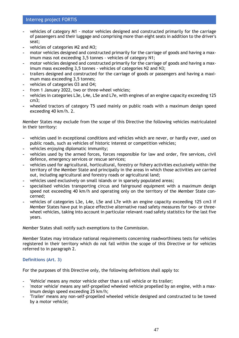- **-** vehicles of category M1 motor vehicles designed and constructed primarily for the carriage of passengers and their luggage and comprising more than eight seats in addition to the driver's seat;
- **-** vehicles of categories M2 and M3;
- **-** motor vehicles designed and constructed primarily for the carriage of goods and having a maximum mass not exceeding 3,5 tonnes - vehicles of category N1;
- **-** motor vehicles designed and constructed primarily for the carriage of goods and having a maximum mass exceeding 3,5 tonnes - vehicles of categories N2 and N3;
- **-** trailers designed and constructed for the carriage of goods or passengers and having a maximum mass exceeding 3,5 tonnes;
- **-** vehicles of categories O3 and O4;
- **-** from 1 January 2022, two or three-wheel vehicles;
- **-** vehicles in categories L3e, L4e, L5e and L7e, with engines of an engine capacity exceeding 125 cm3;
- **-** wheeled tractors of category T5 used mainly on public roads with a maximum design speed exceeding 40 km/h. 2.

Member States may exclude from the scope of this Directive the following vehicles matriculated in their territory:

- **-** vehicles used in exceptional conditions and vehicles which are never, or hardly ever, used on public roads, such as vehicles of historic interest or competition vehicles;
- **-** vehicles enjoying diplomatic immunity;
- **-** vehicles used by the armed forces, forces responsible for law and order, fire services, civil defence, emergency services or rescue services;
- **-** vehicles used for agricultural, horticultural, forestry or fishery activities exclusively within the territory of the Member State and principally in the areas in which those activities are carried out, including agricultural and forestry roads or agricultural land;
- **-** vehicles used exclusively on small islands or in sparsely populated areas;
- **-** specialised vehicles transporting circus and fairground equipment with a maximum design speed not exceeding 40 km/h and operating only on the territory of the Member State concerned;
- **-** vehicles of categories L3e, L4e, L5e and L7e with an engine capacity exceeding 125 cm3 if Member States have put in place effective alternative road safety measures for two- or threewheel vehicles, taking into account in particular relevant road safety statistics for the last five years.

Member States shall notify such exemptions to the Commission.

Member States may introduce national requirements concerning roadworthiness tests for vehicles registered in their territory which do not fall within the scope of this Directive or for vehicles referred to in paragraph 2.

## **Definitions (Art. 3)**

For the purposes of this Directive only, the following definitions shall apply to:

- **-** 'Vehicle' means any motor vehicle other than a rail vehicle or its trailer;
- **-** 'motor vehicle' means any self-propelled wheeled vehicle propelled by an engine, with a maximum design speed exceeding 25 km/h;
- **-** 'Trailer' means any non-self-propelled wheeled vehicle designed and constructed to be towed by a motor vehicle;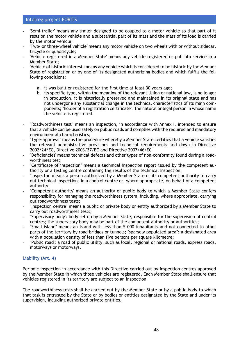- **-** 'Semi-trailer' means any trailer designed to be coupled to a motor vehicle so that part of it rests on the motor vehicle and a substantial part of its mass and the mass of its load is carried by the motor vehicle;
- **-** 'Two- or three-wheel vehicle' means any motor vehicle on two wheels with or without sidecar, tricycle or quadricycle;
- **-** 'Vehicle registered in a Member State' means any vehicle registered or put into service in a Member State;
- **-** 'Vehicle of historic interest' means any vehicle which is considered to be historic by the Member State of registration or by one of its designated authorizing bodies and which fulfils the following conditions:
	- a. it was built or registered for the first time at least 30 years ago;
	- b. its specific type, within the meaning of the relevant Union or national law, is no longer in production, it is historically preserved and maintained in its original state and has not undergone any substantial change in the technical characteristics of its main components; "holder of a registration certificate": the natural or legal person in whose name the vehicle is registered.
- **-** "Roadworthiness test" means an inspection, in accordance with Annex I, intended to ensure that a vehicle can be used safely on public roads and complies with the required and mandatory environmental characteristics;
- **-** "Type-approval" means the procedure whereby a Member State certifies that a vehicle satisfies the relevant administrative provisions and technical requirements laid down in Directive 2002/24/EC, Directive 2003/37/EC and Directive 2007/46/EC
- **-** "Deficiencies' means technical defects and other types of non-conformity found during a roadworthiness test;
- **-** "Certificate of inspection" means a technical inspection report issued by the competent authority or a testing centre containing the results of the technical inspection;
- **-** "Inspector' means a person authorized by a Member State or its competent authority to carry out technical inspections in a control centre or, where appropriate, on behalf of a competent authority;
- **-** "Competent authority' means an authority or public body to which a Member State confers responsibility for managing the roadworthiness system, including, where appropriate, carrying out roadworthiness tests;
- **-** "Inspection centre" means a public or private body or entity authorized by a Member State to carry out roadworthiness tests;
- **-** "Supervisory body': body set up by a Member State, responsible for the supervision of control centres; the supervisory body may be part of the competent authority or authorities;
- **-** "Small island" means an island with less than 5 000 inhabitants and not connected to other parts of the territory by road bridges or tunnels; "sparsely populated area": a designated area with a population density of less than five persons per square kilometre;
- **-** "Public road': a road of public utility, such as local, regional or national roads, express roads, motorways or motorways.

## **Liability (Art. 4)**

Periodic inspection in accordance with this Directive carried out by inspection centres approved by the Member State in which those vehicles are registered. Each Member State shall ensure that vehicles registered in its territory are subject to an inspection.

The roadworthiness tests shall be carried out by the Member State or by a public body to which that task is entrusted by the State or by bodies or entities designated by the State and under its supervision, including authorized private entities.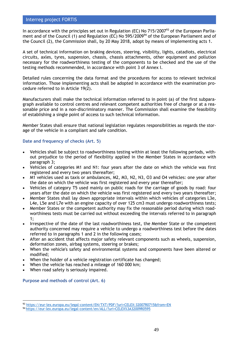In accordance with the principles set out in Regulation (EC) No  $715/2007<sup>93</sup>$  of the European Parliament and of the Council (1) and Regulation (EC) No 595/2009<sup>94</sup> of the European Parliament and of the Council (2), the Commission shall, by 20 May 2018, adopt by means of implementing acts 1.

A set of technical information on braking devices, steering, visibility, lights, catadiots, electrical circuits, axles, tyres, suspension, chassis, chassis attachments, other equipment and pollution necessary for the roadworthiness testing of the components to be checked and the use of the testing methods recommended, in accordance with point 3 of Annex I.

Detailed rules concerning the data format and the procedures for access to relevant technical information. Those implementing acts shall be adopted in accordance with the examination procedure referred to in Article 19(2).

Manufacturers shall make the technical information referred to in point (a) of the first subparagraph available to control centres and relevant competent authorities free of charge or at a reasonable price and in a non-discriminatory manner. The Commission shall examine the feasibility of establishing a single point of access to such technical information.

Member States shall ensure that national legislation regulates responsibilities as regards the storage of the vehicle in a compliant and safe condition.

## **Date and frequency of checks (Art. 5)**

- Vehicles shall be subject to roadworthiness testing within at least the following periods, without prejudice to the period of flexibility applied in the Member States in accordance with paragraph 3;
- Vehicles of categories M1 and N1: four years after the date on which the vehicle was first registered and every two years thereafter;
- M1 vehicles used as taxis or ambulances, M2, M3, N2, N3, O3 and O4 vehicles: one year after the date on which the vehicle was first registered and every year thereafter;
- Vehicles of category T5 used mainly on public roads for the carriage of goods by road: four years after the date on which the vehicle was first registered and every two years thereafter;
- Member States shall lay down appropriate intervals within which vehicles of categories L3e, L4e, L5e and L7e with an engine capacity of over 125 cm3 must undergo roadworthiness tests;
- Member States or the competent authority may fix the reasonable period during which roadworthiness tests must be carried out without exceeding the intervals referred to in paragraph 1;
- Irrespective of the date of the last roadworthiness test, the Member State or the competent authority concerned may require a vehicle to undergo a roadworthiness test before the dates referred to in paragraphs 1 and 2 in the following cases;
- After an accident that affects major safety relevant components such as wheels, suspension, deformation zones, airbag systems, steering or brakes;
- When the vehicle's safety and environmental systems and components have been altered or modified;
- When the holder of a vehicle registration certificate has changed;
- When the vehicle has reached a mileage of 160 000 km;
- When road safety is seriously impaired.

**Purpose and methods of control (Art. 6)** 

<sup>93</sup> <https://eur-lex.europa.eu/legal-content/EN/TXT/PDF/?uri=CELEX:32007R0715&from=EN>

<sup>94</sup> <https://eur-lex.europa.eu/legal-content/en/ALL/?uri=CELEX%3A32009R0595>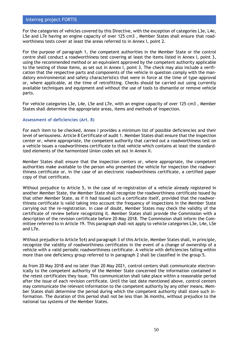For the categories of vehicles covered by this Directive, with the exception of categories L3e, L4e, L5e and L7e having an engine capacity of over 125 cm3 , Member States shall ensure that roadworthiness tests cover at least the areas referred to in Annex I, point 2.

For the purpose of paragraph 1, the competent authorities in the Member State or the control centre shall conduct a roadworthiness test covering at least the items listed in Annex I, point 3, using the recommended method or an equivalent approved by the competent authority applicable to the testing of those items, as set out in Annex I, point 3. The check may also include a verification that the respective parts and components of the vehicle in question comply with the mandatory environmental and safety characteristics that were in force at the time of type-approval or, where applicable, at the time of retrofitting. Checks should be carried out using currently available techniques and equipment and without the use of tools to dismantle or remove vehicle parts.

For vehicle categories L3e, L4e, L5e and L7e, with an engine capacity of over 125 cm3 , Member States shall determine the appropriate areas, items and methods of inspection.

### **Assessment of deficiencies (Art. 8)**

For each item to be checked, Annex I provides a minimum list of possible deficiencies and their level of seriousness. Article 8 Certificate of audit 1. Member States shall ensure that the inspection center or, where appropriate, the competent authority that carried out a roadworthiness test on a vehicle issues a roadworthiness certificate to that vehicle which contains at least the standardized elements of the harmonized Union codes set out in Annex II.

Member States shall ensure that the inspection centers or, where appropriate, the competent authorities make available to the person who presented the vehicle for inspection the roadworthiness certificate or, in the case of an electronic roadworthiness certificate, a certified paper copy of that certificate.

Without prejudice to Article 5, in the case of re-registration of a vehicle already registered in another Member State, the Member State shall recognize the roadworthiness certificate issued by that other Member State, as if it had issued such a certificate itself, provided that the roadworthiness certificate is valid taking into account the frequency of inspections in the Member State carrying out the re-registration. In case of doubt, Member States may check the validity of the certificate of review before recognizing it. Member States shall provide the Commission with a description of the revision certificate before 20 May 2018. The Commission shall inform the Committee referred to in Article 19. This paragraph shall not apply to vehicle categories L3e, L4e, L5e and L7e.

Without prejudice to Article 5(4) and paragraph 3 of this Article, Member States shall, in principle, recognize the validity of roadworthiness certificates in the event of a change of ownership of a vehicle with a valid periodic roadworthiness certificate. A vehicle with deficiencies falling within more than one deficiency group referred to in paragraph 2 shall be classified in the group 5.

As from 20 May 2018 and no later than 20 May 2021, control centers shall communicate electronically to the competent authority of the Member State concerned the information contained in the retest certificates they issue. This communication shall take place within a reasonable period after the issue of each revision certificate. Until the last date mentioned above, control centers may communicate the relevant information to the competent authority by any other means. Member States shall determine the period during which the competent authority shall store such information. The duration of this period shall not be less than 36 months, without prejudice to the national tax systems of the Member States.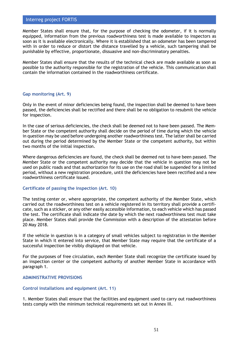Member States shall ensure that, for the purpose of checking the odometer, if it is normally equipped, information from the previous roadworthiness test is made available to inspectors as soon as it is available electronically. Where it is established that an odometer has been tampered with in order to reduce or distort the distance travelled by a vehicle, such tampering shall be punishable by effective, proportionate, dissuasive and non-discriminatory penalties.

Member States shall ensure that the results of the technical check are made available as soon as possible to the authority responsible for the registration of the vehicle. This communication shall contain the information contained in the roadworthiness certificate.

#### **Gap monitoring (Art. 9)**

Only in the event of minor deficiencies being found, the inspection shall be deemed to have been passed, the deficiencies shall be rectified and there shall be no obligation to resubmit the vehicle for inspection.

In the case of serious deficiencies, the check shall be deemed not to have been passed. The Member State or the competent authority shall decide on the period of time during which the vehicle in question may be used before undergoing another roadworthiness test. The latter shall be carried out during the period determined by the Member State or the competent authority, but within two months of the initial inspection.

Where dangerous deficiencies are found, the check shall be deemed not to have been passed. The Member State or the competent authority may decide that the vehicle in question may not be used on public roads and that authorization for its use on the road shall be suspended for a limited period, without a new registration procedure, until the deficiencies have been rectified and a new roadworthiness certificate issued.

#### **Certificate of passing the inspection (Art. 10)**

The testing center or, where appropriate, the competent authority of the Member State, which carried out the roadworthiness test on a vehicle registered in its territory shall provide a certificate, such as a sticker, or any other easily accessible information, to each vehicle which has passed the test. The certificate shall indicate the date by which the next roadworthiness test must take place. Member States shall provide the Commission with a description of the attestation before 20 May 2018.

If the vehicle in question is in a category of small vehicles subject to registration in the Member State in which it entered into service, that Member State may require that the certificate of a successful inspection be visibly displayed on that vehicle.

For the purposes of free circulation, each Member State shall recognize the certificate issued by an inspection center or the competent authority of another Member State in accordance with paragraph 1.

#### **ADMINISTRATIVE PROVISIONS**

#### **Control installations and equipment (Art. 11)**

1. Member States shall ensure that the facilities and equipment used to carry out roadworthiness tests comply with the minimum technical requirements set out in Annex III.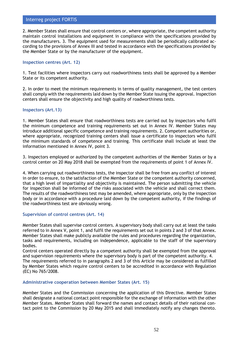2. Member States shall ensure that control centers or, where appropriate, the competent authority maintain control installations and equipment in compliance with the specifications provided by the manufacturers. 3. The equipment used for measurements shall be periodically calibrated according to the provisions of Annex III and tested in accordance with the specifications provided by the Member State or by the manufacturer of the equipment.

### **Inspection centres (Art. 12)**

1. Test facilities where inspectors carry out roadworthiness tests shall be approved by a Member State or its competent authority.

2. In order to meet the minimum requirements in terms of quality management, the test centers shall comply with the requirements laid down by the Member State issuing the approval. Inspection centers shall ensure the objectivity and high quality of roadworthiness tests.

### **Inspectors (Art.13)**

1. Member States shall ensure that roadworthiness tests are carried out by inspectors who fulfil the minimum competence and training requirements set out in Annex IV. Member States may introduce additional specific competence and training requirements. 2. Competent authorities or, where appropriate, recognized training centers shall issue a certificate to inspectors who fulfil the minimum standards of competence and training. This certificate shall include at least the information mentioned in Annex IV, point 3.

3. Inspectors employed or authorized by the competent authorities of the Member States or by a control center on 20 May 2018 shall be exempted from the requirements of point 1 of Annex IV.

4. When carrying out roadworthiness tests, the inspector shall be free from any conflict of interest in order to ensure, to the satisfaction of the Member State or the competent authority concerned, that a high level of impartiality and objectivity is maintained. The person submitting the vehicle for inspection shall be informed of the risks associated with the vehicle and shall correct them. The results of the roadworthiness test may be amended, where appropriate, only by the inspection body or in accordance with a procedure laid down by the competent authority, if the findings of the roadworthiness test are obviously wrong.

## **Supervision of control centres (Art. 14)**

Member States shall supervise control centers. A supervisory body shall carry out at least the tasks referred to in Annex V, point 1, and fulfil the requirements set out in points 2 and 3 of that Annex. Member States shall make publicly available the rules and procedures regarding the organization, tasks and requirements, including on independence, applicable to the staff of the supervisory bodies.

Control centers operated directly by a competent authority shall be exempted from the approval and supervision requirements where the supervisory body is part of the competent authority. 4. The requirements referred to in paragraphs 2 and 3 of this Article may be considered as fulfilled by Member States which require control centers to be accredited in accordance with Regulation (EC) No 765/2008.

#### **Administrative cooperation between Member States (Art. 15)**

Member States and the Commission concerning the application of this Directive. Member States shall designate a national contact point responsible for the exchange of information with the other Member States. Member States shall forward the names and contact details of their national contact point to the Commission by 20 May 2015 and shall immediately notify any changes thereto.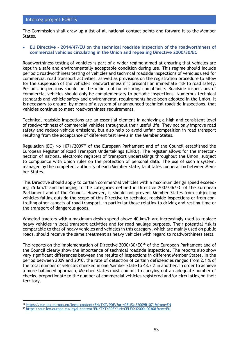The Commission shall draw up a list of all national contact points and forward it to the Member States.

• **EU Directive - 2014/47/EU on the technical roadside inspection of the roadworthiness of commercial vehicles circulating in the Union and repealing Directive 2000/30/EC** 

Roadworthiness testing of vehicles is part of a wider regime aimed at ensuring that vehicles are kept in a safe and environmentally acceptable condition during use. This regime should include periodic roadworthiness testing of vehicles and technical roadside inspections of vehicles used for commercial road transport activities, as well as provisions on the registration procedure to allow for the suspension of the vehicle's roadworthiness if it presents an immediate risk to road safety. Periodic inspections should be the main tool for ensuring compliance. Roadside inspections of commercial vehicles should only be complementary to periodic inspections. Numerous technical standards and vehicle safety and environmental requirements have been adopted in the Union. It is necessary to ensure, by means of a system of unannounced technical roadside inspections, that vehicles continue to meet roadworthiness requirements.

Technical roadside inspections are an essential element in achieving a high and consistent level of roadworthiness of commercial vehicles throughout their useful life. They not only improve road safety and reduce vehicle emissions, but also help to avoid unfair competition in road transport resulting from the acceptance of different test levels in the Member States.

Regulation (EC) No 1071/2009<sup>95</sup> of the European Parliament and of the Council established the European Register of Road Transport Undertakings (ERRU). The register allows for the interconnection of national electronic registers of transport undertakings throughout the Union, subject to compliance with Union rules on the protection of personal data. The use of such a system, managed by the competent authority of each Member State, facilitates cooperation between Member States.

This Directive should apply to certain commercial vehicles with a maximum design speed exceeding 25 km/h and belonging to the categories defined in Directive 2007/46/EC of the European Parliament and of the Council. However, it should not prevent Member States from subjecting vehicles falling outside the scope of this Directive to technical roadside inspections or from controlling other aspects of road transport, in particular those relating to driving and resting time or the transport of dangerous goods.

Wheeled tractors with a maximum design speed above 40 km/h are increasingly used to replace heavy vehicles in local transport activities and for road haulage purposes. Their potential risk is comparable to that of heavy vehicles and vehicles in this category, which are mainly used on public roads, should receive the same treatment as heavy vehicles with regard to roadworthiness tests.

The reports on the implementation of Directive 2000/30/EC<sup>96</sup> of the European Parliament and of the Council clearly show the importance of technical roadside inspections. The reports also show very significant differences between the results of inspections in different Member States. In the period between 2009 and 2010, the rate of detection of certain deficiencies ranged from 2.1 % of the total number of vehicles checked in one Member State to 48.3 % in another. In order to achieve a more balanced approach, Member States must commit to carrying out an adequate number of checks, proportionate to the number of commercial vehicles registered and/or circulating on their territory.

<sup>95</sup> <https://eur-lex.europa.eu/legal-content/EN/TXT/PDF/?uri=CELEX:32009R1071&from=EN>

<sup>96</sup> <https://eur-lex.europa.eu/legal-content/EN/TXT/PDF/?uri=CELEX:32000L0030&from=EN>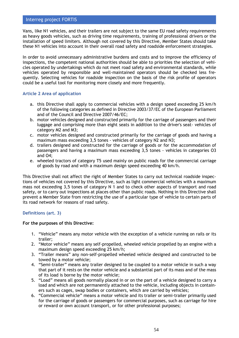Vans, like N1 vehicles, and their trailers are not subject to the same EU road safety requirements as heavy goods vehicles, such as driving time requirements, training of professional drivers or the installation of speed limiters. Although not covered by this Directive, Member States should take these N1 vehicles into account in their overall road safety and roadside enforcement strategies.

In order to avoid unnecessary administrative burdens and costs and to improve the efficiency of inspections, the competent national authorities should be able to priorities the selection of vehicles operated by undertakings which do not meet road safety and environmental standards, while vehicles operated by responsible and well-maintained operators should be checked less frequently. Selecting vehicles for roadside inspection on the basis of the risk profile of operators could be a useful tool for monitoring more closely and more frequently.

### **Article 2 Area of application**

- a. this Directive shall apply to commercial vehicles with a design speed exceeding 25 km/h of the following categories as defined in Directive 2003/37/EC of the European Parliament and of the Council and Directive 2007/46/EC;
- b. motor vehicles designed and constructed primarily for the carriage of passengers and their luggage and comprising more than eight seats in addition to the driver's seat- vehicles of category M2 and M3;
- c. motor vehicles designed and constructed primarily for the carriage of goods and having a maximum mass exceeding 3,5 tones - vehicles of category N2 and N3;
- d. trailers designed and constructed for the carriage of goods or for the accommodation of passengers and having a maximum mass exceeding 3,5 tones - vehicles in categories O3 and O4;
- e. wheeled tractors of category T5 used mainly on public roads for the commercial carriage of goods by road and with a maximum design speed exceeding 40 km/h.

This Directive shall not affect the right of Member States to carry out technical roadside inspections of vehicles not covered by this Directive, such as light commercial vehicles with a maximum mass not exceeding 3,5 tones of category N 1 and to check other aspects of transport and road safety, or to carry out inspections at places other than public roads. Nothing in this Directive shall prevent a Member State from restricting the use of a particular type of vehicle to certain parts of its road network for reasons of road safety.

## **Definitions (art. 3)**

#### **For the purposes of this Directive:**

- 1. "Vehicle" means any motor vehicle with the exception of a vehicle running on rails or its trailer;
- 2. "Motor vehicle" means any self-propelled, wheeled vehicle propelled by an engine with a maximum design speed exceeding 25 km/h;
- 3. "Trailer means" any non-self-propelled wheeled vehicle designed and constructed to be towed by a motor vehicle;
- 4. "Semi-trailer" means any trailer designed to be coupled to a motor vehicle in such a way that part of it rests on the motor vehicle and a substantial part of its mass and of the mass of its load is borne by the motor vehicle;
- 5. "Load" means all goods normally placed in or on the part of a vehicle designed to carry a load and which are not permanently attached to the vehicle, including objects in containers such as cages, swap bodies or containers, which are carried by vehicles;
- 6. "Commercial vehicle" means a motor vehicle and its trailer or semi-trailer primarily used for the carriage of goods or passengers for commercial purposes, such as carriage for hire or reward or own account transport, or for other professional purposes;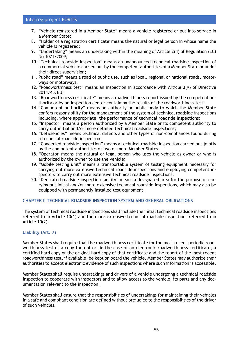- 7. "Vehicle registered in a Member State" means a vehicle registered or put into service in a Member State;
- 8. "Holder of a registration certificate' means the natural or legal person in whose name the vehicle is registered;
- 9. "Undertaking" means an undertaking within the meaning of Article 2(4) of Regulation (EC) No 1071/2009;
- 10. "Technical roadside inspection" means an unannounced technical roadside inspection of a commercial vehicle carried out by the competent authorities of a Member State or under their direct supervision;
- 11. Public road" means a road of public use, such as local, regional or national roads, motorways or motorways;
- 12. "Roadworthiness test" means an inspection in accordance with Article 3(9) of Directive 2014/45/EU;
- 13. "Roadworthiness certificate" means a roadworthiness report issued by the competent authority or by an inspection center containing the results of the roadworthiness test;
- 14. "Competent authority" means an authority or public body to which the Member State confers responsibility for the management of the system of technical roadside inspections including, where appropriate, the performance of technical roadside inspections;
- 15. "Inspector" means a person authorized by a Member State or its competent authority to carry out initial and/or more detailed technical roadside inspections;
- 16. "Deficiencies" means technical defects and other types of non-compliances found during a technical roadside inspection;
- 17. "Concerted roadside inspection" means a technical roadside inspection carried out jointly by the competent authorities of two or more Member States;
- 18. "Operator' means the natural or legal person who uses the vehicle as owner or who is authorized by the owner to use the vehicle;
- 19. "Mobile testing unit" means a transportable system of testing equipment necessary for carrying out more extensive technical roadside inspections and employing competent inspectors to carry out more extensive technical roadside inspections;
- 20. "Dedicated roadside inspection facility" means a designated area for the purpose of carrying out initial and/or more extensive technical roadside inspections, which may also be equipped with permanently installed test equipment.

## **CHAPTER II TECHNICAL ROADSIDE INSPECTION SYSTEM AND GENERAL OBLIGATIONS**

The system of technical roadside inspections shall include the initial technical roadside inspections referred to in Article 10(1) and the more extensive technical roadside inspections referred to in Article 10(2).

## **Liability (Art. 7)**

Member States shall require that the roadworthiness certificate for the most recent periodic roadworthiness test or a copy thereof or, in the case of an electronic roadworthiness certificate, a certified hard copy or the original hard copy of that certificate and the report of the most recent roadworthiness test, if available, be kept on board the vehicle. Member States may authorize their authorities to accept electronic evidence of such inspections where such information is accessible.

Member States shall require undertakings and drivers of a vehicle undergoing a technical roadside inspection to cooperate with inspectors and to allow access to the vehicle, its parts and any documentation relevant to the inspection.

Member States shall ensure that the responsibilities of undertakings for maintaining their vehicles in a safe and compliant condition are defined without prejudice to the responsibilities of the driver of such vehicles.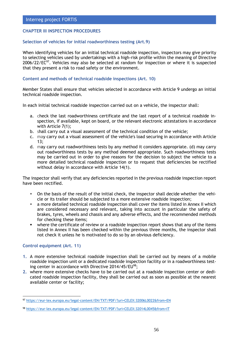## **CHAPTER III INSPECTION PROCEDURES**

## **Selection of vehicles for initial roadworthiness testing (Art.9)**

When identifying vehicles for an initial technical roadside inspection, inspectors may give priority to selecting vehicles used by undertakings with a high-risk profile within the meaning of Directive  $2006/22/EC^{97}$ . Vehicles may also be selected at random for inspection or where it is suspected that they present a risk to road safety or the environment.

### **Content and methods of technical roadside inspections (Art. 10)**

Member States shall ensure that vehicles selected in accordance with Article 9 undergo an initial technical roadside inspection.

In each initial technical roadside inspection carried out on a vehicle, the inspector shall:

- a. check the last roadworthiness certificate and the last report of a technical roadside inspection, if available, kept on board, or the relevant electronic attestations in accordance with Article 7(1);
- b. shall carry out a visual assessment of the technical condition of the vehicle;
- c. may carry out a visual assessment of the vehicle's load securing in accordance with Article 13;
- d. may carry out roadworthiness tests by any method it considers appropriate. (d) may carry out roadworthiness tests by any method deemed appropriate. Such roadworthiness tests may be carried out in order to give reasons for the decision to subject the vehicle to a more detailed technical roadside inspection or to request that deficiencies be rectified without delay in accordance with Article 14(1).

The inspector shall verify that any deficiencies reported in the previous roadside inspection report have been rectified.

- **•** On the basis of the result of the initial check, the inspector shall decide whether the vehicle or its trailer should be subjected to a more extensive roadside inspection;
- **■** a more detailed technical roadside inspection shall cover the items listed in Annex II which are considered necessary and relevant, taking into account in particular the safety of brakes, tyres, wheels and chassis and any adverse effects, and the recommended methods for checking these items;
- **■** where the certificate of review or a roadside inspection report shows that any of the items listed in Annex II has been checked within the previous three months, the inspector shall not check it unless he is motivated to do so by an obvious deficiency.

## **Control equipment (Art. 11)**

- **1.** A more extensive technical roadside inspection shall be carried out by means of a mobile roadside inspection unit or a dedicated roadside inspection facility or in a roadworthiness testing center in accordance with Directive 2014/45/EU<sup>98</sup>;
- **2.** where more extensive checks have to be carried out at a roadside inspection center or dedicated roadside inspection facility, they shall be carried out as soon as possible at the nearest available center or facility;

<sup>97</sup> <https://eur-lex.europa.eu/legal-content/EN/TXT/PDF/?uri=CELEX:32006L0022&from=EN>

<sup>98</sup> <https://eur-lex.europa.eu/legal-content/EN/TXT/PDF/?uri=CELEX:32014L0045&from=IT>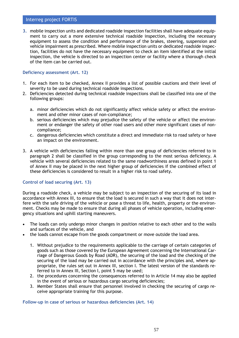**3.** mobile inspection units and dedicated roadside inspection facilities shall have adequate equipment to carry out a more extensive technical roadside inspection, including the necessary equipment to assess the condition and performance of the brakes, steering, suspension and vehicle impairment as prescribed. Where mobile inspection units or dedicated roadside inspection, facilities do not have the necessary equipment to check an item identified at the initial inspection, the vehicle is directed to an inspection center or facility where a thorough check of the item can be carried out.

#### **Deficiency assessment (Art. 12)**

- 1. For each item to be checked, Annex II provides a list of possible cautions and their level of severity to be used during technical roadside inspections.
- 2. Deficiencies detected during technical roadside inspections shall be classified into one of the following groups:
	- a. minor deficiencies which do not significantly affect vehicle safety or affect the environment and other minor cases of non-compliance;
	- b. serious deficiencies which may prejudice the safety of the vehicle or affect the environment or endanger the safety of other road users and other more significant cases of noncompliance;
	- c. dangerous deficiencies which constitute a direct and immediate risk to road safety or have an impact on the environment.
- 3. A vehicle with deficiencies falling within more than one group of deficiencies referred to in paragraph 2 shall be classified in the group corresponding to the most serious deficiency. A vehicle with several deficiencies related to the same roadworthiness areas defined in point 1 of Annex II may be placed in the next higher group of deficiencies if the combined effect of these deficiencies is considered to result in a higher risk to road safety.

## **Control of load securing (Art. 13)**

During a roadside check, a vehicle may be subject to an inspection of the securing of its load in accordance with Annex III, to ensure that the load is secured in such a way that it does not interfere with the safe driving of the vehicle or pose a threat to life, health, property or the environment. Checks may be made to ensure that during all phases of vehicle operation, including emergency situations and uphill starting maneuvers.

- The loads can only undergo minor changes in position relative to each other and to the walls and surfaces of the vehicle, and
- the loads cannot escape from the goods compartment or move outside the load area.
	- 1. Without prejudice to the requirements applicable to the carriage of certain categories of goods such as those covered by the European Agreement concerning the International Carriage of Dangerous Goods by Road (ADR), the securing of the load and the checking of the securing of the load may be carried out in accordance with the principles and, where appropriate, the rules set out in Annex III, section I. The latest version of the standards referred to in Annex III, Section I, point 5 may be used;
	- 2. the procedures concerning the consequences referred to in Article 14 may also be applied in the event of serious or hazardous cargo securing deficiencies;
	- 3. Member States shall ensure that personnel involved in checking the securing of cargo receive appropriate training for this purpose.

**Follow-up in case of serious or hazardous deficiencies (Art. 14)**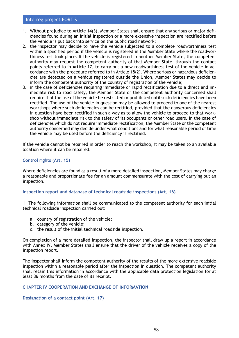- 1. Without prejudice to Article 14(3), Member States shall ensure that any serious or major deficiencies found during an initial inspection or a more extensive inspection are rectified before the vehicle is put back into service on the public road network;
- 2. the inspector may decide to have the vehicle subjected to a complete roadworthiness test within a specified period if the vehicle is registered in the Member State where the roadworthiness test took place. If the vehicle is registered in another Member State, the competent authority may request the competent authority of that Member State, through the contact points referred to in Article 17, to carry out a new roadworthiness test of the vehicle in accordance with the procedure referred to in Article 18(2). Where serious or hazardous deficiencies are detected on a vehicle registered outside the Union, Member States may decide to inform the competent authority of the country of registration of the vehicle;
- 3. in the case of deficiencies requiring immediate or rapid rectification due to a direct and immediate risk to road safety, the Member State or the competent authority concerned shall require that the use of the vehicle be restricted or prohibited until such deficiencies have been rectified. The use of the vehicle in question may be allowed to proceed to one of the nearest workshops where such deficiencies can be rectified, provided that the dangerous deficiencies in question have been rectified in such a way as to allow the vehicle to proceed to that workshop without immediate risk to the safety of its occupants or other road users. In the case of deficiencies which do not require immediate rectification, the Member State or the competent authority concerned may decide under what conditions and for what reasonable period of time the vehicle may be used before the deficiency is rectified.

If the vehicle cannot be repaired in order to reach the workshop, it may be taken to an available location where it can be repaired.

### **Control rights (Art. 15)**

Where deficiencies are found as a result of a more detailed inspection, Member States may charge a reasonable and proportionate fee for an amount commensurate with the cost of carrying out an inspection.

#### **Inspection report and database of technical roadside inspections (Art. 16)**

1. The following information shall be communicated to the competent authority for each initial technical roadside inspection carried out:

- a. country of registration of the vehicle;
- b. category of the vehicle;
- c. the result of the initial technical roadside inspection.

On completion of a more detailed inspection, the inspector shall draw up a report in accordance with Annex IV. Member States shall ensure that the driver of the vehicle receives a copy of the inspection report.

The inspector shall inform the competent authority of the results of the more extensive roadside inspection within a reasonable period after the inspection in question. The competent authority shall retain this information in accordance with the applicable data protection legislation for at least 36 months from the date of its receipt.

#### **CHAPTER IV COOPERATION AND EXCHANGE OF INFORMATION**

#### **Designation of a contact point (Art. 17)**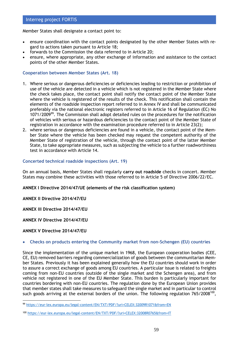Member States shall designate a contact point to:

- ensure coordination with the contact points designated by the other Member States with regard to actions taken pursuant to Article 18;
- forwards to the Commission the data referred to in Article 20;
- ensure, where appropriate, any other exchange of information and assistance to the contact points of the other Member States.

### **Cooperation between Member States (Art. 18)**

- 1. Where serious or dangerous deficiencies or deficiencies leading to restriction or prohibition of use of the vehicle are detected in a vehicle which is not registered in the Member State where the check takes place, the contact point shall notify the contact point of the Member State where the vehicle is registered of the results of the check. This notification shall contain the elements of the roadside inspection report referred to in Annex IV and shall be communicated preferably via the national electronic registers referred to in Article 16 of Regulation (EC) No 1071/2009<sup>99</sup>. The Commission shall adopt detailed rules on the procedures for the notification of vehicles with serious or hazardous deficiencies to the contact point of the Member State of registration in accordance with the examination procedure referred to in Article 23(2);
- 2. where serious or dangerous deficiencies are found in a vehicle, the contact point of the Member State where the vehicle has been checked may request the competent authority of the Member State of registration of the vehicle, through the contact point of the latter Member State, to take appropriate measures, such as subjecting the vehicle to a further roadworthiness test in accordance with Article 14.

#### **Concerted technical roadside inspections (Art. 19)**

On an annual basis, Member States shall regularly **carry out roadside** checks in concert. Member States may combine these activities with those referred to in Article 5 of Directive 2006/22/EC.

**[ANNEX I Directive 2014/47/UE](file:///C:/Users/Utente/AppData/Local/Microsoft/Windows/INetCache/Content.Outlook/KCTJEM89/ANNEX%20I%20Directive%202014/47/UE) (elements of the risk classification system)**

**[ANNEX II Directive 2014/47/EU](http://www.patente.it/upload/pdf/Allegato2_direttiva_03042014_n30.pdf)**

**[ANNEX III Directive 2014/47/EU](http://www.patente.it/upload/pdf/Allegato3_direttiva_03042014_n30.pdf)**

**[ANNEX IV Directive 2014/47/EU](http://www.patente.it/upload/pdf/Allegato4_direttiva_03042014_n30.pdf)**

#### **[ANNEX V Directive 2014/47/EU](http://www.patente.it/upload/pdf/Allegato5_direttiva_03042014_n30.pdf)**

#### • **Checks on products entering the Community market from non-Schengen (EU) countries**

Since the implementation of the unique market in 1968, the European cooperation bodies (CEE, CE, EU) removed barriers regarding commercialization of goods between the communitarian Member States. Previously it has been explained generally how the EU countries should work in order to assure a correct exchange of goods among EU countries. A particular issue is related to freights coming from non-EU countries (outside of the single market and the Schengen area), and from vehicle not registered in one of the EU Member State. This burden is particularly important for countries bordering with non-EU countries. The regulation done by the European Union provides that member states shall take measures to safeguard the single market and in particular to control such goods arriving at the external borders of the union. The following regulation  $765/2008^{100}$ ,

<sup>99</sup> <https://eur-lex.europa.eu/legal-content/EN/TXT/PDF/?uri=CELEX:32009R1071&from=EN>

<sup>100</sup> <https://eur-lex.europa.eu/legal-content/EN/TXT/PDF/?uri=CELEX:32008R0765&from=IT>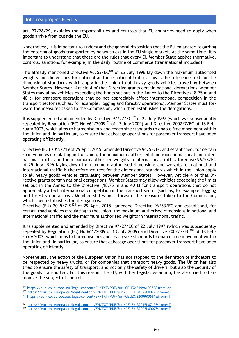art. 27/28/29, explains the responsibilities and controls that EU countries need to apply when goods arrive from outside the EU.

Nonetheless, it is important to understand the general disposition that the EU emanated regarding the entering of goods transported by heavy trucks in the EU single market. At the same time, it is important to understand that these are the rules that every EU Member State applies (normative, controls, sanctions for example) in the daily routine of commerce (transnational included).

The already mentioned Directive  $96/53/EC^{101}$  of 25 July 1996 lay down the maximum authorised weights and dimensions for national and international traffic. This is the reference text for the dimensional standards which apply in the Union to all heavy goods vehicles travelling between Member States. However, Article 4 of that Directive grants certain national derogations: Member States may allow vehicles exceeding the limits set out in the Annex to the Directive (18.75 m and 40 t) for transport operations that do not appreciably affect international competition in the transport sector (such as, for example, logging and forestry operations). Member States must forward the measures taken to the Commission, which then establishes the derogations.

It is supplemented and amended by Directive  $97/27/EC^{102}$  of 22 July 1997 (which was subsequently repealed by Regulation (EC) No 661/2009<sup>103</sup> of 13 July 2009) and Directive 2002/7/EC of 18 February 2002, which aims to harmonise bus and coach size standards to enable free movement within the Union and, in particular, to ensure that cabotage operations for passenger transport have been operating efficiently.

Directive (EU) 2015/719 of 29 April 2015, amended Directive 96/53/EC and established, for certain road vehicles circulating in the Union, the maximum authorised dimensions in national and international traffic and the maximum authorised weights in international traffic. Directive 96/53/EC of 25 July 1996 laying down the maximum authorised dimensions and weights for national and international traffic is the reference text for the dimensional standards which in the Union apply to all heavy goods vehicles circulating between Member States. However, Article 4 of that Directive grants certain national derogations: Member States may allow vehicles exceeding the limits set out in the Annex to the Directive (18.75 m and 40 t) for transport operations that do not appreciably affect international competition in the transport sector (such as, for example, logging and forestry operations). Member States must forward the measures taken to the Commission, which then establishes the derogations.

Directive (EU) 2015/719<sup>104</sup> of 29 April 2015, amended Directive 96/53/EC and established, for certain road vehicles circulating in the Union, the maximum authorised dimensions in national and international traffic and the maximum authorised weights in international traffic.

It is supplemented and amended by Directive 97/27/EC of 22 July 1997 (which was subsequently repealed by Regulation (EC) No 661/2009 of 13 July 2009) and Directive 2002/7/EC<sup>105</sup> of 18 February 2002, which aims to harmonise bus and coach size standards to enable free movement within the Union and, in particular, to ensure that cabotage operations for passenger transport have been operating efficiently.

Nonetheless, the action of the European Union has not stopped to the definition of indicators to be respected by heavy trucks, or for companies that transport heavy goods. The Union has also tried to ensure the safety of transport, and not only the safety of drivers, but also the security of the goods transported. For this reason, the EU, with her legislative action, has also tried to harmonize the subject of controls.

<sup>101</sup> <https://eur-lex.europa.eu/legal-content/EN/TXT/PDF/?uri=CELEX:31996L0053&from=en> <sup>102</sup> <https://eur-lex.europa.eu/legal-content/EN/TXT/PDF/?uri=CELEX:31997L0027&from=en>

<sup>103</sup> <https://eur-lex.europa.eu/legal-content/EN/TXT/PDF/?uri=CELEX:32009R0661&from=IT>

<sup>104</sup> <https://eur-lex.europa.eu/legal-content/EN/TXT/PDF/?uri=CELEX:32015L0719&from=IT> <sup>105</sup> <https://eur-lex.europa.eu/legal-content/EN/TXT/PDF/?uri=CELEX:32002L0007&from=IT>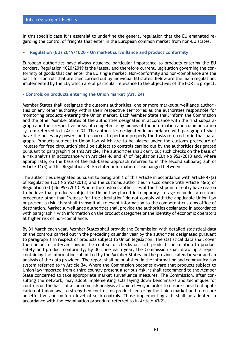In this specific case it is essential to underline the general regulation that the EU emanated regarding the control of freights that enter in the European common market from non-EU states.

### • **Regulation (EU) 2019/1020 – On market surveillance and product conformity**

European authorities have always attached particular importance to products entering the EU borders. Regulation 1020/2019 is the latest, and therefore current, legislation governing the conformity of goods that can enter the EU single market. Non-conformity and non-compliance are the basis for controls that are then carried out by individual EU states. Below are the main regulations implemented by the EU, which are of particular relevance to the objectives of the FORTIS project.

#### **- Controls on products entering the Union market (Art. 24)**

Member States shall designate the customs authorities, one or more market surveillance authorities or any other authority within their respective territories as the authorities responsible for monitoring products entering the Union market. Each Member State shall inform the Commission and the other Member States of the authorities designated in accordance with the first subparagraph and their respective areas of competence by means of the information and communication system referred to in Article 34. The authorities designated in accordance with paragraph 1 shall have the necessary powers and resources to perform properly the tasks referred to in that paragraph. Products subject to Union law which are to be placed under the customs procedure of 'release for free circulation' shall be subject to controls carried out by the authorities designated pursuant to paragraph 1 of this Article. The authorities shall carry out such checks on the basis of a risk analysis in accordance with Articles 46 and 47 of Regulation (EU) No 952/2013 and, where appropriate, on the basis of the risk-based approach referred to in the second subparagraph of Article 11(3) of this Regulation. Risk-related information is exchanged between:

The authorities designated pursuant to paragraph 1 of this Article in accordance with Article 47(2) of Regulation (EU) No 952/2013; and the customs authorities in accordance with Article 46(5) of Regulation (EU) No 952/2013. Where the customs authorities at the first point of entry have reason to believe that products subject to Union law placed in temporary storage or under a customs procedure other than "release for free circulation" do not comply with the applicable Union law or present a risk, they shall transmit all relevant information to the competent customs office of destination. Market surveillance authorities shall provide the authorities designated in accordance with paragraph 1 with information on the product categories or the identity of economic operators at higher risk of non-compliance.

By 31 March each year, Member States shall provide the Commission with detailed statistical data on the controls carried out in the preceding calendar year by the authorities designated pursuant to paragraph 1 in respect of products subject to Union legislation. The statistical data shall cover the number of interventions in the context of checks on such products, in relation to product safety and product conformity; By 30 June each year, the Commission shall draw up a report containing the information submitted by the Member States for the previous calendar year and an analysis of the data provided. The report shall be published in the information and communication system referred to in Article 34. Where the Commission becomes aware that products subject to Union law imported from a third country present a serious risk, it shall recommend to the Member State concerned to take appropriate market surveillance measures. The Commission, after consulting the network, may adopt implementing acts laying down benchmarks and techniques for controls on the basis of a common risk analysis at Union level, in order to ensure consistent application of Union law, to strengthen controls on products entering the Union market and to ensure an effective and uniform level of such controls. Those implementing acts shall be adopted in accordance with the examination procedure referred to in Article 43(2).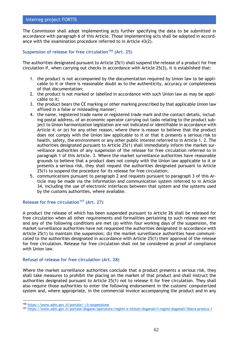The Commission shall adopt implementing acts further specifying the data to be submitted in accordance with paragraph 6 of this Article. Those implementing acts shall be adopted in accordance with the examination procedure referred to in Article 43(2).

## **Suspension of release for free circulation<sup>106</sup> (Art. 25)**

The authorities designated pursuant to Article 25(1) shall suspend the release of a product for free circulation if, when carrying out checks in accordance with Article 25(3), it is established that:

- 1. the product is not accompanied by the documentation required by Union law to be applicable to it or there is reasonable doubt as to the authenticity, accuracy or completeness of that documentation;
- 2. the product is not marked or labelled in accordance with such Union law as may be applicable to it;
- 3. the product bears the CE marking or other marking prescribed by that applicable Union law affixed in a false or misleading manner;
- 4. the name, registered trade name or registered trade mark and the contact details, including postal address, of an economic operator carrying out tasks relating to the product subject to Union harmonization legislation are not indicated or identifiable in accordance with Article 4; or (e) for any other reason, where there is reason to believe that the product does not comply with the Union law applicable to it or that it presents a serious risk to health, safety, the environment or any other public interest referred to in Article 1. 2. The authorities designated pursuant to Article 25(1) shall immediately inform the market surveillance authorities of any suspension of the release for free circulation referred to in paragraph 1 of this Article. 3. Where the market surveillance authorities have reasonable grounds to believe that a product does not comply with the Union law applicable to it or presents a serious risk, they shall request the authorities designated pursuant to Article 25(1) to suspend the procedure for its release for free circulation;
- 5. communications pursuant to paragraph 2 and requests pursuant to paragraph 3 of this Article may be made via the information and communication system referred to in Article 34, including the use of electronic interfaces between that system and the systems used by the customs authorities, where available.

## **Release for free circulation<sup>107</sup> (Art. 27)**

A product the release of which has been suspended pursuant to Article 26 shall be released for free circulation when all other requirements and formalities pertaining to such release are met and any of the following conditions are met (a) within four working days of the suspension, the market surveillance authorities have not requested the authorities designated in accordance with Article 25(1) to maintain the suspension; (b) the market surveillance authorities have communicated to the authorities designated in accordance with Article 25(1) their approval of the release for free circulation. Release for free circulation shall not be considered as proof of compliance with Union law.

#### **Refusal of release for free circulation (Art. 28)**

Where the market surveillance authorities conclude that a product presents a serious risk, they shall take measures to prohibit the placing on the market of that product and shall instruct the authorities designated pursuant to Article 25(1) not to release it for free circulation. They shall also require those authorities to enter the following endorsement in the customs' computerized system and, where appropriate, in the commercial invoice accompanying the product and in any

<sup>106</sup> <https://www.adm.gov.it/portale/-/ii-sospensione>

<sup>107</sup> <https://www.adm.gov.it/portale/dogane/operatore/regimi-e-istituti-doganali/i-regimi-doganali/libera-pratica-1>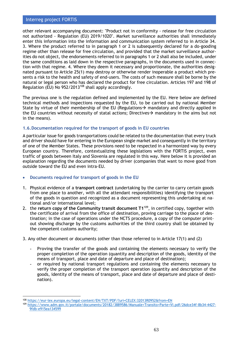other relevant accompanying document: "Product not in conformity - release for free circulation not authorized - Regulation (EU) 2019/1020". Market surveillance authorities shall immediately enter this information into the information and communication system referred to in Article 34. 3. Where the product referred to in paragraph 1 or 2 is subsequently declared for a do-gooding regime other than release for free circulation, and provided that the market surveillance authorities do not object, the endorsements referred to in paragraphs 1 or 2 shall also be included, under the same conditions as laid down in the respective paragraphs, in the documents used in connection with that regime. 4. Where they deem it necessary and proportionate, the authorities designated pursuant to Article 25(1) may destroy or otherwise render inoperable a product which presents a risk to the health and safety of end-users. The costs of such measure shall be borne by the natural or legal person who has declared the product for free circulation. Articles 197 and 198 of Regulation (EU) No  $952/2013^{108}$  shall apply accordingly.

The previous one is the regulation defined and implemented by the EU. Here below are defined technical methods and inspections requested by the EU, to be carried out by national Member State by virtue of their membership of the EU (Regulations $\rightarrow$  mandatory and directly applied in the EU countries without necessity of statal actions; Directives→ mandatory in the aims but not in the means).

# **1.6.Documentation required for the transport of goods in EU countries**

A particular issue for goods transportations could be related to the documentation that every truck and driver should have for entering in the European single market and consequently in the territory of one of the Member States. These provisions need to be respected in a harmonized way by every European country. Therefore, contextualizing these legislations with the FORTIS project, even traffic of goods between Italy and Slovenia are regulated in this way. Here below it is provided an explanation regarding the documents needed by driver (companies that want to move good from outside toward the EU and even intra-EU.

# • **Documents required for transport of goods in the EU**

- 1. Physical evidence of a **transport contract** (undertaking by the carrier to carry certain goods from one place to another, with all the attendant responsibilities) identifying the transport of the goods in question and recognized as a document representing this undertaking at national and/or international level;
- 2. the **return copy of the Community transit document T1**<sup>109</sup>, in certified copy, together with the certificate of arrival from the office of destination, proving carriage to the place of destination; in the case of operations under the NCTS procedure, a copy of the computer printout showing discharge by the customs authorities of the third country shall be obtained by the competent customs authority;
- 3. Any other document or documents (other than those referred to in Article 17(1) and (2)
	- **- Proving the transfer of the goods** and containing the elements necessary to verify the proper completion of the operation (quantity and description of the goods, identity of the means of transport, place and date of departure and place of destination);
	- **-** or required by national transport regulations and containing the elements necessary to verify the proper completion of the transport operation (quantity and description of the goods, identity of the means of transport, place and date of departure and place of destination).

<sup>108</sup> <https://eur-lex.europa.eu/legal-content/EN/TXT/PDF/?uri=CELEX:32013R0952&from=EN>

<sup>109</sup> [https://www.adm.gov.it/portale/documents/20182/3889586/Manuale+Transito+Parte+VI.pdf/26dce34f-8b34-4427-](https://www.adm.gov.it/portale/documents/20182/3889586/Manuale+Transito+Parte+VI.pdf/26dce34f-8b34-4427-9fdb-e915ea134599) [9fdb-e915ea134599](https://www.adm.gov.it/portale/documents/20182/3889586/Manuale+Transito+Parte+VI.pdf/26dce34f-8b34-4427-9fdb-e915ea134599)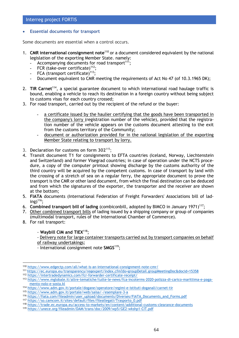## • **Essential documents for transport**

Some documents are essential when a control occurs.

- 1. **CMR international consignment note**<sup>110</sup> or a document considered equivalent by the national legislation of the exporting Member State. namely:
	- Accompanying documents for road transport<sup>111</sup>;
	- FCR (take-over certificate)<sup>112</sup>:
	- FCA (transport certificate)<sup>113</sup>:
	- **-** Document equivalent to CMR meeting the requirements of Act No 47 (of 10.3.1965 DK);
- 2. **TIR Carnet**<sup>114</sup>, a special guarantee document to which international road haulage traffic is bound, enabling a vehicle to reach its destination in a foreign country without being subject to customs visas for each country crossed;
- 3. For road transport, carried out by the recipient of the refund or the buyer:
	- **-** a certificate issued by the haulier certifying that the goods have been transported in the company's lorry (registration number of the vehicle), provided that the registration number of the vehicle appears on the customs document attesting to the exit from the customs territory of the Community;
	- **-** document or authorization provided for in the national legislation of the exporting Member State relating to transport by lorry.
- 3. **Declaration for customs on form 302**<sup>115</sup>;
- 4. **Transit document T1** for consignments to EFTA countries (Iceland, Norway, Liechtenstein and Switzerland) and former Visegrad countries; in case of operation under the NCTS procedure, a copy of the computer printout showing discharge by the customs authority of the third country will be acquired by the competent customs. In case of transport by land with the crossing of a stretch of sea on a regular ferry, the appropriate document to prove the transport is the CMR or other land document, from which the final destination can be deduced and from which the signatures of the exporter, the transporter and the receiver are shown at the bottom;
- 5. **FIATA** documents (International Federation of Freight Forwarders' Associations bill of lading) $116$ :
- 6. **Combined transport bill of lading** (combiconbill, adopted by BIMCO in January 1971)<sup>117</sup>;
- 7. Other combined transport bills of lading issued by a shipping company or group of companies (multimodal transport, rules of the International Chamber of Commerce).
- 8. For rail transport:

## - **Waybill CIM and TIEX**<sup>118</sup>;

- Delivery note for large container transports carried out by transport companies on behalf of railway undertakings;

- International consignment note **SMGS**<sup>119</sup>;

<sup>110</sup> <https://www.edgectp.com/all/what-is-an-international-consignment-note-cmr/>

<sup>111</sup> <https://ec.europa.eu/transparency/regexpert/index.cfm?do=groupDetail.groupMeetingDoc&docid=15358>

<sup>112</sup> <https://intertradedynamics.com/fcr-forwarder-certificate-receipt/>

<sup>113</sup> [https://www.mglobale.it/altre-tematiche/tutte-le-news/fca-incoterms-2020-polizza-di-carico-marittima-e-paga](https://www.mglobale.it/altre-tematiche/tutte-le-news/fca-incoterms-2020-polizza-di-carico-marittima-e-pagamento-nolo-e-sosta.kl)[mento-nolo-e-sosta.kl](https://www.mglobale.it/altre-tematiche/tutte-le-news/fca-incoterms-2020-polizza-di-carico-marittima-e-pagamento-nolo-e-sosta.kl)

<sup>114</sup> <https://www.adm.gov.it/portale/dogane/operatore/regimi-e-istituti-doganali/carnet-tir>

<sup>115</sup> <https://www.adm.gov.it/portale/web/saisa/-/esemplare-3-a>

<sup>116</sup> [https://fiata.com/fileadmin/user\\_upload/documents/Diverses/FIATA\\_Documents\\_and\\_Forms.pdf](https://fiata.com/fileadmin/user_upload/documents/Diverses/FIATA_Documents_and_Forms.pdf)

<sup>117</sup> [https://so.camcom.it/sites/default/files/fileallegati/Trasporto\\_0.pdf](https://so.camcom.it/sites/default/files/fileallegati/Trasporto_0.pdf)

<sup>118</sup> <https://trade.ec.europa.eu/access-to-markets/en/content/additional-customs-clearance-documents>

<sup>119</sup> <https://unece.org/fileadmin/DAM/trans/doc/2009/wp5/GE2-wkshp1-CIT.pdf>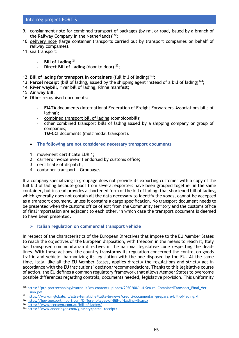- 9. consignment note for combined transport of packages (by rail or road, issued by a branch of the Railway Company in the Netherlands)<sup>120</sup>;
- 10. delivery note (large container transports carried out by transport companies on behalf of railway companies).
- 11. sea transport:
	- **- Bill of Lading**<sup>121</sup>;
	- **Direct Bill of Lading** (door to door)<sup>122</sup>;
- 12. Bill of lading for transport in containers (full bill of lading)<sup>123</sup>;
- 13. **Parcel receipt** (bill of lading, issued by the shipping agent instead of a bill of lading)<sup>124</sup>;
- 14. **River waybill**, river bill of lading, Rhine manifest;
- 15. **Air way bill**;
- 16. Other recognised documents:
	- **- FIATA** documents (International Federation of Freight Forwarders' Associations bills of lading);
	- **-** combined transport bill of lading (combiconbill);
	- **-** other combined transport bills of lading issued by a shipping company or group of companies;
	- **- TM-CCI** documents (multimodal transport).
	- **The following are not considered necessary transport documents**
	- 1. movement certificate EUR 1;
	- 2. carrier's invoice even if endorsed by customs office;
	- 3. certificate of dispatch;
	- 4. container transport Groupage.

If a company specializing in groupage does not provide its exporting customer with a copy of the full bill of lading because goods from several exporters have been grouped together in the same container, but instead provides a shortened form of the bill of lading, that shortened bill of lading, which generally does not contain all the data necessary to identify the goods, cannot be accepted as a transport document, unless it contains a cargo specification. No transport document needs to be presented when the customs office of exit from the Community territory and the customs office of final importation are adjacent to each other, in which case the transport document is deemed to have been presented.

➢ **Italian regulation on commercial transport vehicle**

In respect of the characteristics of the European Directives that impose to the EU Member States to reach the objectives of the European disposition, with freedom in the means to reach it, Italy has transposed communitarian directives in the national legislative code respecting the deadlines. With these actions, the country transforms its regulation concerned the control on goods traffic and vehicle, harmonizing its legislation with the one disposed by the EU. At the same time, Italy, like all the EU Member States, applies directly the regulations and strictly act in accordance with the EU institutions' decision/recommendations. Thanks to this legislative course of action, the EU defines a common regulatory framework that allows Member States to overcome possible differences regarding controls, documents needed, legislative provision. This uniformity

- <sup>122</sup> <https://howtoexportimport.com/Different-types-of-Bill-of-Lading-46.aspx>
- <sup>123</sup> <https://www.icecargo.com.au/bill-of-lading/>

<sup>120</sup> [https://ptp.porttechnologylivorno.it/wp-content/uploads/2020/08/1.4-Sea-railCombinedTransport\\_Final\\_Ver](https://ptp.porttechnologylivorno.it/wp-content/uploads/2020/08/1.4-Sea-railCombinedTransport_Final_Version.pdf)[sion.pdf](https://ptp.porttechnologylivorno.it/wp-content/uploads/2020/08/1.4-Sea-railCombinedTransport_Final_Version.pdf)

<sup>121</sup> <https://www.mglobale.it/altre-tematiche/tutte-le-news/crediti-documentari-preparare-bill-of-lading.kl>

<sup>124</sup> <https://www.anderinger.com/glossary/parcel-receipt/>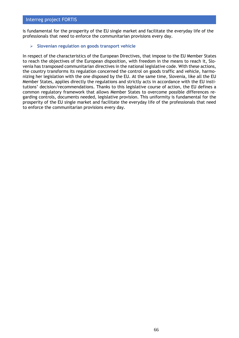is fundamental for the prosperity of the EU single market and facilitate the everyday life of the professionals that need to enforce the communitarian provisions every day.

### ➢ **Slovenian regulation on goods transport vehicle**

In respect of the characteristics of the European Directives, that impose to the EU Member States to reach the objectives of the European disposition, with freedom in the means to reach it, Slovenia has transposed communitarian directives in the national legislative code. With these actions, the country transforms its regulation concerned the control on goods traffic and vehicle, harmonizing her legislation with the one disposed by the EU. At the same time, Slovenia, like all the EU Member States, applies directly the regulations and strictly acts in accordance with the EU institutions' decision/recommendations. Thanks to this legislative course of action, the EU defines a common regulatory framework that allows Member States to overcome possible differences regarding controls, documents needed, legislative provision. This uniformity is fundamental for the prosperity of the EU single market and facilitate the everyday life of the professionals that need to enforce the communitarian provisions every day.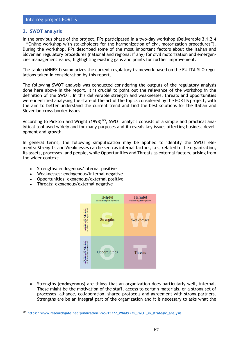# **2. SWOT analysis**

In the previous phase of the project, PPs participated in a two-day workshop (Deliverable 3.1.2.4 – "Online workshop with stakeholders for the harmonization of civil motorization procedures"). During the workshop, PPs described some of the most important factors about the Italian and Slovenian regulatory procedures (national and regional if any) for civil motorization and emergencies management issues, highlighting existing gaps and points for further improvement.

The table (ANNEX I) summarizes the current regulatory framework based on the EU-ITA-SLO regulations taken in consideration by this report.

The following SWOT analysis was conducted considering the outputs of the regulatory analysis done here above in the report. It is crucial to point out the relevance of the workshop in the definition of the SWOT. In this deliverable strength and weaknesses, threats and opportunities were identified analysing the state of the art of the topics considered by the FORTIS project, with the aim to better understand the current trend and find the best solutions for the Italian and Slovenian cross-border issues.

According to Pickton and Wright (1998)<sup>125</sup>, SWOT analysis consists of a simple and practical analytical tool used widely and for many purposes and it reveals key issues affecting business development and growth.

In general terms, the following simplification may be applied to identify the SWOT elements: Strengths and Weaknesses can be seen as internal factors, i.e., related to the organization, its assets, processes, and people, while Opportunities and Threats as external factors, arising from the wider context:

- Strengths: endogenous/internal positive
- Weaknesses: endogenous/internal negative
- Opportunities: exogenous/external positive
- Threats: exogenous/external negative



• Strengths (**endogenous**) are things that an organization does particularly well, internal. These might be the motivation of the staff, access to certain materials, or a strong set of processes, alliance, collaboration, shared protocols and agreement with strong partners. Strengths are be an integral part of the organization and it is necessary to asks what the

<sup>125</sup> [https://www.researchgate.net/publication/246915222\\_What%27s\\_SWOT\\_in\\_strategic\\_analysis](https://www.researchgate.net/publication/246915222_What%27s_SWOT_in_strategic_analysis)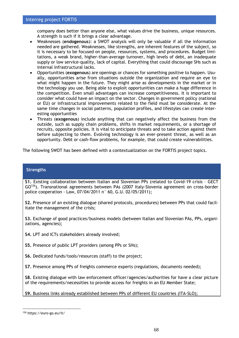company does better than anyone else, what values drive the business, unique resources. A strength is such if it brings a clear advantage.

- Weaknesses (**endogenous**): a SWOT analysis will only be valuable if all the information needed are gathered. Weaknesses, like strengths, are inherent features of the subject, so it is necessary to be focused on people, resources, systems, and procedures. Budget limitations, a weak brand, higher-than-average turnover, high levels of debt, an inadequate supply or low service-quality, lack of capital. Everything that could discourage SHs such as internal infrastructural lacks.
- Opportunities (**exogenous**) are openings or chances for something positive to happen. Usually, opportunities arise from situations outside the organization and require an eye to what might happen in the future. They might arise as developments in the market or in the technology you use. Being able to exploit opportunities can make a huge difference in the competition. Even small advantages can increase competitiveness. It is important to consider what could have an impact on the sector. Changes in government policy (national or EU) or infrastructural improvements related to the field must be considerate. At the same time changes in social patterns, population profiles, and lifestyles can create interesting opportunities
- Threats (**exogenous**) include anything that can negatively affect the business from the outside, such as supply chain problems, shifts in market requirements, or a shortage of recruits, opposite policies. It is vital to anticipate threats and to take action against them before subjecting to them. Evolving technology is an ever-present threat, as well as an opportunity. Debt or cash-flow problems, for example, that could create vulnerabilities.

The following SWOT has been defined with a contextualization on the FORTIS project topics.

## **Strengths**

**S1.** Existing collaboration between Italian and Slovenian PPs (related to Covid-19 crisis – GECT GO<sup>126</sup>). Transnational agreements between PAs (2007 Italy-Slovenia agreement on cross-border police cooperation - Law, 07/04/2011 n° 60, G.U. 02/05/2011);

**S2.** Presence of an existing dialogue (shared protocols, procedures) between PPs that could facilitate the management of the crisis;

**S3.** Exchange of good practices/business models (between Italian and Slovenian PAs, PPs, organizations, agencies);

- **S4.** LPT and ICTs stakeholders already involved;
- **S5.** Presence of public LPT providers (among PPs or SHs);
- **S6.** Dedicated funds/tools/resources (staff) to the project;

**S7.** Presence among PPs of freights commerce experts (regulations, documents needed);

**S8.** Existing dialogue with law enforcement officer/agencies/authorities for have a clear picture of the requirements/necessities to provide access for freights in an EU Member State;

**S9.** Business links already established between PPs of different EU countries (ITA-SLO);

<sup>126</sup> https://euro-go.eu/it/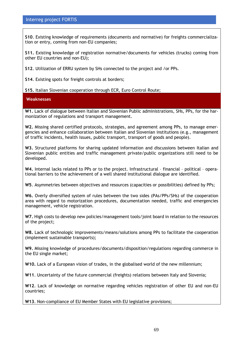**S10**. Existing knowledge of requirements (documents and normative) for freights commercialization or entry, coming from non-EU companies;

**S11.** Existing knowledge of registration normative/documents for vehicles (trucks) coming from other EU countries and non-EU);

**S12**. Utilization of ERRU system by SHs connected to the project and /or PPs.

**S14**. Existing spots for freight controls at borders;

**S15.** Italian Slovenian cooperation through ECR, Euro Control Route;

**Weaknesses**

**W1.** Lack of dialogue between Italian and Slovenian Public administrations, SHs, PPs, for the harmonization of regulations and transport management.

**W2.** Missing shared certified protocols, strategies, and agreement among PPs, to manage emergencies and enhance collaboration between Italian and Slovenian institutions (e.g., management of traffic incidents, health issues, public transport, transport of goods and people).

**W3.** Structured platforms for sharing updated information and discussions between Italian and Slovenian public entities and traffic management private/public organizations still need to be developed.

**W4.** Internal lacks related to PPs or to the project. Infrastructural – financial – political – operational barriers to the achievement of a well shared institutional dialogue are identified.

**W5**. Asymmetries between objectives and resources (capacities or possibilities) defined by PPs;

**W6.** Overly diversified system of rules between the two sides (PAs/PPs/SHs) of the cooperation area with regard to motorization procedures, documentation needed, traffic and emergencies management, vehicle registration.

**W7.** High costs to develop new policies/management tools/joint board in relation to the resources of the project;

**W8.** Lack of technologic improvements/means/solutions among PPs to facilitate the cooperation (implement sustainable transports);

**W9.** Missing knowledge of procedures/documents/disposition/regulations regarding commerce in the EU single market;

**W10.** Lack of a European vision of trades, in the globalised world of the new millennium;

**W11**. Uncertainty of the future commercial (freights) relations between Italy and Slovenia;

**W12**. Lack of knowledge on normative regarding vehicles registration of other EU and non-EU countries;

**W13**. Non-compliance of EU Member States with EU legislative provisions;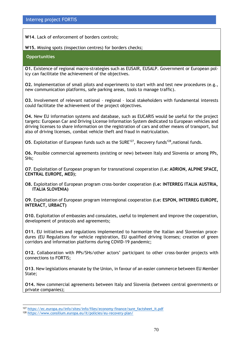**W14**. Lack of enforcement of borders controls;

**W15.** Missing spots (inspection centres) for borders checks;

### **Opportunities**

**O1.** Existence of regional macro-strategies such as EUSAIR, EUSALP. Government or European policy can facilitate the achievement of the objectives.

**O2.** Implementation of small pilots and experiments to start with and test new procedures (e.g., new communication platforms, safe parking areas, tools to manage traffic).

**O3.** Involvement of relevant national – regional – local stakeholders with fundamental interests could facilitate the achievement of the project objectives.

**O4.** New EU information systems and database, such as EUCARIS would be useful for the project targets: European Car and Driving License Information System dedicated to European vehicles and driving licenses to share information on the registration of cars and other means of transport, but also of driving licenses, combat vehicle theft and fraud in matriculation.

**O5.** Exploitation of European funds such as the SURE<sup>127</sup>, Recovery funds<sup>128</sup>, national funds.

**O6.** Possible commercial agreements (existing or new) between Italy and Slovenia or among PPs, SHs;

**O7**. Exploitation of European program for transnational cooperation (**i.e: ADRION, ALPINE SPACE, CENTRAL EUROPE, MED)**;

**O8.** Exploitation of European program cross-border cooperation **(i.e: INTERREG ITALIA AUSTRIA, ITALIA SLOVENIA)**

**O9**. Exploitation of European program interregional cooperation **(i.e: ESPON, INTERREG EUROPE, INTERACT, URBACT)**

**O10.** Exploitation of embassies and consulates, useful to implement and improve the cooperation, development of protocols and agreements;

**O11.** EU initiatives and regulations implemented to harmonize the Italian and Slovenian procedures (EU Regulations for vehicle registration, EU qualified driving licenses; creation of green corridors and information platforms during COVID-19 pandemic;

**O12.** Collaboration with PPs/SHs/other actors' participant to other cross-border projects with connections to FORTIS;

**O13**. New legislations emanate by the Union, in favour of an easier commerce between EU Member State;

**O14.** New commercial agreements between Italy and Slovenia (between central governments or private companies);

<sup>127</sup> [https://ec.europa.eu/info/sites/info/files/economy-finance/sure\\_factsheet\\_it.pdf](https://ec.europa.eu/info/sites/info/files/economy-finance/sure_factsheet_it.pdf)

<sup>128</sup> https://www.consilium.europa.eu/it/policies/eu-recovery-plan/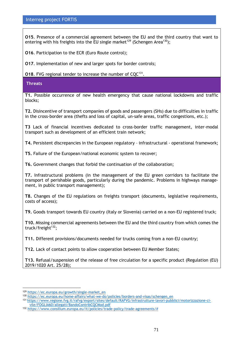**O15**. Presence of a commercial agreement between the EU and the third country that want to entering with his freights into the EU single market<sup>129</sup> (Schengen Area<sup>130</sup>);

**O16**. Participation to the ECR (Euro Route control);

**O17**. Implementation of new and larger spots for border controls;

**O18.** FVG regional tender to increase the number of  $CQC^{131}$ .

**Threats**

**T1.** Possible occurrence of new health emergency that cause national lockdowns and traffic blocks;

**T2.** Disincentive of transport companies of goods and passengers (SHs) due to difficulties in traffic in the cross-border area (thefts and loss of capital, un-safe areas, traffic congestions, etc.);

**T3** Lack of financial incentives dedicated to cross-border traffic management, inter-modal transport such as development of an efficient train network;

**T4.** Persistent discrepancies in the European regulatory – infrastructural - operational framework;

**T5.** Failure of the European/national economic system to recover;

**T6.** Government changes that forbid the continuation of the collaboration;

**T7.** Infrastructural problems (in the management of the EU green corridors to facilitate the transport of perishable goods, particularly during the pandemic. Problems in highways management, in public transport management);

**T8.** Changes of the EU regulations on freights transport (documents, legislative requirements, costs of access);

**T9.** Goods transport towards EU country (Italy or Slovenia) carried on a non-EU registered truck;

**T10.** Missing commercial agreements between the EU and the third country from which comes the truck/freight $132$ ;

**T11.** Different provisions/documents needed for trucks coming from a non-EU country;

**T12.** Lack of contact points to allow cooperation between EU Member States;

**T13.** Refusal/suspension of the release of free circulation for a specific product (Regulation (EU) 2019/1020 Art. 25/28);

<sup>129</sup> [https://ec.europa.eu/growth/single-market\\_en](https://ec.europa.eu/growth/single-market_en)

<sup>130</sup> [https://ec.europa.eu/home-affairs/what-we-do/policies/borders-and-visas/schengen\\_en](https://ec.europa.eu/home-affairs/what-we-do/policies/borders-and-visas/schengen_en)

<sup>131</sup> [https://www.regione.fvg.it/rafvg/export/sites/default/RAFVG/infrastrutture-lavori-pubblici/motorizzazione-ci](https://www.regione.fvg.it/rafvg/export/sites/default/RAFVG/infrastrutture-lavori-pubblici/motorizzazione-civile/FOGLIA60/allegati/BandoContribCQCMod.pdf)[vile/FOGLIA60/allegati/BandoContribCQCMod.pdf](https://www.regione.fvg.it/rafvg/export/sites/default/RAFVG/infrastrutture-lavori-pubblici/motorizzazione-civile/FOGLIA60/allegati/BandoContribCQCMod.pdf)

<sup>132</sup> [https://www.consilium.europa.eu/it/policies/trade-policy/trade-agreements/#](https://www.consilium.europa.eu/it/policies/trade-policy/trade-agreements/)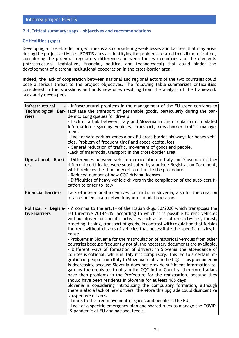## **2.1.Critical summary: gaps – objectives and recommendations**

## **Criticalities (gaps)**

Developing a cross-border project means also considering weaknesses and barriers that may arise during the project activities. FORTIS aims at identifying the problems related to civil motorization, considering the potential regulatory differences between the two countries and the elements (infrastructural, legislative, financial, political and technological) that could hinder the development of a strong institutional cooperation in the cross-border area.

Indeed, the lack of cooperation between national and regional actors of the two countries could pose a serious threat to the project objectives. The following table summarizes criticalities considered in the workshops and adds new ones resulting from the analysis of the framework previously developed.

| Infrastructural<br>riers              | - - Infrastructural problems in the management of the EU green corridors to<br>Technological Bar- facilitate the transport of perishable goods, particularly during the pan-<br>demic. Long queues for drivers.<br>- Lack of a link between Italy and Slovenia in the circulation of updated<br>information regarding vehicles, transport, cross-border traffic manage-<br>ment.<br>- Lack of safe parking zones along EU cross-border highways for heavy vehi-<br>cles. Problem of frequent thief and goods-capital loss.<br>- General reduction of traffic, movement of goods and people.<br>-Lack of intermodal transport in the cross-border area.                                                                                                                                                                                                                                                                                                                                                                                                                                                                                                                                                                                                                                                                                                                                                                                                                                                                   |
|---------------------------------------|--------------------------------------------------------------------------------------------------------------------------------------------------------------------------------------------------------------------------------------------------------------------------------------------------------------------------------------------------------------------------------------------------------------------------------------------------------------------------------------------------------------------------------------------------------------------------------------------------------------------------------------------------------------------------------------------------------------------------------------------------------------------------------------------------------------------------------------------------------------------------------------------------------------------------------------------------------------------------------------------------------------------------------------------------------------------------------------------------------------------------------------------------------------------------------------------------------------------------------------------------------------------------------------------------------------------------------------------------------------------------------------------------------------------------------------------------------------------------------------------------------------------------|
| <b>Operational Barri-</b><br>ers      | - Differences between vehicle matriculation in Italy and Slovenia: in Italy<br>different certificates were substituted by a unique Registration Document,<br>which reduces the time needed to ultimate the procedure.<br>- Reduced number of new CQC driving licenses.<br>- Difficulties of heavy vehicle drivers in the compilation of the auto-certifi-<br>cation to enter to Italy.                                                                                                                                                                                                                                                                                                                                                                                                                                                                                                                                                                                                                                                                                                                                                                                                                                                                                                                                                                                                                                                                                                                                   |
| <b>Financial Barriers</b>             | Lack of inter-modal incentives for traffic in Slovenia, also for the creation<br>of an efficient train network by inter-modal operators.                                                                                                                                                                                                                                                                                                                                                                                                                                                                                                                                                                                                                                                                                                                                                                                                                                                                                                                                                                                                                                                                                                                                                                                                                                                                                                                                                                                 |
| Political - Legisla-<br>tive Barriers | - A comma to the art.14 of the Italian d-lgs 50/2020 which transposes the<br>EU Directive 2018/645, according to which it is possible to rent vehicles<br>without driver for specific activities such as agriculture activities, forest,<br>breeding, fishing, transport of goods, in contrast with regulation that forbids<br>the rent without drivers of vehicles that necessitate the specific driving li-<br>cense.<br>- Problems in Slovenia for the matriculation of historical vehicles from other<br>countries because frequently not all the necessary documents are available.<br>- Different ways of formation of drivers: in Slovenia the attendance of<br>courses is optional, while in Italy it is compulsory. This led to a certain mi-<br>gration of people from Italy to Slovenia to obtain the CQC. This phenomenon<br>is decreasing because Slovenia does not provide sufficient information re-<br>garding the requisites to obtain the CQC in the Country, therefore Italians<br>have then problems in the Prefecture for the registration, because they<br>should have been residents in Slovenia for at least 185 days<br>Slovenia is considering introducing the compulsory formation, although<br>there is also a lack of new drivers, therefore this upgrade could disincentive<br>prospective drivers.<br>- Limits to the free movement of goods and people in the EU.<br>- Lack of a specific emergency plan and shared rules to manage the COVID-<br>19 pandemic at EU and national levels. |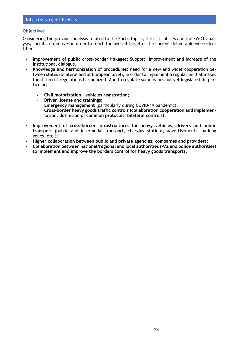#### **Objectives**

Considering the previous analysis related to the Fortis topics, the criticalities and the SWOT analysis, specific objectives in order to reach the overall target of the current deliverable were identified.

- **Improvement of public cross-border linkages**: Support, improvement and increase of the institutional dialogue.
- **Knowledge and harmonization of procedures:** need for a new and wider cooperation between states (bilateral and at European level), in order to implement a regulation that makes the different regulations harmonized. And to regulate some issues not yet legislated. In particular:
	- **- Civil motorization – vehicles registration;**
	- **- Driver license and trainings;**
	- **- Emergency management** (particularly during COVID-19 pandemic).
	- **- Cross-border heavy goods traffic controls (collaboration cooperation and implementation, definition of common protocols, bilateral controls);**
- **Improvement of cross-border infrastructures for heavy vehicles, drivers and public transport** (public and intermodal transport, charging stations, advertisements, parking zones, etc.);
- **Higher collaboration between public and private agencies, companies and providers;**
- **Collaboration between national/regional and local authorities (PAs and police authorities) to implement and improve the borders control for heavy goods transports**.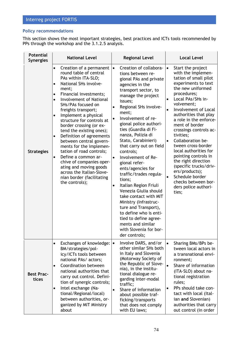### **Policy recommendations**

This section shows the most important strategies, best practices and ICTs tools recommended by PPs through the workshop and the 3.1.2.5 analysis.

| <b>Potential</b><br><b>Synergies</b> | <b>National Level</b>                                                                                                                                                                                                                                                                                                                                                                                                                                                                                                                                                                                                                                                         | <b>Regional Level</b>                                                                                                                                                                                                                                                                                                                                                                                                                                                                                                                                                                                                                                                                                            | <b>Local Level</b>                                                                                                                                                                                                                                                                                                                                                                                                                                                                                                                                                                               |
|--------------------------------------|-------------------------------------------------------------------------------------------------------------------------------------------------------------------------------------------------------------------------------------------------------------------------------------------------------------------------------------------------------------------------------------------------------------------------------------------------------------------------------------------------------------------------------------------------------------------------------------------------------------------------------------------------------------------------------|------------------------------------------------------------------------------------------------------------------------------------------------------------------------------------------------------------------------------------------------------------------------------------------------------------------------------------------------------------------------------------------------------------------------------------------------------------------------------------------------------------------------------------------------------------------------------------------------------------------------------------------------------------------------------------------------------------------|--------------------------------------------------------------------------------------------------------------------------------------------------------------------------------------------------------------------------------------------------------------------------------------------------------------------------------------------------------------------------------------------------------------------------------------------------------------------------------------------------------------------------------------------------------------------------------------------------|
| <b>Strategies</b>                    | Creation of a permanent<br>$\bullet$<br>round table of central<br>PAs within ITA-SLO;<br>National SHs involve-<br>$\bullet$<br>ment;<br>Financial investments;<br>$\bullet$<br>Involvement of National<br>$\bullet$<br>SHs/PAs focused on<br>freights transport;<br>Implement a physical<br>$\bullet$<br>structure for controls at<br>border crossing (or ex-<br>tend the existing ones);<br>Definition of agreements<br>$\bullet$<br>between central govern-<br>ments for the implemen-<br>tation of road controls;<br>Define a common ar-<br>chive of companies oper-<br>ating and moving goods<br>across the Italian-Slove-<br>nian border (facilitating<br>the controls); | Creation of collabora-<br>tions between re-<br>gional PAs and private<br>agencies in the<br>transport sector, to<br>manage the project<br>issues;<br>Regional SHs involve-<br>ment;<br>Involvement of re-<br>gional police authori-<br>ties (Guardia di Fi-<br>nanza, Polizia di<br>Stato, Carabinieri)<br>that carry out on field<br>controls;<br>Involvement of Re-<br>$\bullet$<br>gional refer-<br>ents/agencies for<br>traffic/trades regula-<br>tions;<br>Italian Region Friuli<br>٠<br>Venezia Giulia should<br>take contact with MIT<br>Ministry (Infrastruc-<br>ture and Transport),<br>to define who is enti-<br>tled to define agree-<br>ments and similar<br>with Slovenia for bor-<br>der controls; | Start the project<br>$\bullet$<br>with the implemen-<br>tation of small pilot<br>experiments to text<br>the new uniformed<br>procedures;<br>Local PAs/SHs in-<br>volvement;<br>Involvement of Local<br>$\bullet$<br>authorities that play<br>a role in the enforce-<br>ment of border<br>crossings controls ac-<br>tivities;<br>Collaboration be-<br>$\bullet$<br>tween cross-border<br>local authorities for<br>pointing controls in<br>the right direction<br>(specific trucks/driv-<br>ers/products);<br>Schedule border<br>$\bullet$<br>checks between bor-<br>ders police authori-<br>ties; |
| <b>Best Prac-</b><br>tices           | Exchanges of knowledge:<br>$\bullet$<br>BM/strategies/pol-<br>icy/ICTs tools between<br>national PAs/ actors;<br>Coordination between<br>$\bullet$<br>national authorities that<br>carry out control. Defini-<br>tion of synergic controls;<br>Intel exchange (Na-<br>$\bullet$<br>tional/Regional/local)<br>between authorities, or-<br>ganized by MIT Ministry<br>about                                                                                                                                                                                                                                                                                                     | Involve DARS, and/or<br>other similar SHs both<br>in Italy and Slovenia<br>(Motorway Society of<br>the Republic of Slove-<br>nia), in the institu-<br>tional dialogue re-<br>garding inter-modal<br>traffic;<br>Share of information<br>$\bullet$<br>about possible traf-<br>ficking/transports<br>that does not comply<br>with EU laws;                                                                                                                                                                                                                                                                                                                                                                         | Sharing BMs/BPs be-<br>tween local actors in<br>a transnational envi-<br>ronment;<br>Share of information<br>$\bullet$<br>(ITA-SLO) about na-<br>tional registration<br>rules;<br>PPs should take con-<br>$\bullet$<br>tact with local (Ital-<br>ian and Slovenian)<br>authorities that carry<br>out control (in order                                                                                                                                                                                                                                                                           |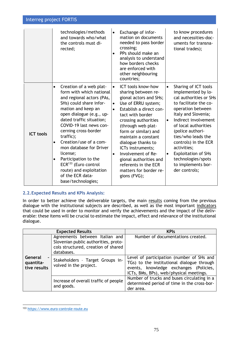|                  | technologies/methods<br>and towards who/what<br>the controls must di-<br>rected;                                                                                                                                                                                                                                                                                                                                                                                                                   | Exchange of infor-<br>$\bullet$<br>mation on documents<br>needed to pass border<br>crossing;<br>PPs should make an<br>$\bullet$<br>analysis to understand<br>how borders checks<br>are enforced with<br>other neighbouring<br>countries;                                                                                                                                                                                                                | to know procedures<br>and necessities-doc-<br>uments for transna-<br>tional trades);                                                                                                                                                                                                                                                                                                                         |
|------------------|----------------------------------------------------------------------------------------------------------------------------------------------------------------------------------------------------------------------------------------------------------------------------------------------------------------------------------------------------------------------------------------------------------------------------------------------------------------------------------------------------|---------------------------------------------------------------------------------------------------------------------------------------------------------------------------------------------------------------------------------------------------------------------------------------------------------------------------------------------------------------------------------------------------------------------------------------------------------|--------------------------------------------------------------------------------------------------------------------------------------------------------------------------------------------------------------------------------------------------------------------------------------------------------------------------------------------------------------------------------------------------------------|
| <b>ICT tools</b> | Creation of a web plat-<br>$\bullet$<br>form with which national<br>and regional actors (PAs,<br>SHs) could share infor-<br>mation and keep an<br>open dialogue (e.g., up-<br>dated traffic situation;<br>COVID-19 last news con-<br>cerning cross-border<br>traffic);<br>Creation/use of a com-<br>$\bullet$<br>mon database for Driver<br>license;<br>Participation to the<br>$\bullet$<br>ECR <sup>133</sup> (Euro control<br>route) and exploitation<br>of the ECR data-<br>base/technologies; | ICT tools know-how<br>$\bullet$<br>sharing between re-<br>gional actors and SHs;<br>Use of ERRU system;<br>$\bullet$<br>Establish a direct con-<br>$\bullet$<br>tact with border<br>crossing authorities<br>(through web plat-<br>form or similar) and<br>maintain a constant<br>dialogue thanks to<br>ICTs instruments;<br>Involvement of Re-<br>$\bullet$<br>gional authorities and<br>referents in the ECR<br>matters for border re-<br>gions (FVG); | Sharing of ICT tools<br>$\bullet$<br>implemented by lo-<br>cal authorities or SHs<br>to facilitate the co-<br>operation between<br>Italy and Slovenia;<br>Indirect involvement<br>$\bullet$<br>of local authorities<br>(police authori-<br>ties/who leads the<br>controls) in the ECR<br>activities;<br><b>Exploitation of SHs</b><br>$\bullet$<br>technologies/spots<br>to implements bor-<br>der controls; |

### **2.2.Expected Results and KPIs Analysis:**

In order to better achieve the deliverable targets, the main results coming from the previous dialogue with the institutional subjects are described, as well as the most important indicators that could be used in order to monitor and verify the achievements and the impact of the deliverable: these items will be crucial to estimate the impact, effect and relevance of the institutional dialogue.

|                                      | <b>Expected Results</b>                                                                                                     | <b>KPIs</b>                                                                                                                                                                  |
|--------------------------------------|-----------------------------------------------------------------------------------------------------------------------------|------------------------------------------------------------------------------------------------------------------------------------------------------------------------------|
|                                      | Agreements between Italian and<br>Slovenian public authorities, proto-<br>cols structured, creation of shared<br>databases. | Number of documentations created.                                                                                                                                            |
| General<br>quantita-<br>tive results | Stakeholders - Target Groups in-<br>volved in the project.                                                                  | Level of participation (number of SHs and<br>TGs) to the institutional dialogue through<br>events, knowledge exchanges (Policies,<br>ICTs, BMs, BPs), web/physical meetings. |
|                                      | Increase of overall traffic of people<br>and goods.                                                                         | Number of trucks and buses circulating in a<br>determined period of time in the cross-bor-<br>der area.                                                                      |

<sup>133</sup> [https://www.euro-controle-route.eu](https://www.euro-controle-route.eu/)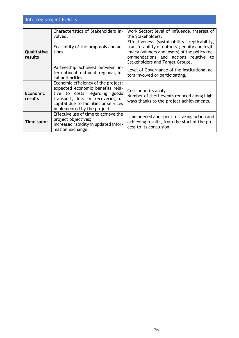|                            | Characteristics of Stakeholders in-<br>volved.                                                                                                                                                                       | Work Sector; level of influence, interest of<br>the Stakeholders.                                                                                                                                                           |
|----------------------------|----------------------------------------------------------------------------------------------------------------------------------------------------------------------------------------------------------------------|-----------------------------------------------------------------------------------------------------------------------------------------------------------------------------------------------------------------------------|
| Qualitative<br>results     | Feasibility of the proposals and ac-<br>tions.                                                                                                                                                                       | Effectiveness (sustainability, replicability,<br>transferability of outputs); equity and legit-<br>imacy (winners and losers) of the policy rec-<br>ommendations and actions relative to<br>Stakeholders and Target Groups. |
|                            | Partnership achieved between in-<br>ter-national, national, regional, lo-<br>cal authorities.                                                                                                                        | Level of Governance of the institutional ac-<br>tors involved or participating.                                                                                                                                             |
| <b>Economic</b><br>results | Economic efficiency of the project:<br>expected economic benefits rela-<br>tive to costs regarding goods<br>transport, loss or recovering of<br>capital due to facilities or services<br>implemented by the project. | Cost-benefits analysis;<br>Number of theft events reduced along high-<br>ways thanks to the project achievements.                                                                                                           |
| Time spent                 | Effective use of time to achieve the<br>project objectives;<br>Increased rapidity in updated infor-<br>mation exchange.                                                                                              | time needed and spent for taking action and<br>achieving results, from the start of the pro-<br>cess to its conclusion.                                                                                                     |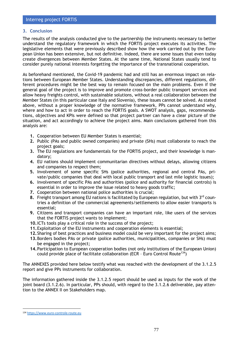#### **3. Conclusion**

The results of the analysis conducted give to the partnership the instruments necessary to better understand the regulatory framework in which the FORTIS project executes its activities. The legislative elements that were previously described show how the work carried out by the European Union has been extensive, but not definitive. Indeed, there are some issues that even today create divergences between Member States. At the same time, National States usually tend to consider purely national interests forgetting the importance of the transnational cooperation.

As beforehand mentioned, the Covid-19 pandemic had and still has an enormous impact on relations between European Member States. Understanding discrepancies, different regulations, different procedures might be the best way to remain focused on the main problems. Even if the general goal of the project is to improve and promote cross-border public transport services and allow heavy freights control, with sustainable solutions, without a real collaboration between the Member States (in this particular case Italy and Slovenia), these issues cannot be solved. As stated above, without a proper knowledge of the normative framework, PPs cannot understand why, where and how to act in order to reach the FORTIS goals. A SWOT analysis, gaps, recommendations, objectives and KPIs were defined so that project partner can have a clear picture of the situation, and act accordingly to achieve the project aims. Main conclusions gathered from this analysis are:

- **1.** Cooperation between EU Member States is essential;
- **2.** Public (PAs and public owned companies) and private (SHs) must collaborate to reach the project goals;
- **3.** The EU regulations are fundamentals for the FORTIS project, and their knowledge is mandatory;
- **4.** EU nations should implement communitarian directives without delays, allowing citizens and companies to respect them;
- **5.** Involvement of some specific SHs (police authorities, regional and central PAs, private/public companies that deal with local public transport and last mile logistic issues);
- **6.** Involvement of specific PAs and authorities (police and authority for financial controls) is essential in order to improve the issue related to heavy goods traffic;
- **7.** Cooperation between national police authorities is crucial;
- 8. Freight transport among EU nations is facilitated by European regulation, but with 3<sup>rd</sup> countries a definition of the commercial agreements/settlements to allow easier transports is essential;
- **9.** Citizens and transport companies can have an important role, like users of the services that the FORTIS project wants to implement;
- **10.**ICTs tools play a critical role in the success of the project;
- **11.**Exploitation of the EU instruments and cooperation elements is essential;
- **12.**Sharing of best practices and business model could be very important for the project aims;
- **13.**Borders bodies PAs or private (police authorities, municipalities, companies or SHs) must be engaged in the project;
- **14.**Participation to European cooperation bodies (not only institutions of the European Union) could provide place of facilitate collaboration (ECR - Euro Control Route<sup>134</sup>)

The ANNEXES provided here below testify what was reached with the development of the 3.1.2.5 report and give PPs instruments for collaboration.

The information gathered inside the 3.1.2.5 report should be used as inputs for the work of the joint board (3.1.2.6). In particular, PPs should, with regard to the 3.1.2.6 deliverable, pay attention to the ANNEX II on Stakeholders map.

<sup>134</sup> [https://www.euro-controle-route.eu](https://www.euro-controle-route.eu/)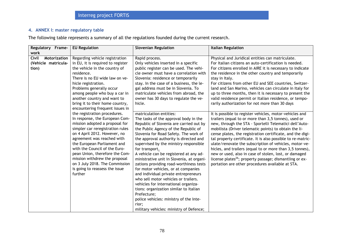### **4. ANNEX I: master regulatory table**

The following table represents a summary of all the regulations founded during the current research.

| Regulatory Frame-     | <b>EU Regulation</b>              | <b>Slovenian Regulation</b>               | <b>Italian Regulation</b>                                           |
|-----------------------|-----------------------------------|-------------------------------------------|---------------------------------------------------------------------|
| work                  |                                   |                                           |                                                                     |
| Civil<br>Motorization | Regarding vehicle registration    | Rapid process.                            | Physical and Juridical entities can matriculate.                    |
| (Vehicle matricula-   | in EU, it is required to register | Only vehicles inserted in a specific      | For Italian citizens an auto-certification is needed.               |
| tion)                 | the vehicle in the country of     | public register can be used. The vehi-    | For citizens enrolled in AIRE it is necessary to indicate           |
|                       | residence.                        | cle owner must have a correlation with    | the residence in the other country and temporarily                  |
|                       | There is no EU wide law on ve-    | Slovenia: residence or temporarily        | stay in Italy.                                                      |
|                       | hicle registration.               | stay. In the case of a business, the le-  | For citizens from other EU and SEE countries, Switzer-              |
|                       | Problems generally occur          | gal address must be in Slovenia. To       | land and San Marino, vehicles can circulate in Italy for            |
|                       | among people who buy a car in     | matriculate vehicles from abroad, the     | up to three months, then it is necessary to present the             |
|                       | another country and want to       | owner has 30 days to regulate the ve-     | valid residence permit or Italian residence, or tempo-              |
|                       | bring it to their home country,   | hicle.                                    | rarily authorization for not more than 30 days                      |
|                       | encountering frequent issues in   |                                           |                                                                     |
|                       | the registration procedures.      | matriculation entities:                   | It is possible to register vehicles, motor-vehicles and             |
|                       | In response, the European Com-    | The tasks of the approval body in the     | trailers (equal to or more than 3,5 tonnes), used or                |
|                       | mission adopted a proposal for    | Republic of Slovenia are carried out by   | new, through the STA - Sportelli Telematici dell'Auto-              |
|                       | simpler car reregistration rules  | the Public Agency of the Republic of      | mobilista (Driver telematic points) to obtain the li-               |
|                       | on 4 April 2012. However, no      | Slovenia for Road Safety. The work of     | cense plates, the registration certificate, and the digi-           |
|                       | agreement was reached with        | the approval authority is directed and    | tal property certificate. It is also possible to re-matric-         |
|                       | the European Parliament and       | supervised by the ministry responsible    | ulate/renovate the subscription of vehicles, motor-ve-              |
|                       | with the Council of the Euro-     | for transport.                            | hicles, and trailers (equal to or more than 3,5 tonnes),            |
|                       | pean Union, therefore the Com-    | A vehicle can be registered at any ad-    | new or used, also in case of stolen, lost, or damaged               |
|                       | mission withdrew the proposal     | ministrative unit in Slovenia, at organi- | license plates <sup>26</sup> ; property passage; dismantling or ex- |
|                       | on 3 July 2018. The Commission    | zations providing road-worthiness tests   | portation are other procedures available at STA.                    |
|                       | is going to reassess the issue    | for motor vehicles, or at companies       |                                                                     |
|                       | further                           | and individual private entrepreneurs      |                                                                     |
|                       |                                   | who sell motor vehicles or trailers.      |                                                                     |
|                       |                                   | vehicles for international organiza-      |                                                                     |
|                       |                                   | tions: organization similar to Italian    |                                                                     |
|                       |                                   | Prefecture;                               |                                                                     |
|                       |                                   | police vehicles: ministry of the Inte-    |                                                                     |
|                       |                                   | rior;                                     |                                                                     |
|                       |                                   | military vehicles: ministry of Defence;   |                                                                     |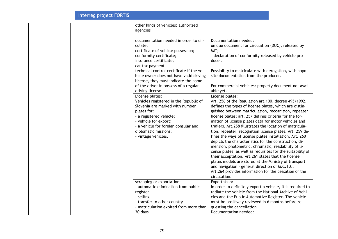| other kinds of vehicles: authorized<br>agencies |                                                            |
|-------------------------------------------------|------------------------------------------------------------|
| documentation needed in order to cir-           | Documentation needed:                                      |
| culate:                                         | unique document for circulation (DUC), released by         |
| certificate of vehicle possession;              | MIT;                                                       |
| conformity certificate;                         | - declaration of conformity released by vehicle pro-       |
| insurance certificate;                          | ducer.                                                     |
| car tax payment                                 |                                                            |
| technical control certificate if the ve-        | Possibility to matriculate with derogation, with appo-     |
| hicle owner does not have valid driving         | site documentation from the producer.                      |
| license, they must indicate the name            |                                                            |
| of the driver in possess of a regular           | For commercial vehicles: property document not avail-      |
| driving license                                 | able yet.                                                  |
| License plates:                                 | License plates:                                            |
| Vehicles registered in the Republic of          | Art. 256 of the Regulation art. 100, decree 495/1992,      |
| Slovenia are marked with number                 | defines the types of license plates, which are distin-     |
| plates for:                                     | guished between matriculation, recognition, repeater       |
| - a registered vehicle;                         | license plates; art. 257 defines criteria for the for-     |
| - vehicle for export;                           | mation of license plates data for motor vehicles and       |
| - a vehicle for foreign consular and            | trailers. Art.258 illustrates the location of matricula-   |
| diplomatic missions;                            | tion, repeater, recognition license plates. Art. 259 de-   |
| - vintage vehicles.                             | fines the ways of license plates installation. Art. 260    |
|                                                 | depicts the characteristics for the construction, di-      |
|                                                 | mension, photometric, chromatic, readability of li-        |
|                                                 | cense plates, as well as requisites for the suitability of |
|                                                 | their acceptation. Art.261 states that the license         |
|                                                 | plates models are stored at the Ministry of transport      |
|                                                 | and navigation - general direction of M.C.T.C.             |
|                                                 | Art.264 provides information for the cessation of the      |
|                                                 | circulation.                                               |
| scrapping or exportation:                       | Exportation:                                               |
| - automatic elimination from public             | In order to definitely export a vehicle, it is required to |
| register                                        | radiate the vehicle from the National Archive of Vehi-     |
| - selling                                       | cles and the Public Automotive Register. The vehicle       |
| - transfer to other country                     | must be positively reviewed in 6 months before re-         |
| - matriculation expired from more than          | questing the cancellation.                                 |
| 30 days                                         | Documentation needed:                                      |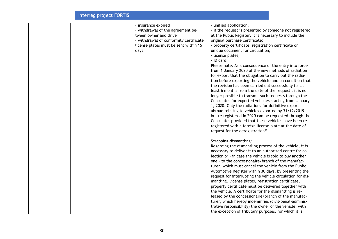|  | - insurance expired                    | - unified application;                                    |
|--|----------------------------------------|-----------------------------------------------------------|
|  | - withdrawal of the agreement be-      | - if the request is presented by someone not registered   |
|  | tween owner and driver                 | at the Public Register, it is necessary to include the    |
|  | - withdrawal of conformity certificate | original purchase certificate;                            |
|  | license plates must be sent within 15  | - property certificate, registration certificate or       |
|  | days                                   | unique document for circulation;                          |
|  |                                        | - license plates;                                         |
|  |                                        | - ID card.                                                |
|  |                                        | Please note: As a consequence of the entry into force     |
|  |                                        | from 1 January 2020 of the new methods of radiation       |
|  |                                        | for export that the obligation to carry out the radia-    |
|  |                                        | tion before exporting the vehicle and on condition that   |
|  |                                        | the revision has been carried out successfully for at     |
|  |                                        | least 6 months from the date of the request, it is no     |
|  |                                        | longer possible to transmit such requests through the     |
|  |                                        | Consulates for exported vehicles starting from January    |
|  |                                        | 1, 2020. Only the radiations for definitive export        |
|  |                                        | abroad relating to vehicles exported by 31/12/2019        |
|  |                                        | but re-registered in 2020 can be requested through the    |
|  |                                        | Consulate, provided that these vehicles have been re-     |
|  |                                        | registered with a foreign license plate at the date of    |
|  |                                        | request for the deregistration <sup>31</sup> .            |
|  |                                        |                                                           |
|  |                                        | Scrapping-dismantling:                                    |
|  |                                        | Regarding the dismantling process of the vehicle, it is   |
|  |                                        | necessary to deliver it to an authorized centre for col-  |
|  |                                        | lection or - in case the vehicle is sold to buy another   |
|  |                                        | one - to the concessionaire/branch of the manufac-        |
|  |                                        | turer, which must cancel the vehicle from the Public      |
|  |                                        | Automotive Register within 30 days, by presenting the     |
|  |                                        | request for interrupting the vehicle circulation for dis- |
|  |                                        | mantling. License plates, registration certificate,       |
|  |                                        | property certificate must be delivered together with      |
|  |                                        | the vehicle. A certificate for the dismantling is re-     |
|  |                                        | leased by the concessionaire/branch of the manufac-       |
|  |                                        | turer, which hereby indemnifies (civil-penal-adminis-     |
|  |                                        | trative responsibility) the owner of the vehicle, with    |
|  |                                        | the exception of tributary purposes, for which it is      |
|  |                                        |                                                           |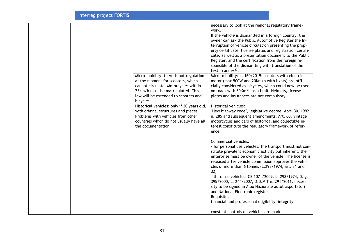|  |                                                                                                                                                                                         | necessary to look at the regional regulatory frame-<br>work.<br>If the vehicle is dismantled in a foreign country, the<br>owner can ask the Public Automotive Register the In-<br>terruption of vehicle circulation presenting the prop-<br>erty certificate, license plates and registration certifi-<br>cate, as well as a presentation document to the Public<br>Register, and the certification from the foreign re-<br>sponsible of the dismantling with translation of the |
|--|-----------------------------------------------------------------------------------------------------------------------------------------------------------------------------------------|----------------------------------------------------------------------------------------------------------------------------------------------------------------------------------------------------------------------------------------------------------------------------------------------------------------------------------------------------------------------------------------------------------------------------------------------------------------------------------|
|  | Micro-mobility: there is not regulation<br>at the moment for scooters, which<br>cannot circulate. Motorcycles within<br>25km/h must be matriculated. This                               | text in annex $32$ .<br>Micro-mobility: L. 160/2019: scooters with electric<br>motor (max 500W and 20Km/h with lights) are offi-<br>cially considered as bicycles, which could now be used<br>on roads with 30Km/h as a limit. Helmets, license                                                                                                                                                                                                                                  |
|  | law will be extended to scooters and<br>bicycles                                                                                                                                        | plates and insurances are not compulsory                                                                                                                                                                                                                                                                                                                                                                                                                                         |
|  | Historical vehicles: only if 30 years old,<br>with original structures and pieces.<br>Problems with vehicles from other<br>countries which do not usually have all<br>the documentation | Historical vehicles:<br>"New highway code", legislative decree. April 30, 1992<br>n. 285 and subsequent amendments. Art. 60. Vintage<br>motorcycles and cars of historical and collectible in-<br>terest constitute the regulatory framework of refer-<br>ence.                                                                                                                                                                                                                  |
|  |                                                                                                                                                                                         | Commercial vehicles:<br>- for personal use vehicles: the transport must not con-<br>stitute prevalent economic activity but inherent, the<br>enterprise must be owner of the vehicle. The license is<br>released after vehicle commission approves the vehi-<br>cles of more than 6 tonnes (L.298/1974, art. 31 and<br>32)                                                                                                                                                       |
|  |                                                                                                                                                                                         | - third use vehicles: CE 1071/2009, L. 298/1974, D.lgs<br>395/2000, L. 244/2007, D.D.MIT n. 291/2011. neces-<br>sity to be signed in Albo Nazionale autotrasportatori<br>and National Electronic register.<br>Requisites:<br>financial and professional eligibility, integrity;                                                                                                                                                                                                  |
|  |                                                                                                                                                                                         | constant controls on vehicles are made                                                                                                                                                                                                                                                                                                                                                                                                                                           |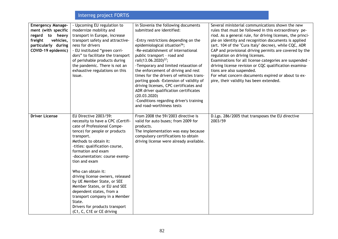| <b>Emergency Manage-</b><br>ment (with specific<br>regard to heavy<br>freight<br>vehicles,<br>particularly during<br>COVID-19 epidemic) | - Upcoming EU regulation to<br>modernize mobility and<br>transport in Europe, increase<br>transport safety and attractive-<br>ness for drivers<br>- EU instituted "green corri-<br>dors" to facilitate the transport<br>of perishable products during<br>the pandemic. There is not an<br>exhaustive regulations on this<br>issue.                                                                                                                                                                                                        | in Slovenia the following documents<br>submitted are identified:<br>-Entry restrictions depending on the<br>epidemiological situation <sup>56</sup> ;<br>-Re-establishment of international<br>public transport - road and<br>rail(13.06.2020) <sup>57</sup> ;<br>-Temporary and limited relaxation of<br>the enforcement of driving and rest<br>times for the drivers of vehicles trans-<br>porting goods - Extension of validity of<br>driving licenses, CPC certificates and<br>ADR driver qualification certificates<br>(20.03.2020)<br>-Conditions regarding driver's training<br>and road-worthiness tests | Several ministerial communications shown the new<br>rules that must be followed in this extraordinary pe-<br>riod. As a general rule, for driving licenses, the princi-<br>ple on identity and recognition documents is applied<br>(art. 104 of the "Cura Italy" decree), while CQC, ADR<br>CAP and provisional driving permits are covered by the<br>regulation on driving licenses.<br>Examinations for all license categories are suspended -<br>driving license revision or CQC qualification examina-<br>tions are also suspended.<br>For what concern documents expired or about to ex-<br>pire, their validity has been extended. |
|-----------------------------------------------------------------------------------------------------------------------------------------|-------------------------------------------------------------------------------------------------------------------------------------------------------------------------------------------------------------------------------------------------------------------------------------------------------------------------------------------------------------------------------------------------------------------------------------------------------------------------------------------------------------------------------------------|------------------------------------------------------------------------------------------------------------------------------------------------------------------------------------------------------------------------------------------------------------------------------------------------------------------------------------------------------------------------------------------------------------------------------------------------------------------------------------------------------------------------------------------------------------------------------------------------------------------|------------------------------------------------------------------------------------------------------------------------------------------------------------------------------------------------------------------------------------------------------------------------------------------------------------------------------------------------------------------------------------------------------------------------------------------------------------------------------------------------------------------------------------------------------------------------------------------------------------------------------------------|
| <b>Driver License</b>                                                                                                                   | EU Directive 2003/59:<br>necessity to have a CPC (Certifi-<br>cate of Professional Compe-<br>tence) for people or products<br>transport.<br>Methods to obtain it:<br>-titles: qualification course,<br>formation and exam<br>-documentation: course exemp-<br>tion and exam<br>Who can obtain it:<br>driving license owners, released<br>by UE Member State, or SEE<br>Member States, or EU and SEE<br>dependent states, from a<br>transport company in a Member<br>State.<br>Drivers for products transport<br>(C1, C, C1E or CE driving | From 2008 the 59/2003 directive is<br>valid for auto buses; from 2009 for<br>products.<br>The implementation was easy because<br>compulsory certifications to obtain<br>driving license were already available.                                                                                                                                                                                                                                                                                                                                                                                                  | D.Lgs. 286/2005 that transposes the EU directive<br>2003/59                                                                                                                                                                                                                                                                                                                                                                                                                                                                                                                                                                              |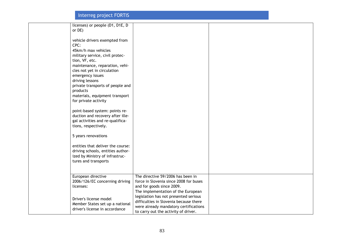| licenses) or people (D1, D1E, D<br>or DE)                            |                                                                               |  |
|----------------------------------------------------------------------|-------------------------------------------------------------------------------|--|
|                                                                      |                                                                               |  |
| vehicle drivers exempted from<br>CPC:                                |                                                                               |  |
| 45km/h max vehicles                                                  |                                                                               |  |
| military service, civil protec-                                      |                                                                               |  |
| tion, VF, etc.<br>maintenance, reparation, vehi-                     |                                                                               |  |
| cles not yet in circulation                                          |                                                                               |  |
| emergency issues                                                     |                                                                               |  |
| driving lessons<br>private transports of people and                  |                                                                               |  |
| products                                                             |                                                                               |  |
| materials, equipment transport                                       |                                                                               |  |
| for private activity                                                 |                                                                               |  |
| point-based system: points re-                                       |                                                                               |  |
| duction and recovery after ille-<br>gal activities and re-qualifica- |                                                                               |  |
| tions, respectively.                                                 |                                                                               |  |
|                                                                      |                                                                               |  |
| 5 years renovations                                                  |                                                                               |  |
| entities that deliver the course:                                    |                                                                               |  |
| driving schools, entities author-<br>ized by Ministry of infrastruc- |                                                                               |  |
| tures and transports                                                 |                                                                               |  |
|                                                                      |                                                                               |  |
| European directive                                                   | The directive 59/2006 has been in                                             |  |
| 2006/126/EC concerning driving                                       | force in Slovenia since 2008 for buses                                        |  |
| licenses:                                                            | and for goods since 2009.<br>The implementation of the European               |  |
| Driver's license model                                               | legislation has not presented serious                                         |  |
| Member States set up a national                                      | difficulties in Slovenia because there                                        |  |
| driver's license in accordance                                       | were already mandatory certifications<br>to carry out the activity of driver. |  |
|                                                                      |                                                                               |  |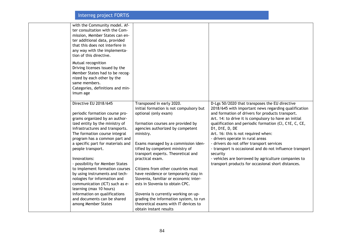| with the Community model. Af-<br>ter consultation with the Com-<br>mission, Member States can en-<br>ter additional data, provided<br>that this does not interfere in<br>any way with the implementa-<br>tion of this directive.<br>Mutual recognition<br>Driving licenses issued by the<br>Member States had to be recog-<br>nized by each other by the<br>same members.<br>Categories, definitions and min-<br>imum age                                                                                                                                                                            |                                                                                                                                                                                                                                                                                                                                                                                                                                                                                                                                                                                                                                      |                                                                                                                                                                                                                                                                                                                                                                                                                                                                                                                                                                                                             |
|------------------------------------------------------------------------------------------------------------------------------------------------------------------------------------------------------------------------------------------------------------------------------------------------------------------------------------------------------------------------------------------------------------------------------------------------------------------------------------------------------------------------------------------------------------------------------------------------------|--------------------------------------------------------------------------------------------------------------------------------------------------------------------------------------------------------------------------------------------------------------------------------------------------------------------------------------------------------------------------------------------------------------------------------------------------------------------------------------------------------------------------------------------------------------------------------------------------------------------------------------|-------------------------------------------------------------------------------------------------------------------------------------------------------------------------------------------------------------------------------------------------------------------------------------------------------------------------------------------------------------------------------------------------------------------------------------------------------------------------------------------------------------------------------------------------------------------------------------------------------------|
| Directive EU 2018/645<br>periodic formation course pro-<br>grams organized by an author-<br>ized entity by the ministry of<br>infrastructures and transports.<br>The formation course integral<br>program has a common part and<br>a specific part for materials and<br>people transport.<br>Innovations:<br>- possibility for Member States<br>to implement formation courses<br>by using instruments and tech-<br>nologies for information and<br>communication (ICT) such as e-<br>learning (max 10 hours)<br>information on qualifications<br>and documents can be shared<br>among Member States | Transposed in early 2020.<br>initial formation is not compulsory but<br>optional (only exam)<br>formation courses are provided by<br>agencies authorized by competent<br>ministry.<br>Exams managed by a commission iden-<br>tified by competent ministry of<br>transport experts. Theoretical and<br>practical exam.<br>Citizens from other countries must<br>have residence or temporarily stay in<br>Slovenia, familiar or economic inter-<br>ests in Slovenia to obtain CPC.<br>Slovenia is currently working on up-<br>grading the information system, to run<br>theoretical exams with IT devices to<br>obtain instant results | D-Lgs 50/2020 that transposes the EU directive<br>2018/645 with important news regarding qualification<br>and formation of drivers for products transport.<br>Art. 14: to drive it is compulsory to have an initial<br>qualification and periodic formation (Cl, C1E, C, CE,<br>D1, D1E, D, DE<br>Art. 16: this is not required when:<br>- drivers operate in rural areas<br>- drivers do not offer transport services<br>- transport is occasional and do not influence transport<br>security<br>- vehicles are borrowed by agriculture companies to<br>transport products for occasional short distances. |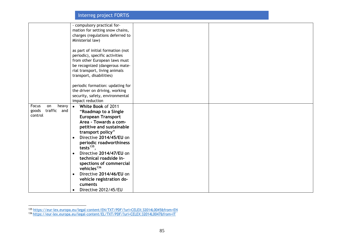|                      | - compulsory practical for-          |  |
|----------------------|--------------------------------------|--|
|                      | mation for setting snow chains,      |  |
|                      | charges (regulations deferred to     |  |
|                      | Ministerial law)                     |  |
|                      |                                      |  |
|                      | as part of initial formation (not    |  |
|                      | periodic), specific activities       |  |
|                      | from other European laws must        |  |
|                      | be recognized (dangerous mate-       |  |
|                      | rial transport, living animals       |  |
|                      | transport, disabilities)             |  |
|                      |                                      |  |
|                      | periodic formation: updating for     |  |
|                      | the driver on driving, working       |  |
|                      | security, safety, environmental      |  |
|                      | impact reduction                     |  |
|                      |                                      |  |
| Focus<br>heavy<br>on | White Book of 2011<br>$\bullet$      |  |
| traffic and<br>goods | "Roadmap to a Single                 |  |
| control              | <b>European Transport</b>            |  |
|                      | Area - Towards a com-                |  |
|                      | petitive and sustainable             |  |
|                      | transport policy"                    |  |
|                      | Directive 2014/45/EU on              |  |
|                      | periodic roadworthiness              |  |
|                      | tests $^{135}$ ,                     |  |
|                      | Directive 2014/47/EU on<br>$\bullet$ |  |
|                      | technical roadside in-               |  |
|                      | spections of commercial              |  |
|                      | vehicles <sup>136</sup>              |  |
|                      | Directive 2014/46/EU on<br>$\bullet$ |  |
|                      | vehicle registration do-             |  |
|                      | cuments                              |  |
|                      | Directive 2012/45/EU                 |  |

<sup>135</sup> <https://eur-lex.europa.eu/legal-content/EN/TXT/PDF/?uri=CELEX:32014L0045&from=EN>

<sup>136</sup> <https://eur-lex.europa.eu/legal-content/EL/TXT/PDF/?uri=CELEX:32014L0047&from=IT>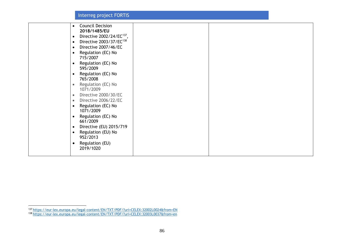| <b>Council Decision</b><br>$\bullet$               |  |
|----------------------------------------------------|--|
| 2018/1485/EU                                       |  |
| Directive 2002/24/EC <sup>137</sup> ,<br>$\bullet$ |  |
| Directive 2003/37/EC <sup>138</sup><br>$\bullet$   |  |
| Directive 2007/46/EC<br>$\bullet$                  |  |
| Regulation (EC) No<br>$\bullet$                    |  |
| 715/2007                                           |  |
| Regulation (EC) No<br>$\bullet$                    |  |
| 595/2009                                           |  |
| Regulation (EC) No<br>$\bullet$                    |  |
| 765/2008                                           |  |
| Regulation (EC) No<br>$\bullet$                    |  |
| 1071/2009                                          |  |
| Directive 2000/30/EC<br>$\bullet$                  |  |
| Directive 2006/22/EC<br>$\bullet$                  |  |
| Regulation (EC) No<br>$\bullet$                    |  |
| 1071/2009                                          |  |
| Regulation (EC) No<br>$\bullet$                    |  |
| 661/2009                                           |  |
| Directive (EU) 2015/719<br>$\bullet$               |  |
| Regulation (EU) No<br>$\bullet$                    |  |
| 952/2013                                           |  |
| Regulation (EU)<br>$\bullet$                       |  |
| 2019/1020                                          |  |
|                                                    |  |
|                                                    |  |

<sup>137</sup> <https://eur-lex.europa.eu/legal-content/EN/TXT/PDF/?uri=CELEX:32002L0024&from=EN>

<sup>138</sup> <https://eur-lex.europa.eu/legal-content/EN/TXT/PDF/?uri=CELEX:32003L0037&from=en>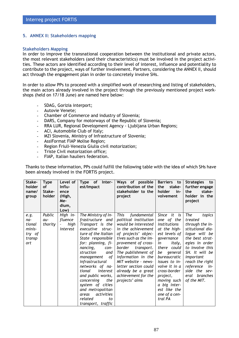#### **5. ANNEX II: Stakeholders mapping**

#### **Stakeholders Mapping**

In order to improve the transnational cooperation between the institutional and private actors, the most relevant stakeholders (and their characteristics) must be involved in the project activities. These actors are identified according to their level of interest, influence and potentiality to contribute to the project, ways of further involvement. Partners, considering the ANNEX II, should act through the engagement plan in order to concretely involve SHs.

In order to allow PPs to proceed with a simplified work of researching and listing of stakeholders, the main actors already involved in the project through the previously mentioned project workshops (held on 17/18 June) are named here below:

- **-** SDAG, Gorizia interport;
- **-** Autovie Venete;
- **-** Chamber of Commerce and industry of Slovenia;
- **-** DARS, Company for motorways of the Republic of Slovenia;
- **-** RRA LUR, Regional Development Agency Ljubljana Urban Regions;
- **-** ACI, Automobile Club of Italy;
- **-** MZI Slovenia, Ministry of Infrastructure of Slovenia;
- **-** AssiFormat FIAP Molise Region;
- **-** Region Friuli-Venezia Giulia civil motorization;
- **-** Triste Civil motorization office;
- **-** FIAP, Italian hauliers federation.

Thanks to these information, PPs could fulfill the following table with the idea of which SHs have been already involved in the FORTIS project.

| Stake-<br>holder<br>name/<br>group                         | <b>Type</b><br><b>of</b><br>Stake-<br>holder | Level of<br>Influ-<br>ence<br>(High,<br>Me-<br>dium,<br>Low)        | <b>Type</b><br><b>of</b><br>Inter-<br>est/Impact                                                                                                                                                                                                                                                                                                                                                    | Ways of possible<br>contribution of the<br>stakeholder to the<br>project                                                                                                                                                                                                                                                                                  | Barriers to<br>the<br>stake-<br>holder<br>in-<br>volvement                                                                                                                                                                                                                                     | <b>Strategies</b><br>to<br>further engage<br>the<br>stake-<br>holder in the<br>project                                                                                                                                                                             |
|------------------------------------------------------------|----------------------------------------------|---------------------------------------------------------------------|-----------------------------------------------------------------------------------------------------------------------------------------------------------------------------------------------------------------------------------------------------------------------------------------------------------------------------------------------------------------------------------------------------|-----------------------------------------------------------------------------------------------------------------------------------------------------------------------------------------------------------------------------------------------------------------------------------------------------------------------------------------------------------|------------------------------------------------------------------------------------------------------------------------------------------------------------------------------------------------------------------------------------------------------------------------------------------------|--------------------------------------------------------------------------------------------------------------------------------------------------------------------------------------------------------------------------------------------------------------------|
| e.g.<br>na-<br>tional<br>minis-<br>try of<br>transp<br>ort | Public<br>au-<br>thority                     | High in-<br>fluence<br>high<br>$\overline{\phantom{a}}$<br>interest | The Ministry of In-<br>frastructure and<br>Transport is the<br>executive struc-<br>ture of the Italian<br>State responsible<br>for: planning, fi-<br>nancing,<br>con-<br>struction<br>and<br>management<br>of<br>infrastructural<br>networks of na-<br>interest<br>tional<br>and public works,<br>concerning<br>the<br>system of cities<br>and metropolitan<br>activities<br>areas<br>related<br>to | <b>This</b><br>fundamental<br>political institution<br>would be interested<br>in the achievement<br>of projects' objec-<br>tives such as the im-<br>provement of cross-<br>border<br>transport.<br>The publishment of<br>information in the<br>MIT website - news-<br>letter section could<br>already be a great<br>achievement for the<br>projects' aims | Since it is<br>one of the<br>institutions<br>at the high-<br>est levels of<br>governance<br>in<br>Italy,<br>there could<br>be general<br>bureaucratic<br>issues to in-<br>volve it in a<br>cross-border<br>project,<br>moving such<br>a big inter-<br>est like the<br>one of a cen-<br>tral PA | The<br>topics<br>treated<br>through the in-<br>stitutional dia-<br>logue will be<br>the best strat-<br>egies in order<br>to involve this<br>SH. It will be<br>important<br>reach the right<br>reference<br>in-<br>side the sev-<br>branches<br>eral<br>of the MIT. |
|                                                            |                                              |                                                                     | transport, traffic                                                                                                                                                                                                                                                                                                                                                                                  |                                                                                                                                                                                                                                                                                                                                                           |                                                                                                                                                                                                                                                                                                |                                                                                                                                                                                                                                                                    |